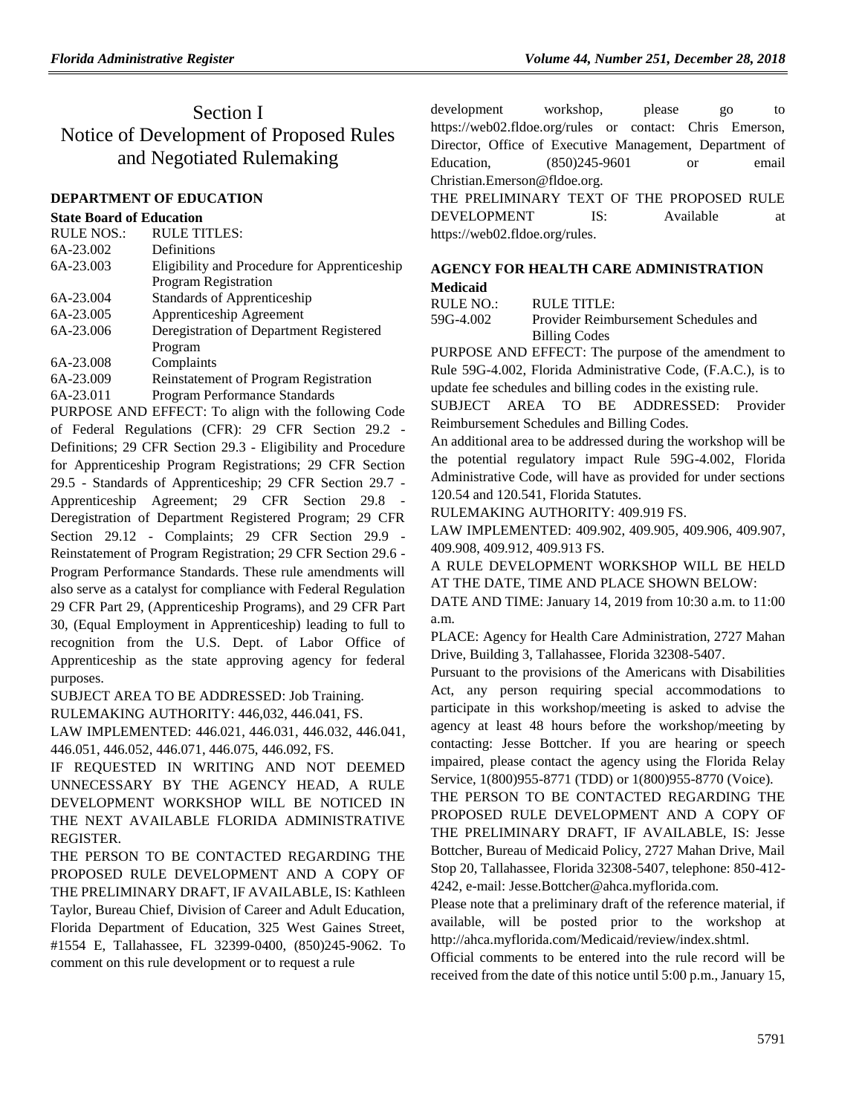# Section I Notice of Development of Proposed Rules and Negotiated Rulemaking

### **[DEPARTMENT OF EDUCATION](https://www.flrules.org/gateway/department.asp?id=6)**

### **[State Board of Education](https://www.flrules.org/gateway/organization.asp?id=195)**

| <b>RULE NOS.:</b> | <b>RULE TITLES:</b>                          |
|-------------------|----------------------------------------------|
| 6A-23.002         | Definitions                                  |
| 6A-23.003         | Eligibility and Procedure for Apprenticeship |
|                   | Program Registration                         |
| 6A-23.004         | Standards of Apprenticeship                  |
| 6A-23.005         | Apprenticeship Agreement                     |
| 6A-23.006         | Deregistration of Department Registered      |
|                   | Program                                      |
| 6A-23.008         | Complaints                                   |
| 6A-23.009         | <b>Reinstatement of Program Registration</b> |
| 6A-23.011         | Program Performance Standards                |

PURPOSE AND EFFECT: To align with the following Code of Federal Regulations (CFR): 29 CFR Section 29.2 - Definitions; 29 CFR Section 29.3 - Eligibility and Procedure for Apprenticeship Program Registrations; 29 CFR Section 29.5 - Standards of Apprenticeship; 29 CFR Section 29.7 - Apprenticeship Agreement; 29 CFR Section 29.8 - Deregistration of Department Registered Program; 29 CFR Section 29.12 - Complaints; 29 CFR Section 29.9 - Reinstatement of Program Registration; 29 CFR Section 29.6 - Program Performance Standards. These rule amendments will also serve as a catalyst for compliance with Federal Regulation 29 CFR Part 29, (Apprenticeship Programs), and 29 CFR Part 30, (Equal Employment in Apprenticeship) leading to full to recognition from the U.S. Dept. of Labor Office of Apprenticeship as the state approving agency for federal purposes.

SUBJECT AREA TO BE ADDRESSED: Job Training.

RULEMAKING AUTHORITY: [446,032, 446.041, FS.](https://www.flrules.org/gateway/cfr.asp?id=446,032,%20446.041,%20F.S)

LAW IMPLEMENTED: [446.021,](https://www.flrules.org/gateway/statute.asp?id=446.021) [446.031,](https://www.flrules.org/gateway/statute.asp?id=%20446.031) [446.032,](https://www.flrules.org/gateway/statute.asp?id=%20446.032) [446.041,](https://www.flrules.org/gateway/statute.asp?id=%20446.041) [446.051,](https://www.flrules.org/gateway/statute.asp?id=%20446.051) [446.052,](https://www.flrules.org/gateway/statute.asp?id=%20446.052) [446.071,](https://www.flrules.org/gateway/statute.asp?id=%20446.071) [446.075,](https://www.flrules.org/gateway/statute.asp?id=%20446.075) [446.092,](https://www.flrules.org/gateway/statute.asp?id=%20446.092) FS.

IF REQUESTED IN WRITING AND NOT DEEMED UNNECESSARY BY THE AGENCY HEAD, A RULE DEVELOPMENT WORKSHOP WILL BE NOTICED IN THE NEXT AVAILABLE FLORIDA ADMINISTRATIVE REGISTER.

THE PERSON TO BE CONTACTED REGARDING THE PROPOSED RULE DEVELOPMENT AND A COPY OF THE PRELIMINARY DRAFT, IF AVAILABLE, IS: Kathleen Taylor, Bureau Chief, Division of Career and Adult Education, Florida Department of Education, 325 West Gaines Street, #1554 E, Tallahassee, FL 32399-0400, (850)245-9062. To comment on this rule development or to request a rule

development workshop, please go to https://web02.fldoe.org/rules or contact: Chris Emerson, Director, Office of Executive Management, Department of Education, (850)245-9601 or email Christian.Emerson@fldoe.org.

THE PRELIMINARY TEXT OF THE PROPOSED RULE DEVELOPMENT IS: Available at https://web02.fldoe.org/rules.

# **[AGENCY FOR HEALTH CARE ADMINISTRATION](https://www.flrules.org/gateway/department.asp?id=59)**

### **[Medicaid](https://www.flrules.org/gateway/organization.asp?id=192)**

RULE NO.: RULE TITLE:

[59G-4.002](https://www.flrules.org/gateway/ruleNo.asp?id=59G-4.002) Provider Reimbursement Schedules and Billing Codes

PURPOSE AND EFFECT: The purpose of the amendment to Rule 59G-4.002, Florida Administrative Code, (F.A.C.), is to update fee schedules and billing codes in the existing rule.

SUBJECT AREA TO BE ADDRESSED: Provider Reimbursement Schedules and Billing Codes.

An additional area to be addressed during the workshop will be the potential regulatory impact Rule 59G-4.002, Florida Administrative Code, will have as provided for under sections 120.54 and 120.541, Florida Statutes.

RULEMAKING AUTHORITY: [409.919 FS.](https://www.flrules.org/gateway/statute.asp?id=409.919%20FS.)

LAW IMPLEMENTED: [409.902,](https://www.flrules.org/gateway/statute.asp?id=409.902) [409.905,](https://www.flrules.org/gateway/statute.asp?id=%20409.905) [409.906,](https://www.flrules.org/gateway/statute.asp?id=%20409.906) [409.907,](https://www.flrules.org/gateway/statute.asp?id=%20409.907) [409.908,](https://www.flrules.org/gateway/statute.asp?id=%20409.908) [409.912,](https://www.flrules.org/gateway/statute.asp?id=%20409.912) [409.913 FS.](https://www.flrules.org/gateway/statute.asp?id=%20409.913%20FS.)

A RULE DEVELOPMENT WORKSHOP WILL BE HELD AT THE DATE, TIME AND PLACE SHOWN BELOW:

DATE AND TIME: January 14, 2019 from 10:30 a.m. to 11:00 a.m.

PLACE: Agency for Health Care Administration, 2727 Mahan Drive, Building 3, Tallahassee, Florida 32308-5407.

Pursuant to the provisions of the Americans with Disabilities Act, any person requiring special accommodations to participate in this workshop/meeting is asked to advise the agency at least 48 hours before the workshop/meeting by contacting: Jesse Bottcher. If you are hearing or speech impaired, please contact the agency using the Florida Relay Service, 1(800)955-8771 (TDD) or 1(800)955-8770 (Voice).

THE PERSON TO BE CONTACTED REGARDING THE PROPOSED RULE DEVELOPMENT AND A COPY OF THE PRELIMINARY DRAFT, IF AVAILABLE, IS: Jesse Bottcher, Bureau of Medicaid Policy, 2727 Mahan Drive, Mail Stop 20, Tallahassee, Florida 32308-5407, telephone: 850-412- 4242, e-mail: Jesse.Bottcher@ahca.myflorida.com.

Please note that a preliminary draft of the reference material, if available, will be posted prior to the workshop at http://ahca.myflorida.com/Medicaid/review/index.shtml.

Official comments to be entered into the rule record will be received from the date of this notice until 5:00 p.m., January 15,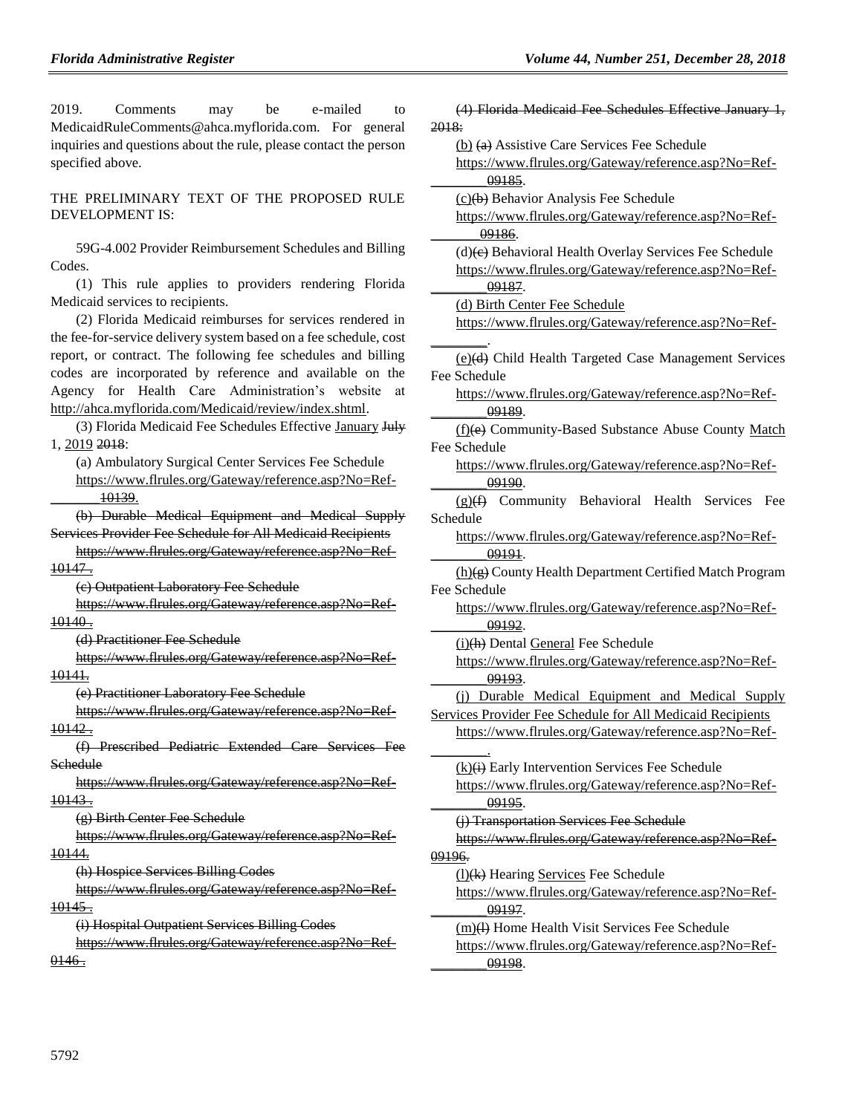| 2019.<br>Comments<br>e-mailed<br>be<br>may<br>to                  | (4) Florida Medicaid Fee Schedules Effective January 1,    |
|-------------------------------------------------------------------|------------------------------------------------------------|
| MedicaidRuleComments@ahca.myflorida.com. For general              | 2018:                                                      |
| inquiries and questions about the rule, please contact the person | $(b)$ $(a)$ Assistive Care Services Fee Schedule           |
| specified above.                                                  | https://www.flrules.org/Gateway/reference.asp?No=Ref-      |
|                                                                   | 09185.                                                     |
| THE PRELIMINARY TEXT OF THE PROPOSED RULE                         | (c)(b) Behavior Analysis Fee Schedule                      |
| DEVELOPMENT IS:                                                   | https://www.flrules.org/Gateway/reference.asp?No=Ref-      |
|                                                                   | 09186.                                                     |
| 59G-4.002 Provider Reimbursement Schedules and Billing            | (d)(e) Behavioral Health Overlay Services Fee Schedule     |
| Codes.                                                            | https://www.flrules.org/Gateway/reference.asp?No=Ref-      |
| (1) This rule applies to providers rendering Florida              | 09187.                                                     |
| Medicaid services to recipients.                                  | (d) Birth Center Fee Schedule                              |
| (2) Florida Medicaid reimburses for services rendered in          | https://www.flrules.org/Gateway/reference.asp?No=Ref-      |
| the fee-for-service delivery system based on a fee schedule, cost |                                                            |
| report, or contract. The following fee schedules and billing      | (e)(d) Child Health Targeted Case Management Services      |
| codes are incorporated by reference and available on the          | Fee Schedule                                               |
| Agency for Health Care Administration's website at                | https://www.flrules.org/Gateway/reference.asp?No=Ref-      |
| http://ahca.myflorida.com/Medicaid/review/index.shtml.            | 09189.                                                     |
| (3) Florida Medicaid Fee Schedules Effective January July         | (f)(e) Community-Based Substance Abuse County Match        |
| 1, 2019 2018:                                                     | Fee Schedule                                               |
| (a) Ambulatory Surgical Center Services Fee Schedule              | https://www.flrules.org/Gateway/reference.asp?No=Ref-      |
| https://www.flrules.org/Gateway/reference.asp?No=Ref-             | 09190.                                                     |
| 10139.                                                            | $(g)(f)$ Community Behavioral Health Services Fee          |
| (b) Durable Medical Equipment and Medical Supply                  | Schedule                                                   |
| Services Provider Fee Schedule for All Medicaid Recipients        | https://www.flrules.org/Gateway/reference.asp?No=Ref-      |
| https://www.flrules.org/Gateway/reference.asp?No=Ref-             | 09191.                                                     |
| 10147.                                                            | (h)(g) County Health Department Certified Match Program    |
| (e) Outpatient Laboratory Fee Schedule                            | Fee Schedule                                               |
| https://www.flrules.org/Gateway/reference.asp?No=Ref-             | https://www.flrules.org/Gateway/reference.asp?No=Ref-      |
| 10140.                                                            | 09192.                                                     |
| (d) Practitioner Fee Schedule                                     | (i)(h) Dental General Fee Schedule                         |
| https://www.flrules.org/Gateway/reference.asp?No=Ref-             | https://www.flrules.org/Gateway/reference.asp?No=Ref-      |
| <del>10141.</del>                                                 | 09193.                                                     |
| (e) Practitioner Laboratory Fee Schedule                          | (i) Durable Medical Equipment and Medical Supply           |
| https://www.flrules.org/Gateway/reference.asp?No=Ref-             | Services Provider Fee Schedule for All Medicaid Recipients |
| 10142.                                                            | https://www.flrules.org/Gateway/reference.asp?No=Ref-      |
| (f) Prescribed Pediatric Extended Care Services Fee               |                                                            |
| Schedule                                                          | $(k)(i)$ Early Intervention Services Fee Schedule          |
| https://www.flrules.org/Gateway/reference.asp?No=Ref-             | https://www.flrules.org/Gateway/reference.asp?No=Ref-      |
| 10143.                                                            | 09195.                                                     |
| (g) Birth Center Fee Schedule                                     | (j) Transportation Services Fee Schedule                   |
| https://www.flrules.org/Gateway/reference.asp?No=Ref-             | https://www.flrules.org/Gateway/reference.asp?No=Ref-      |
| 10144.                                                            | 09196.                                                     |
| (h) Hospice Services Billing Codes                                |                                                            |
| https://www.flrules.org/Gateway/reference.asp?No=Ref-             | (1)(k) Hearing Services Fee Schedule                       |
| <u> 10145 - </u>                                                  | https://www.flrules.org/Gateway/reference.asp?No=Ref-      |
| (i) Hospital Outpatient Services Billing Codes                    | 09197.                                                     |
| https://www.flrules.org/Gateway/reference.asp?No=Ref-             | (m)(1) Home Health Visit Services Fee Schedule             |
|                                                                   | https://www.flrules.org/Gateway/reference.asp?No=Ref-      |
| 0.146.                                                            | 09198.                                                     |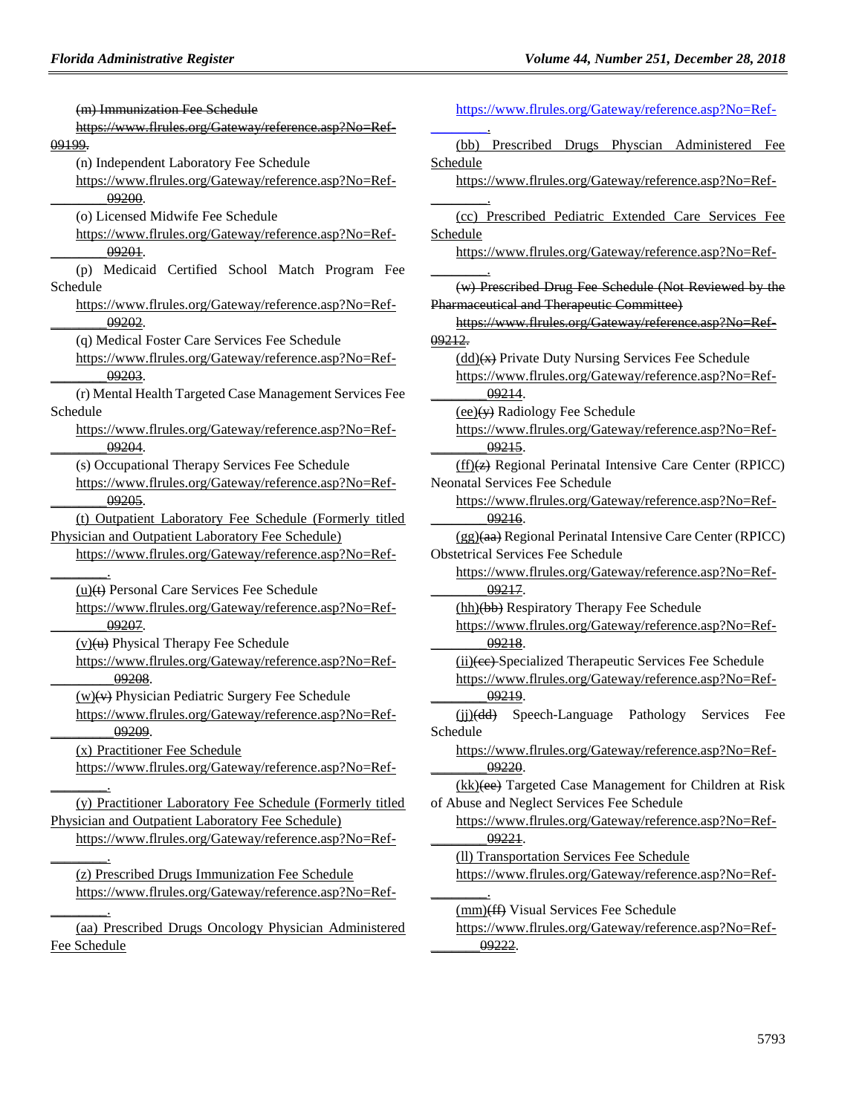(m) Immunization Fee Schedule [https://www.flrules.org/Gateway/reference.asp?No=Ref-](https://www.flrules.org/Gateway/reference.asp?No=Ref-09199)[09199.](https://www.flrules.org/Gateway/reference.asp?No=Ref-09199) (n) Independent Laboratory Fee Schedule [https://www.flrules.org/Gateway/reference.asp?No=Ref-](https://www.flrules.org/Gateway/reference.asp?No=Ref-________09200) [\\_\\_\\_\\_\\_\\_\\_\\_09200.](https://www.flrules.org/Gateway/reference.asp?No=Ref-________09200) (o) Licensed Midwife Fee Schedule [https://www.flrules.org/Gateway/reference.asp?No=Ref-](https://www.flrules.org/Gateway/reference.asp?No=Ref-________09201) [\\_\\_\\_\\_\\_\\_\\_\\_09201.](https://www.flrules.org/Gateway/reference.asp?No=Ref-________09201) (p) Medicaid Certified School Match Program Fee Schedule [https://www.flrules.org/Gateway/reference.asp?No=Ref-](https://www.flrules.org/Gateway/reference.asp?No=Ref-________09202) [\\_\\_\\_\\_\\_\\_\\_\\_09202.](https://www.flrules.org/Gateway/reference.asp?No=Ref-________09202) (q) Medical Foster Care Services Fee Schedule [https://www.flrules.org/Gateway/reference.asp?No=Ref-](https://www.flrules.org/Gateway/reference.asp?No=Ref-________09203) [\\_\\_\\_\\_\\_\\_\\_\\_09203.](https://www.flrules.org/Gateway/reference.asp?No=Ref-________09203) (r) Mental Health Targeted Case Management Services Fee Schedule [https://www.flrules.org/Gateway/reference.asp?No=Ref-](https://www.flrules.org/Gateway/reference.asp?No=Ref-________09204) [\\_\\_\\_\\_\\_\\_\\_\\_09204.](https://www.flrules.org/Gateway/reference.asp?No=Ref-________09204) (s) Occupational Therapy Services Fee Schedule [https://www.flrules.org/Gateway/reference.asp?No=Ref-](https://www.flrules.org/Gateway/reference.asp?No=Ref-09205) [\\_\\_\\_\\_\\_\\_\\_\\_09205.](https://www.flrules.org/Gateway/reference.asp?No=Ref-09205) (t) Outpatient Laboratory Fee Schedule (Formerly titled Physician and Outpatient Laboratory Fee Schedule) [https://www.flrules.org/Gateway/reference.asp?No=Ref-](https://www.flrules.org/Gateway/reference.asp?No=Ref-________09187) [\\_\\_\\_\\_\\_\\_\\_\\_.](https://www.flrules.org/Gateway/reference.asp?No=Ref-________09187) (u)(t) Personal Care Services Fee Schedule [https://www.flrules.org/Gateway/reference.asp?No=Ref-](https://www.flrules.org/Gateway/reference.asp?No=Ref-09207) [\\_\\_\\_\\_\\_\\_\\_\\_09207.](https://www.flrules.org/Gateway/reference.asp?No=Ref-09207)  $(v)(u)$  Physical Therapy Fee Schedule [https://www.flrules.org/Gateway/reference.asp?No=Ref-](https://www.flrules.org/Gateway/reference.asp?No=Ref-_________09208) [\\_\\_\\_\\_\\_\\_\\_\\_\\_09208.](https://www.flrules.org/Gateway/reference.asp?No=Ref-_________09208)  $(w)(v)$  Physician Pediatric Surgery Fee Schedule [https://www.flrules.org/Gateway/reference.asp?No=Ref-](https://www.flrules.org/Gateway/reference.asp?No=Ref-_________09209) [\\_\\_\\_\\_\\_\\_\\_\\_\\_09209.](https://www.flrules.org/Gateway/reference.asp?No=Ref-_________09209) (x) Practitioner Fee Schedule [https://www.flrules.org/Gateway/reference.asp?No=Ref-](https://www.flrules.org/Gateway/reference.asp?No=Ref-________09187)  $\sim$ (y) Practitioner Laboratory Fee Schedule (Formerly titled Physician and Outpatient Laboratory Fee Schedule) [https://www.flrules.org/Gateway/reference.asp?No=Ref-](https://www.flrules.org/Gateway/reference.asp?No=Ref-________)  $\overline{\phantom{a}}$ (z) Prescribed Drugs Immunization Fee Schedule [https://www.flrules.org/Gateway/reference.asp?No=Ref-](https://www.flrules.org/Gateway/reference.asp?No=Ref-________) [\\_\\_\\_\\_\\_\\_\\_\\_.](https://www.flrules.org/Gateway/reference.asp?No=Ref-________) (aa) Prescribed Drugs Oncology Physician Administered Fee Schedule  $\sim$ Schedule  $\overline{\phantom{a}}$ Schedule  $\sim$ [09212.](https://www.flrules.org/Gateway/reference.asp?No=Ref-09212) Schedule [\\_\\_\\_\\_\\_\\_\\_\\_.](https://www.flrules.org/Gateway/reference.asp?No=Ref-________)

[https://www.flrules.org/Gateway/reference.asp?No=Ref-](https://www.flrules.org/Gateway/reference.asp?No=Ref-________) (bb) Prescribed Drugs Physcian Administered Fee [https://www.flrules.org/Gateway/reference.asp?No=Ref-](https://www.flrules.org/Gateway/reference.asp?No=Ref-________) (cc) Prescribed Pediatric Extended Care Services Fee https://www.flrules.org/Gateway/reference.asp?No=Ref- (w) Prescribed Drug Fee Schedule (Not Reviewed by the Pharmaceutical and Therapeutic Committee) [https://www.flrules.org/Gateway/reference.asp?No=Ref-](https://www.flrules.org/Gateway/reference.asp?No=Ref-09212) $(dd)$  Private Duty Nursing Services Fee Schedule [https://www.flrules.org/Gateway/reference.asp?No=Ref-](https://www.flrules.org/Gateway/reference.asp?No=Ref-________09214) [\\_\\_\\_\\_\\_\\_\\_\\_09214.](https://www.flrules.org/Gateway/reference.asp?No=Ref-________09214)  $(ee)(\overrightarrow{v})$  Radiology Fee Schedule [https://www.flrules.org/Gateway/reference.asp?No=Ref-](https://www.flrules.org/Gateway/reference.asp?No=Ref-________09215) [\\_\\_\\_\\_\\_\\_\\_\\_09215.](https://www.flrules.org/Gateway/reference.asp?No=Ref-________09215) (ff)(z) Regional Perinatal Intensive Care Center (RPICC) Neonatal Services Fee Schedule [https://www.flrules.org/Gateway/reference.asp?No=Ref-](https://www.flrules.org/Gateway/reference.asp?No=Ref-________09216) [\\_\\_\\_\\_\\_\\_\\_\\_09216.](https://www.flrules.org/Gateway/reference.asp?No=Ref-________09216) (gg)(aa) Regional Perinatal Intensive Care Center (RPICC) Obstetrical Services Fee Schedule [https://www.flrules.org/Gateway/reference.asp?No=Ref-](https://www.flrules.org/Gateway/reference.asp?No=Ref-________09217) [\\_\\_\\_\\_\\_\\_\\_\\_09217.](https://www.flrules.org/Gateway/reference.asp?No=Ref-________09217) (hh)(bb) Respiratory Therapy Fee Schedule [https://www.flrules.org/Gateway/reference.asp?No=Ref-](https://www.flrules.org/Gateway/reference.asp?No=Ref-________09218) [\\_\\_\\_\\_\\_\\_\\_\\_09218.](https://www.flrules.org/Gateway/reference.asp?No=Ref-________09218) (ii)(cc) Specialized Therapeutic Services Fee Schedule [https://www.flrules.org/Gateway/reference.asp?No=Ref-](https://www.flrules.org/Gateway/reference.asp?No=Ref-________09219) [\\_\\_\\_\\_\\_\\_\\_\\_09219.](https://www.flrules.org/Gateway/reference.asp?No=Ref-________09219) (jj)(dd) Speech-Language Pathology Services Fee [https://www.flrules.org/Gateway/reference.asp?No=Ref-](https://www.flrules.org/Gateway/reference.asp?No=Ref-________09220) [\\_\\_\\_\\_\\_\\_\\_\\_09220.](https://www.flrules.org/Gateway/reference.asp?No=Ref-________09220) (kk)(ee) Targeted Case Management for Children at Risk of Abuse and Neglect Services Fee Schedule [https://www.flrules.org/Gateway/reference.asp?No=Ref-](https://www.flrules.org/Gateway/reference.asp?No=Ref-________09221) [\\_\\_\\_\\_\\_\\_\\_\\_09221.](https://www.flrules.org/Gateway/reference.asp?No=Ref-________09221) (ll) Transportation Services Fee Schedule [https://www.flrules.org/Gateway/reference.asp?No=Ref-](https://www.flrules.org/Gateway/reference.asp?No=Ref-________) (mm)(ff) Visual Services Fee Schedule [https://www.flrules.org/Gateway/reference.asp?No=Ref-](https://www.flrules.org/Gateway/reference.asp?No=Ref-_______09222) [\\_\\_\\_\\_\\_\\_\\_09222.](https://www.flrules.org/Gateway/reference.asp?No=Ref-_______09222)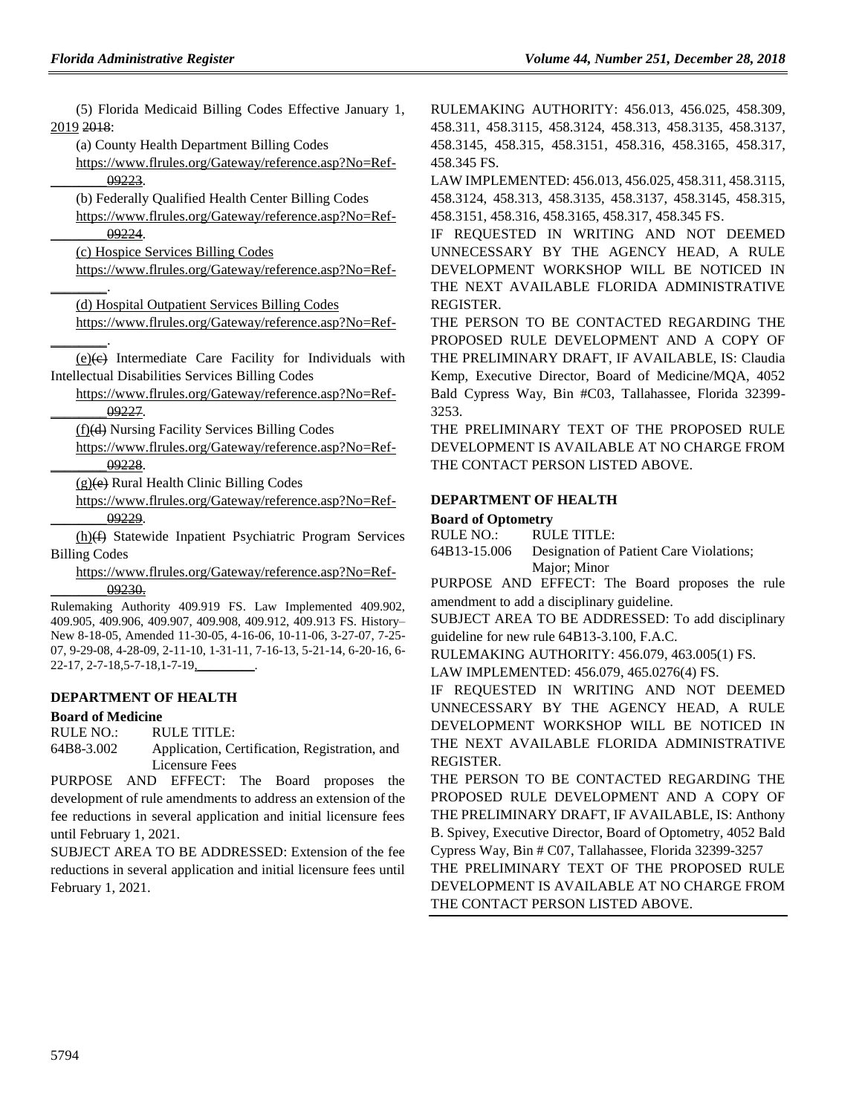(5) Florida Medicaid Billing Codes Effective January 1, 2019 2018:

(a) County Health Department Billing Codes

[https://www.flrules.org/Gateway/reference.asp?No=Ref-](https://www.flrules.org/Gateway/reference.asp?No=Ref-________09223) [\\_\\_\\_\\_\\_\\_\\_\\_09223.](https://www.flrules.org/Gateway/reference.asp?No=Ref-________09223)

(b) Federally Qualified Health Center Billing Codes [https://www.flrules.org/Gateway/reference.asp?No=Ref-](https://www.flrules.org/Gateway/reference.asp?No=Ref-________09224)

[\\_\\_\\_\\_\\_\\_\\_\\_09224.](https://www.flrules.org/Gateway/reference.asp?No=Ref-________09224)

[\\_\\_\\_\\_\\_\\_\\_\\_.](https://www.flrules.org/Gateway/reference.asp?No=Ref-________)

(c) Hospice Services Billing Codes

[https://www.flrules.org/Gateway/reference.asp?No=Ref-](https://www.flrules.org/Gateway/reference.asp?No=Ref-________) [\\_\\_\\_\\_\\_\\_\\_\\_.](https://www.flrules.org/Gateway/reference.asp?No=Ref-________)

(d) Hospital Outpatient Services Billing Codes

[https://www.flrules.org/Gateway/reference.asp?No=Ref-](https://www.flrules.org/Gateway/reference.asp?No=Ref-________)

 $(e)(e)$  Intermediate Care Facility for Individuals with Intellectual Disabilities Services Billing Codes

[https://www.flrules.org/Gateway/reference.asp?No=Ref-](https://www.flrules.org/Gateway/reference.asp?No=Ref-________09227) [\\_\\_\\_\\_\\_\\_\\_\\_09227.](https://www.flrules.org/Gateway/reference.asp?No=Ref-________09227)

(f)(d) Nursing Facility Services Billing Codes

[https://www.flrules.org/Gateway/reference.asp?No=Ref-](https://www.flrules.org/Gateway/reference.asp?No=Ref-________09228) [\\_\\_\\_\\_\\_\\_\\_\\_09228.](https://www.flrules.org/Gateway/reference.asp?No=Ref-________09228)

(g)(e) Rural Health Clinic Billing Codes

[https://www.flrules.org/Gateway/reference.asp?No=Ref-](https://www.flrules.org/Gateway/reference.asp?No=Ref-________09229) [\\_\\_\\_\\_\\_\\_\\_\\_09229.](https://www.flrules.org/Gateway/reference.asp?No=Ref-________09229)

(h)(f) Statewide Inpatient Psychiatric Program Services Billing Codes

[https://www.flrules.org/Gateway/reference.asp?No=Ref-](https://www.flrules.org/Gateway/reference.asp?No=Ref-________09230) [\\_\\_\\_\\_\\_\\_\\_\\_09230.](https://www.flrules.org/Gateway/reference.asp?No=Ref-________09230)

Rulemaking Authority 409.919 FS. Law Implemented 409.902, 409.905, 409.906, 409.907, 409.908, 409.912, 409.913 FS. History– New 8-18-05, Amended 11-30-05, 4-16-06, 10-11-06, 3-27-07, 7-25- 07, 9-29-08, 4-28-09, 2-11-10, 1-31-11, 7-16-13, 5-21-14, 6-20-16, 6- 22-17, 2-7-18,5-7-18,1-7-19,\_\_\_\_\_\_\_\_\_.

#### **[DEPARTMENT OF HEALTH](https://www.flrules.org/gateway/department.asp?id=64)**

#### **[Board of Medicine](https://www.flrules.org/gateway/organization.asp?id=331)**

RULE NO.: RULE TITLE:

[64B8-3.002](https://www.flrules.org/gateway/ruleNo.asp?id=64B8-3.002) Application, Certification, Registration, and Licensure Fees

PURPOSE AND EFFECT: The Board proposes the development of rule amendments to address an extension of the fee reductions in several application and initial licensure fees until February 1, 2021.

SUBJECT AREA TO BE ADDRESSED: Extension of the fee reductions in several application and initial licensure fees until February 1, 2021.

RULEMAKING AUTHORITY: [456.013,](https://www.flrules.org/gateway/statute.asp?id=456.013) [456.025,](https://www.flrules.org/gateway/statute.asp?id=%20456.025) [458.309,](https://www.flrules.org/gateway/statute.asp?id=%20458.309) [458.311,](https://www.flrules.org/gateway/statute.asp?id=%20458.311) [458.3115,](https://www.flrules.org/gateway/statute.asp?id=%20458.3115) [458.3124,](https://www.flrules.org/gateway/statute.asp?id=%20458.3124) [458.313,](https://www.flrules.org/gateway/statute.asp?id=%20458.313) [458.3135,](https://www.flrules.org/gateway/statute.asp?id=%20458.3135) [458.3137,](https://www.flrules.org/gateway/statute.asp?id=%20458.3137) [458.3145,](https://www.flrules.org/gateway/statute.asp?id=%20458.3145) [458.315,](https://www.flrules.org/gateway/statute.asp?id=%20458.315) [458.3151,](https://www.flrules.org/gateway/statute.asp?id=%20458.3151) [458.316,](https://www.flrules.org/gateway/statute.asp?id=%20458.316) [458.3165,](https://www.flrules.org/gateway/statute.asp?id=%20458.3165) [458.317,](https://www.flrules.org/gateway/statute.asp?id=%20458.317) [458.345 FS.](https://www.flrules.org/gateway/statute.asp?id=%20458.345%20FS.)

LAW IMPLEMENTED[: 456.013, 456.025, 458.311, 458.3115,](https://www.flrules.org/gateway/cfr.asp?id=456.013,%20456.025,%20458.311,%20458.3115,%20458.3124,%20458.313,%20458.3135,%20458.3137,%20458.3145,%20458.315,%20458.3151,%20458.316,%20458.3165,%20458.317,%20458.345%20FS)  [458.3124, 458.313, 458.3135, 458.3137, 458.3145, 458.315,](https://www.flrules.org/gateway/cfr.asp?id=456.013,%20456.025,%20458.311,%20458.3115,%20458.3124,%20458.313,%20458.3135,%20458.3137,%20458.3145,%20458.315,%20458.3151,%20458.316,%20458.3165,%20458.317,%20458.345%20FS)  [458.3151, 458.316, 458.3165, 458.317, 458.345 FS.](https://www.flrules.org/gateway/cfr.asp?id=456.013,%20456.025,%20458.311,%20458.3115,%20458.3124,%20458.313,%20458.3135,%20458.3137,%20458.3145,%20458.315,%20458.3151,%20458.316,%20458.3165,%20458.317,%20458.345%20FS)

IF REQUESTED IN WRITING AND NOT DEEMED UNNECESSARY BY THE AGENCY HEAD, A RULE DEVELOPMENT WORKSHOP WILL BE NOTICED IN THE NEXT AVAILABLE FLORIDA ADMINISTRATIVE REGISTER.

THE PERSON TO BE CONTACTED REGARDING THE PROPOSED RULE DEVELOPMENT AND A COPY OF THE PRELIMINARY DRAFT, IF AVAILABLE, IS: Claudia Kemp, Executive Director, Board of Medicine/MQA, 4052 Bald Cypress Way, Bin #C03, Tallahassee, Florida 32399- 3253.

THE PRELIMINARY TEXT OF THE PROPOSED RULE DEVELOPMENT IS AVAILABLE AT NO CHARGE FROM THE CONTACT PERSON LISTED ABOVE.

#### **[DEPARTMENT OF HEALTH](https://www.flrules.org/gateway/department.asp?id=64)**

#### **[Board of Optometry](https://www.flrules.org/gateway/organization.asp?id=304)**

RULE NO.: RULE TITLE: [64B13-15.006](https://www.flrules.org/gateway/ruleNo.asp?id=64B13-15.006) Designation of Patient Care Violations; Major; Minor

PURPOSE AND EFFECT: The Board proposes the rule amendment to add a disciplinary guideline.

SUBJECT AREA TO BE ADDRESSED: To add disciplinary guideline for new rule 64B13-3.100, F.A.C.

RULEMAKING AUTHORITY: [456.079,](https://www.flrules.org/gateway/statute.asp?id=456.079) [463.005\(1\) FS.](https://www.flrules.org/gateway/statute.asp?id=%20463.005(1)%20FS.)

LAW IMPLEMENTED: [456.079,](https://www.flrules.org/gateway/statute.asp?id=456.079) [465.0276\(4\) FS.](https://www.flrules.org/gateway/statute.asp?id=%20465.0276(4)%20FS.)

IF REQUESTED IN WRITING AND NOT DEEMED UNNECESSARY BY THE AGENCY HEAD, A RULE DEVELOPMENT WORKSHOP WILL BE NOTICED IN THE NEXT AVAILABLE FLORIDA ADMINISTRATIVE REGISTER.

THE PERSON TO BE CONTACTED REGARDING THE PROPOSED RULE DEVELOPMENT AND A COPY OF THE PRELIMINARY DRAFT, IF AVAILABLE, IS: Anthony B. Spivey, Executive Director, Board of Optometry, 4052 Bald Cypress Way, Bin # C07, Tallahassee, Florida 32399-3257

THE PRELIMINARY TEXT OF THE PROPOSED RULE DEVELOPMENT IS AVAILABLE AT NO CHARGE FROM THE CONTACT PERSON LISTED ABOVE.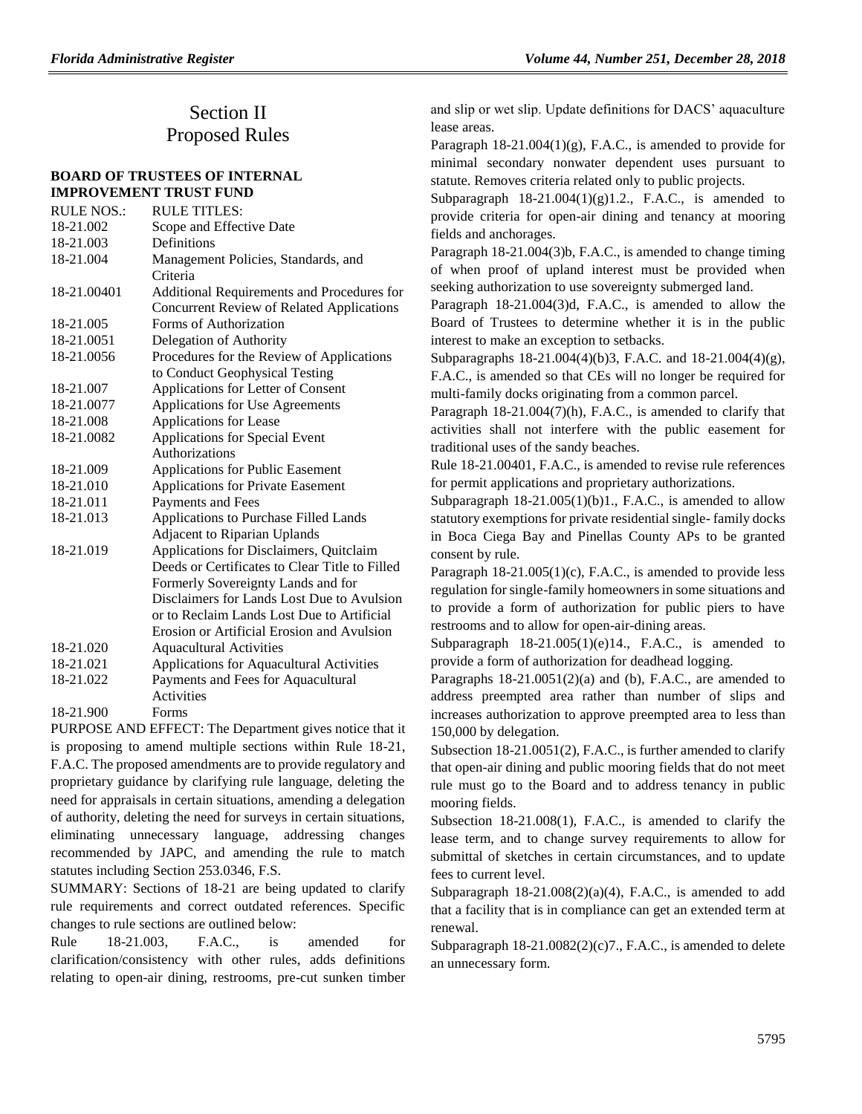## Section II Proposed Rules

#### **[BOARD OF TRUSTEES OF INTERNAL](https://www.flrules.org/gateway/department.asp?id=18)  [IMPROVEMENT TRUST FUND](https://www.flrules.org/gateway/department.asp?id=18)**

| <b>RULE NOS.:</b> | <b>RULE TITLES:</b>                            |
|-------------------|------------------------------------------------|
| 18-21.002         | Scope and Effective Date                       |
| 18-21.003         | Definitions                                    |
| 18-21.004         | Management Policies, Standards, and            |
|                   | Criteria                                       |
| 18-21.00401       | Additional Requirements and Procedures for     |
|                   | Concurrent Review of Related Applications      |
| 18-21.005         | Forms of Authorization                         |
| 18-21.0051        | Delegation of Authority                        |
| 18-21.0056        | Procedures for the Review of Applications      |
|                   | to Conduct Geophysical Testing                 |
| 18-21.007         | Applications for Letter of Consent             |
| 18-21.0077        | Applications for Use Agreements                |
| 18-21.008         | Applications for Lease                         |
| 18-21.0082        | Applications for Special Event                 |
|                   | Authorizations                                 |
| 18-21.009         | <b>Applications for Public Easement</b>        |
| 18-21.010         | <b>Applications for Private Easement</b>       |
| 18-21.011         | Payments and Fees                              |
| 18-21.013         | Applications to Purchase Filled Lands          |
|                   | <b>Adjacent to Riparian Uplands</b>            |
| 18-21.019         | Applications for Disclaimers, Quitclaim        |
|                   | Deeds or Certificates to Clear Title to Filled |
|                   | Formerly Sovereignty Lands and for             |
|                   | Disclaimers for Lands Lost Due to Avulsion     |
|                   | or to Reclaim Lands Lost Due to Artificial     |
|                   | Erosion or Artificial Erosion and Avulsion     |
| 18-21.020         | <b>Aquacultural Activities</b>                 |
| 18-21.021         | Applications for Aquacultural Activities       |
| 18-21.022         | Payments and Fees for Aquacultural             |
|                   | <b>Activities</b>                              |
| 10.21.000         | $\Gamma_{\alpha \nu \nu \alpha \alpha}$        |

[18-21.900](https://www.flrules.org/gateway/ruleNo.asp?id=18-21.900) Forms

PURPOSE AND EFFECT: The Department gives notice that it is proposing to amend multiple sections within Rule 18-21, F.A.C. The proposed amendments are to provide regulatory and proprietary guidance by clarifying rule language, deleting the need for appraisals in certain situations, amending a delegation of authority, deleting the need for surveys in certain situations, eliminating unnecessary language, addressing changes recommended by JAPC, and amending the rule to match statutes including Section 253.0346, F.S.

SUMMARY: Sections of 18-21 are being updated to clarify rule requirements and correct outdated references. Specific changes to rule sections are outlined below:

Rule 18-21.003, F.A.C., is amended for clarification/consistency with other rules, adds definitions relating to open-air dining, restrooms, pre-cut sunken timber and slip or wet slip. Update definitions for DACS' aquaculture lease areas.

Paragraph  $18-21.004(1)(g)$ , F.A.C., is amended to provide for minimal secondary nonwater dependent uses pursuant to statute. Removes criteria related only to public projects.

Subparagraph  $18-21.004(1)(g)1.2$ ., F.A.C., is amended to provide criteria for open-air dining and tenancy at mooring fields and anchorages.

Paragraph 18-21.004(3)b, F.A.C., is amended to change timing of when proof of upland interest must be provided when seeking authorization to use sovereignty submerged land.

Paragraph 18-21.004(3)d, F.A.C., is amended to allow the Board of Trustees to determine whether it is in the public interest to make an exception to setbacks.

Subparagraphs 18-21.004(4)(b)3, F.A.C. and 18-21.004(4)(g), F.A.C., is amended so that CEs will no longer be required for multi-family docks originating from a common parcel.

Paragraph 18-21.004(7)(h), F.A.C., is amended to clarify that activities shall not interfere with the public easement for traditional uses of the sandy beaches.

Rule 18-21.00401, F.A.C., is amended to revise rule references for permit applications and proprietary authorizations.

Subparagraph  $18-21.005(1)(b)1$ ., F.A.C., is amended to allow statutory exemptions for private residential single- family docks in Boca Ciega Bay and Pinellas County APs to be granted consent by rule.

Paragraph 18-21.005(1)(c), F.A.C., is amended to provide less regulation for single-family homeowners in some situations and to provide a form of authorization for public piers to have restrooms and to allow for open-air-dining areas.

Subparagraph  $18-21.005(1)(e)14$ ., F.A.C., is amended to provide a form of authorization for deadhead logging.

Paragraphs  $18-21.0051(2)$ (a) and (b), F.A.C., are amended to address preempted area rather than number of slips and increases authorization to approve preempted area to less than 150,000 by delegation.

Subsection 18-21.0051(2), F.A.C., is further amended to clarify that open-air dining and public mooring fields that do not meet rule must go to the Board and to address tenancy in public mooring fields.

Subsection 18-21.008(1), F.A.C., is amended to clarify the lease term, and to change survey requirements to allow for submittal of sketches in certain circumstances, and to update fees to current level.

Subparagraph  $18-21.008(2)(a)(4)$ , F.A.C., is amended to add that a facility that is in compliance can get an extended term at renewal.

Subparagraph  $18-21.0082(2)(c)7$ ., F.A.C., is amended to delete an unnecessary form.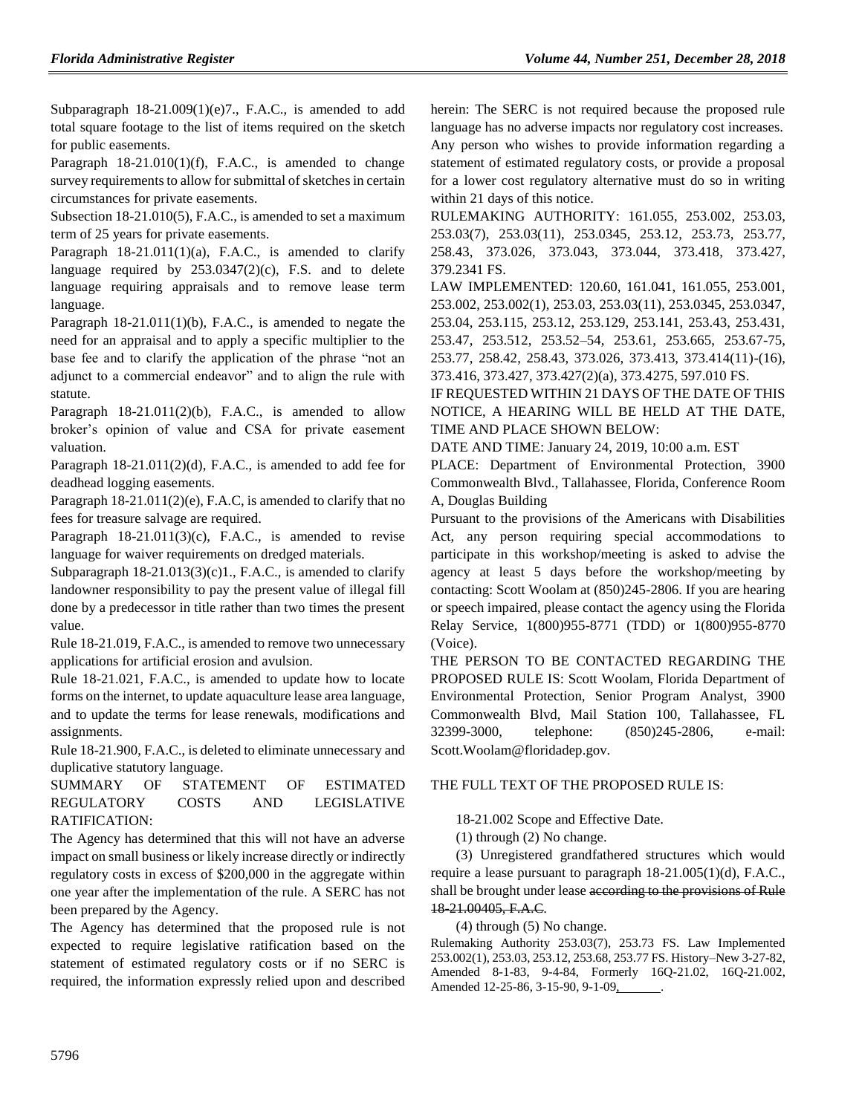Subparagraph 18-21.009(1)(e)7., F.A.C., is amended to add total square footage to the list of items required on the sketch for public easements.

Paragraph  $18-21.010(1)(f)$ , F.A.C., is amended to change survey requirements to allow for submittal of sketches in certain circumstances for private easements.

Subsection 18-21.010(5), F.A.C., is amended to set a maximum term of 25 years for private easements.

Paragraph  $18-21.011(1)(a)$ , F.A.C., is amended to clarify language required by  $253.0347(2)(c)$ , F.S. and to delete language requiring appraisals and to remove lease term language.

Paragraph 18-21.011(1)(b), F.A.C., is amended to negate the need for an appraisal and to apply a specific multiplier to the base fee and to clarify the application of the phrase "not an adjunct to a commercial endeavor" and to align the rule with statute.

Paragraph  $18-21.011(2)(b)$ , F.A.C., is amended to allow broker's opinion of value and CSA for private easement valuation.

Paragraph 18-21.011(2)(d), F.A.C., is amended to add fee for deadhead logging easements.

Paragraph 18-21.011(2)(e), F.A.C, is amended to clarify that no fees for treasure salvage are required.

Paragraph  $18-21.011(3)(c)$ , F.A.C., is amended to revise language for waiver requirements on dredged materials.

Subparagraph 18-21.013(3)(c)1., F.A.C., is amended to clarify landowner responsibility to pay the present value of illegal fill done by a predecessor in title rather than two times the present value.

Rule 18-21.019, F.A.C., is amended to remove two unnecessary applications for artificial erosion and avulsion.

Rule 18-21.021, F.A.C., is amended to update how to locate forms on the internet, to update aquaculture lease area language, and to update the terms for lease renewals, modifications and assignments.

Rule 18-21.900, F.A.C., is deleted to eliminate unnecessary and duplicative statutory language.

SUMMARY OF STATEMENT OF ESTIMATED REGULATORY COSTS AND LEGISLATIVE RATIFICATION:

The Agency has determined that this will not have an adverse impact on small business or likely increase directly or indirectly regulatory costs in excess of \$200,000 in the aggregate within one year after the implementation of the rule. A SERC has not been prepared by the Agency.

The Agency has determined that the proposed rule is not expected to require legislative ratification based on the statement of estimated regulatory costs or if no SERC is required, the information expressly relied upon and described herein: The SERC is not required because the proposed rule language has no adverse impacts nor regulatory cost increases. Any person who wishes to provide information regarding a statement of estimated regulatory costs, or provide a proposal for a lower cost regulatory alternative must do so in writing within 21 days of this notice.

RULEMAKING AUTHORITY: [161.055,](https://www.flrules.org/gateway/statute.asp?id=161.055) [253.002,](https://www.flrules.org/gateway/statute.asp?id=%20253.002) [253.03,](https://www.flrules.org/gateway/statute.asp?id=%20253.03) [253.03\(7\),](https://www.flrules.org/gateway/statute.asp?id=%20253.03(7)) [253.03\(11\),](https://www.flrules.org/gateway/statute.asp?id=253.03(11)) [253.0345,](https://www.flrules.org/gateway/statute.asp?id=%20253.0345) [253.12,](https://www.flrules.org/gateway/statute.asp?id=%20253.12) [253.73,](https://www.flrules.org/gateway/statute.asp?id=%20253.73) [253.77,](https://www.flrules.org/gateway/statute.asp?id=%20253.77) [258.43,](https://www.flrules.org/gateway/statute.asp?id=%20258.43) [373.026,](https://www.flrules.org/gateway/statute.asp?id=%20373.026) [373.043,](https://www.flrules.org/gateway/statute.asp?id=%20373.043) [373.044,](https://www.flrules.org/gateway/statute.asp?id=%20373.044) [373.418,](https://www.flrules.org/gateway/statute.asp?id=%20373.418) [373.427,](https://www.flrules.org/gateway/statute.asp?id=%20373.427) [379.2341 FS.](https://www.flrules.org/gateway/statute.asp?id=%20379.2341%20F.S.)

LAW IMPLEMENTED: [120.60, 161.041, 161.055, 253.001,](https://www.flrules.org/gateway/cfr.asp?id=120.60,%20161.041,%20161.055,%20253.001,%20253.002,%20253.002(1),%20253.03,%20253.03(11),%20253.0345,%20253.0347,%20253.04,%20253.115,%20253.12,%20253.129,%20253.141,%20253.43,%20253.431,%20253.47,%20253.512,%20253.52–54,%20253.61,%20253.665,%20253.67-75,%20253.77,%20258.42,%20258.43,%20373.026,%20373.413,%20373.414(11)-(16),%20373.416,%20373.427,%20373.427(2)(a),%20373.4275,%20597.010%20F.S)  [253.002, 253.002\(1\), 253.03, 253.03\(11\), 253.0345, 253.0347,](https://www.flrules.org/gateway/cfr.asp?id=120.60,%20161.041,%20161.055,%20253.001,%20253.002,%20253.002(1),%20253.03,%20253.03(11),%20253.0345,%20253.0347,%20253.04,%20253.115,%20253.12,%20253.129,%20253.141,%20253.43,%20253.431,%20253.47,%20253.512,%20253.52–54,%20253.61,%20253.665,%20253.67-75,%20253.77,%20258.42,%20258.43,%20373.026,%20373.413,%20373.414(11)-(16),%20373.416,%20373.427,%20373.427(2)(a),%20373.4275,%20597.010%20F.S)  [253.04, 253.115, 253.12, 253.129, 253.141, 253.43, 253.431,](https://www.flrules.org/gateway/cfr.asp?id=120.60,%20161.041,%20161.055,%20253.001,%20253.002,%20253.002(1),%20253.03,%20253.03(11),%20253.0345,%20253.0347,%20253.04,%20253.115,%20253.12,%20253.129,%20253.141,%20253.43,%20253.431,%20253.47,%20253.512,%20253.52–54,%20253.61,%20253.665,%20253.67-75,%20253.77,%20258.42,%20258.43,%20373.026,%20373.413,%20373.414(11)-(16),%20373.416,%20373.427,%20373.427(2)(a),%20373.4275,%20597.010%20F.S)  [253.47, 253.512, 253.52–54, 253.61, 253.665, 253.67-75,](https://www.flrules.org/gateway/cfr.asp?id=120.60,%20161.041,%20161.055,%20253.001,%20253.002,%20253.002(1),%20253.03,%20253.03(11),%20253.0345,%20253.0347,%20253.04,%20253.115,%20253.12,%20253.129,%20253.141,%20253.43,%20253.431,%20253.47,%20253.512,%20253.52–54,%20253.61,%20253.665,%20253.67-75,%20253.77,%20258.42,%20258.43,%20373.026,%20373.413,%20373.414(11)-(16),%20373.416,%20373.427,%20373.427(2)(a),%20373.4275,%20597.010%20F.S)  [253.77, 258.42, 258.43, 373.026, 373.413, 373.414\(11\)-\(16\),](https://www.flrules.org/gateway/cfr.asp?id=120.60,%20161.041,%20161.055,%20253.001,%20253.002,%20253.002(1),%20253.03,%20253.03(11),%20253.0345,%20253.0347,%20253.04,%20253.115,%20253.12,%20253.129,%20253.141,%20253.43,%20253.431,%20253.47,%20253.512,%20253.52–54,%20253.61,%20253.665,%20253.67-75,%20253.77,%20258.42,%20258.43,%20373.026,%20373.413,%20373.414(11)-(16),%20373.416,%20373.427,%20373.427(2)(a),%20373.4275,%20597.010%20F.S)  [373.416, 373.427, 373.427\(2\)\(a\), 373.4275, 597.010 FS.](https://www.flrules.org/gateway/cfr.asp?id=120.60,%20161.041,%20161.055,%20253.001,%20253.002,%20253.002(1),%20253.03,%20253.03(11),%20253.0345,%20253.0347,%20253.04,%20253.115,%20253.12,%20253.129,%20253.141,%20253.43,%20253.431,%20253.47,%20253.512,%20253.52–54,%20253.61,%20253.665,%20253.67-75,%20253.77,%20258.42,%20258.43,%20373.026,%20373.413,%20373.414(11)-(16),%20373.416,%20373.427,%20373.427(2)(a),%20373.4275,%20597.010%20F.S)

IF REQUESTED WITHIN 21 DAYS OF THE DATE OF THIS NOTICE, A HEARING WILL BE HELD AT THE DATE, TIME AND PLACE SHOWN BELOW:

DATE AND TIME: January 24, 2019, 10:00 a.m. EST

PLACE: Department of Environmental Protection, 3900 Commonwealth Blvd., Tallahassee, Florida, Conference Room A, Douglas Building

Pursuant to the provisions of the Americans with Disabilities Act, any person requiring special accommodations to participate in this workshop/meeting is asked to advise the agency at least 5 days before the workshop/meeting by contacting: Scott Woolam at (850)245-2806. If you are hearing or speech impaired, please contact the agency using the Florida Relay Service, 1(800)955-8771 (TDD) or 1(800)955-8770 (Voice).

THE PERSON TO BE CONTACTED REGARDING THE PROPOSED RULE IS: Scott Woolam, Florida Department of Environmental Protection, Senior Program Analyst, 3900 Commonwealth Blvd, Mail Station 100, Tallahassee, FL 32399-3000, telephone: (850)245-2806, e-mail: Scott.Woolam@floridadep.gov.

#### THE FULL TEXT OF THE PROPOSED RULE IS:

18-21.002 Scope and Effective Date.

(1) through (2) No change.

(3) Unregistered grandfathered structures which would require a lease pursuant to paragraph 18-21.005(1)(d), F.A.C., shall be brought under lease according to the provisions of Rule 18-21.00405, F.A.C.

(4) through (5) No change.

Rulemaking Authority 253.03(7), 253.73 FS. Law Implemented 253.002(1), 253.03, 253.12, 253.68, 253.77 FS. History–New 3-27-82, Amended 8-1-83, 9-4-84, Formerly 16Q-21.02, 16Q-21.002, Amended 12-25-86, 3-15-90, 9-1-09,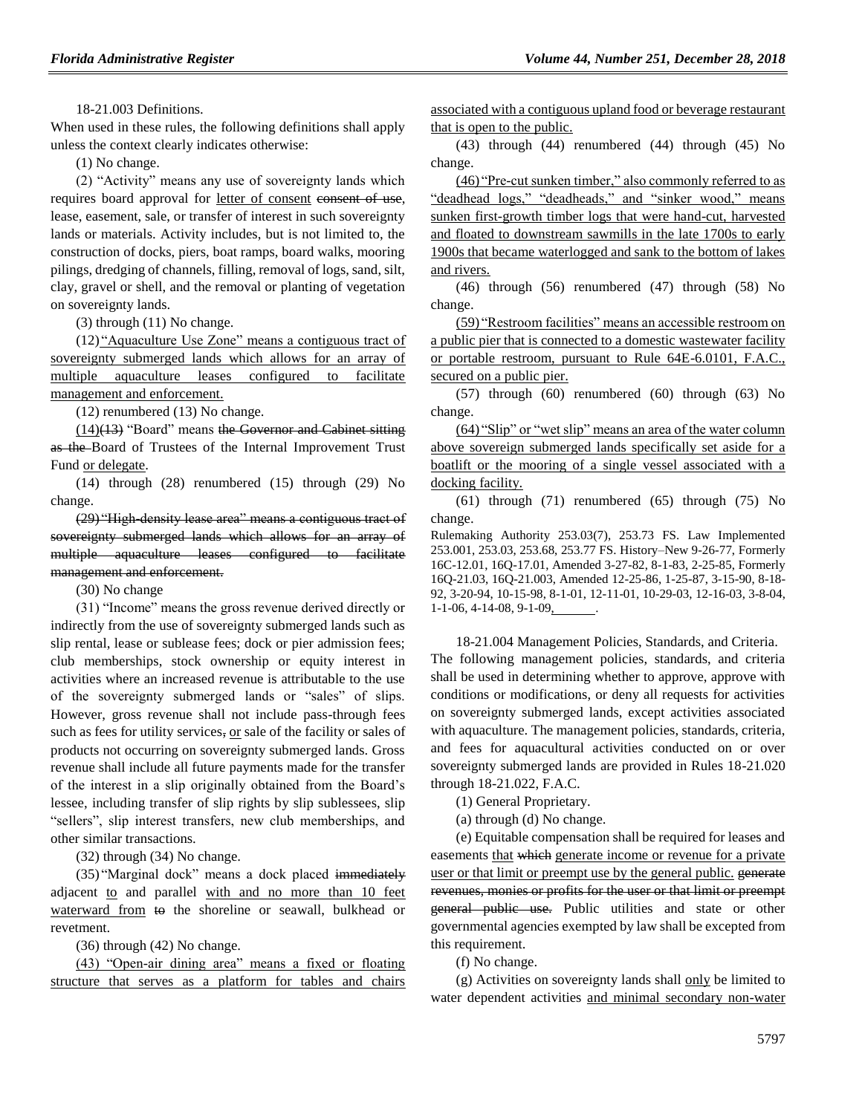18-21.003 Definitions.

When used in these rules, the following definitions shall apply unless the context clearly indicates otherwise:

(1) No change.

(2) "Activity" means any use of sovereignty lands which requires board approval for <u>letter of consent consent of use</u>, lease, easement, sale, or transfer of interest in such sovereignty lands or materials. Activity includes, but is not limited to, the construction of docks, piers, boat ramps, board walks, mooring pilings, dredging of channels, filling, removal of logs, sand, silt, clay, gravel or shell, and the removal or planting of vegetation on sovereignty lands.

(3) through (11) No change.

(12) "Aquaculture Use Zone" means a contiguous tract of sovereignty submerged lands which allows for an array of multiple aquaculture leases configured to facilitate management and enforcement.

(12) renumbered (13) No change.

 $(14)$ (13) "Board" means the Governor and Cabinet sitting as the Board of Trustees of the Internal Improvement Trust Fund or delegate.

(14) through (28) renumbered (15) through (29) No change.

(29) "High-density lease area" means a contiguous tract of sovereignty submerged lands which allows for an array of multiple aquaculture leases configured to facilitate management and enforcement.

(30) No change

(31) "Income" means the gross revenue derived directly or indirectly from the use of sovereignty submerged lands such as slip rental, lease or sublease fees; dock or pier admission fees; club memberships, stock ownership or equity interest in activities where an increased revenue is attributable to the use of the sovereignty submerged lands or "sales" of slips. However, gross revenue shall not include pass-through fees such as fees for utility services, or sale of the facility or sales of products not occurring on sovereignty submerged lands. Gross revenue shall include all future payments made for the transfer of the interest in a slip originally obtained from the Board's lessee, including transfer of slip rights by slip sublessees, slip "sellers", slip interest transfers, new club memberships, and other similar transactions.

(32) through (34) No change.

(35) "Marginal dock" means a dock placed immediately adjacent to and parallel with and no more than 10 feet waterward from to the shoreline or seawall, bulkhead or revetment.

(36) through (42) No change.

(43) "Open-air dining area" means a fixed or floating structure that serves as a platform for tables and chairs associated with a contiguous upland food or beverage restaurant that is open to the public.

(43) through (44) renumbered (44) through (45) No change.

(46) "Pre-cut sunken timber," also commonly referred to as "deadhead logs," "deadheads," and "sinker wood," means sunken first-growth timber logs that were hand-cut, harvested and floated to downstream sawmills in the late 1700s to early 1900s that became waterlogged and sank to the bottom of lakes and rivers.

(46) through (56) renumbered (47) through (58) No change.

(59) "Restroom facilities" means an accessible restroom on a public pier that is connected to a domestic wastewater facility or portable restroom, pursuant to Rule 64E-6.0101, F.A.C., secured on a public pier.

(57) through (60) renumbered (60) through (63) No change.

(64) "Slip" or "wet slip" means an area of the water column above sovereign submerged lands specifically set aside for a boatlift or the mooring of a single vessel associated with a docking facility.

(61) through (71) renumbered (65) through (75) No change.

Rulemaking Authority 253.03(7), 253.73 FS. Law Implemented 253.001, 253.03, 253.68, 253.77 FS. History–New 9-26-77, Formerly 16C-12.01, 16Q-17.01, Amended 3-27-82, 8-1-83, 2-25-85, Formerly 16Q-21.03, 16Q-21.003, Amended 12-25-86, 1-25-87, 3-15-90, 8-18- 92, 3-20-94, 10-15-98, 8-1-01, 12-11-01, 10-29-03, 12-16-03, 3-8-04, 1-1-06, 4-14-08, 9-1-09, .

18-21.004 Management Policies, Standards, and Criteria. The following management policies, standards, and criteria shall be used in determining whether to approve, approve with conditions or modifications, or deny all requests for activities on sovereignty submerged lands, except activities associated with aquaculture. The management policies, standards, criteria, and fees for aquacultural activities conducted on or over sovereignty submerged lands are provided in Rules 18-21.020 through 18-21.022, F.A.C.

(1) General Proprietary.

(a) through (d) No change.

(e) Equitable compensation shall be required for leases and easements that which generate income or revenue for a private user or that limit or preempt use by the general public. generate revenues, monies or profits for the user or that limit or preempt general public use. Public utilities and state or other governmental agencies exempted by law shall be excepted from this requirement.

(f) No change.

(g) Activities on sovereignty lands shall only be limited to water dependent activities and minimal secondary non-water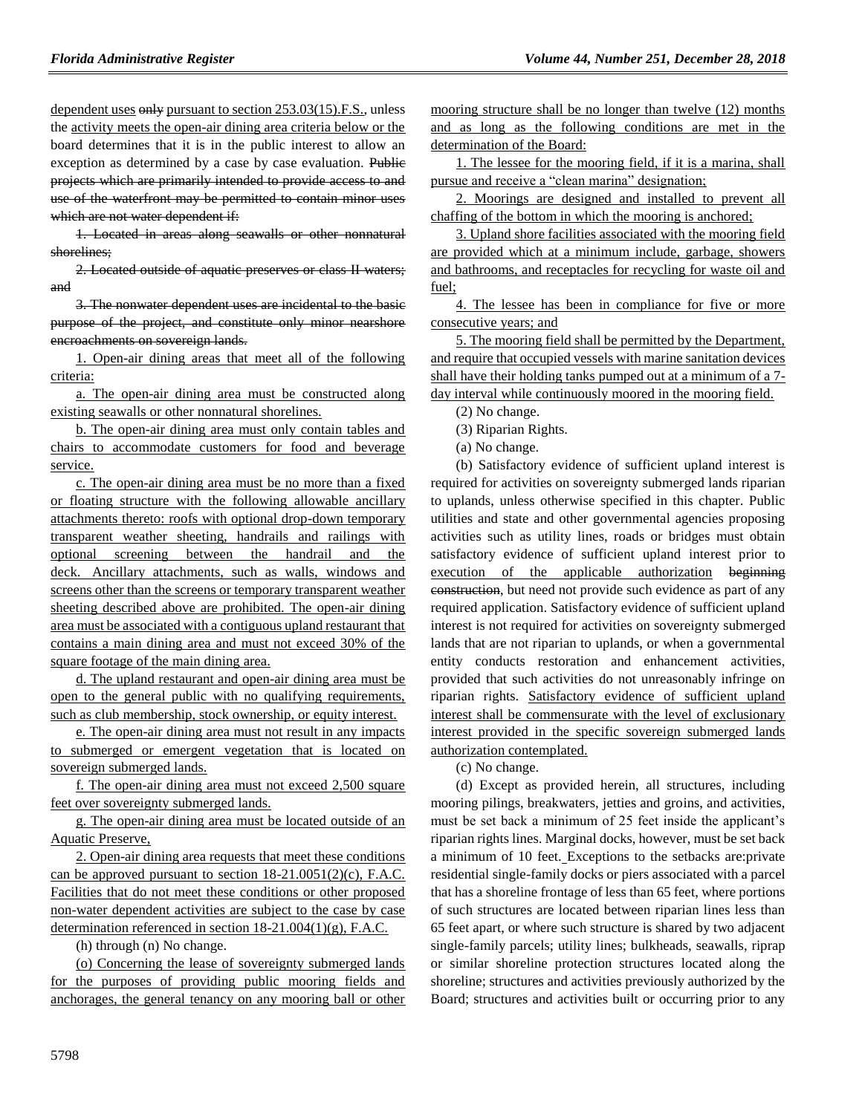dependent uses only pursuant to section 253.03(15).F.S., unless the activity meets the open-air dining area criteria below or the board determines that it is in the public interest to allow an exception as determined by a case by case evaluation. Public projects which are primarily intended to provide access to and use of the waterfront may be permitted to contain minor uses which are not water dependent if:

1. Located in areas along seawalls or other nonnatural shorelines;

2. Located outside of aquatic preserves or class II waters; and

3. The nonwater dependent uses are incidental to the basic purpose of the project, and constitute only minor nearshore encroachments on sovereign lands.

1. Open-air dining areas that meet all of the following criteria:

a. The open-air dining area must be constructed along existing seawalls or other nonnatural shorelines.

b. The open-air dining area must only contain tables and chairs to accommodate customers for food and beverage service.

c. The open-air dining area must be no more than a fixed or floating structure with the following allowable ancillary attachments thereto: roofs with optional drop-down temporary transparent weather sheeting, handrails and railings with optional screening between the handrail and the deck. Ancillary attachments, such as walls, windows and screens other than the screens or temporary transparent weather sheeting described above are prohibited. The open-air dining area must be associated with a contiguous upland restaurant that contains a main dining area and must not exceed 30% of the square footage of the main dining area.

d. The upland restaurant and open-air dining area must be open to the general public with no qualifying requirements, such as club membership, stock ownership, or equity interest.

e. The open-air dining area must not result in any impacts to submerged or emergent vegetation that is located on sovereign submerged lands.

f. The open-air dining area must not exceed 2,500 square feet over sovereignty submerged lands.

g. The open-air dining area must be located outside of an Aquatic Preserve,

2. Open-air dining area requests that meet these conditions can be approved pursuant to section  $18-21.0051(2)$ (c), F.A.C. Facilities that do not meet these conditions or other proposed non-water dependent activities are subject to the case by case determination referenced in section 18-21.004(1)(g), F.A.C.

(h) through (n) No change.

(o) Concerning the lease of sovereignty submerged lands for the purposes of providing public mooring fields and anchorages, the general tenancy on any mooring ball or other mooring structure shall be no longer than twelve (12) months and as long as the following conditions are met in the determination of the Board:

1. The lessee for the mooring field, if it is a marina, shall pursue and receive a "clean marina" designation;

2. Moorings are designed and installed to prevent all chaffing of the bottom in which the mooring is anchored;

3. Upland shore facilities associated with the mooring field are provided which at a minimum include, garbage, showers and bathrooms, and receptacles for recycling for waste oil and fuel;

4. The lessee has been in compliance for five or more consecutive years; and

5. The mooring field shall be permitted by the Department, and require that occupied vessels with marine sanitation devices shall have their holding tanks pumped out at a minimum of a 7 day interval while continuously moored in the mooring field.

(2) No change.

(3) Riparian Rights.

(a) No change.

(b) Satisfactory evidence of sufficient upland interest is required for activities on sovereignty submerged lands riparian to uplands, unless otherwise specified in this chapter. Public utilities and state and other governmental agencies proposing activities such as utility lines, roads or bridges must obtain satisfactory evidence of sufficient upland interest prior to execution of the applicable authorization beginning construction, but need not provide such evidence as part of any required application. Satisfactory evidence of sufficient upland interest is not required for activities on sovereignty submerged lands that are not riparian to uplands, or when a governmental entity conducts restoration and enhancement activities, provided that such activities do not unreasonably infringe on riparian rights. Satisfactory evidence of sufficient upland interest shall be commensurate with the level of exclusionary interest provided in the specific sovereign submerged lands authorization contemplated.

(c) No change.

(d) Except as provided herein, all structures, including mooring pilings, breakwaters, jetties and groins, and activities, must be set back a minimum of 25 feet inside the applicant's riparian rights lines. Marginal docks, however, must be set back a minimum of 10 feet. Exceptions to the setbacks are:private residential single-family docks or piers associated with a parcel that has a shoreline frontage of less than 65 feet, where portions of such structures are located between riparian lines less than 65 feet apart, or where such structure is shared by two adjacent single-family parcels; utility lines; bulkheads, seawalls, riprap or similar shoreline protection structures located along the shoreline; structures and activities previously authorized by the Board; structures and activities built or occurring prior to any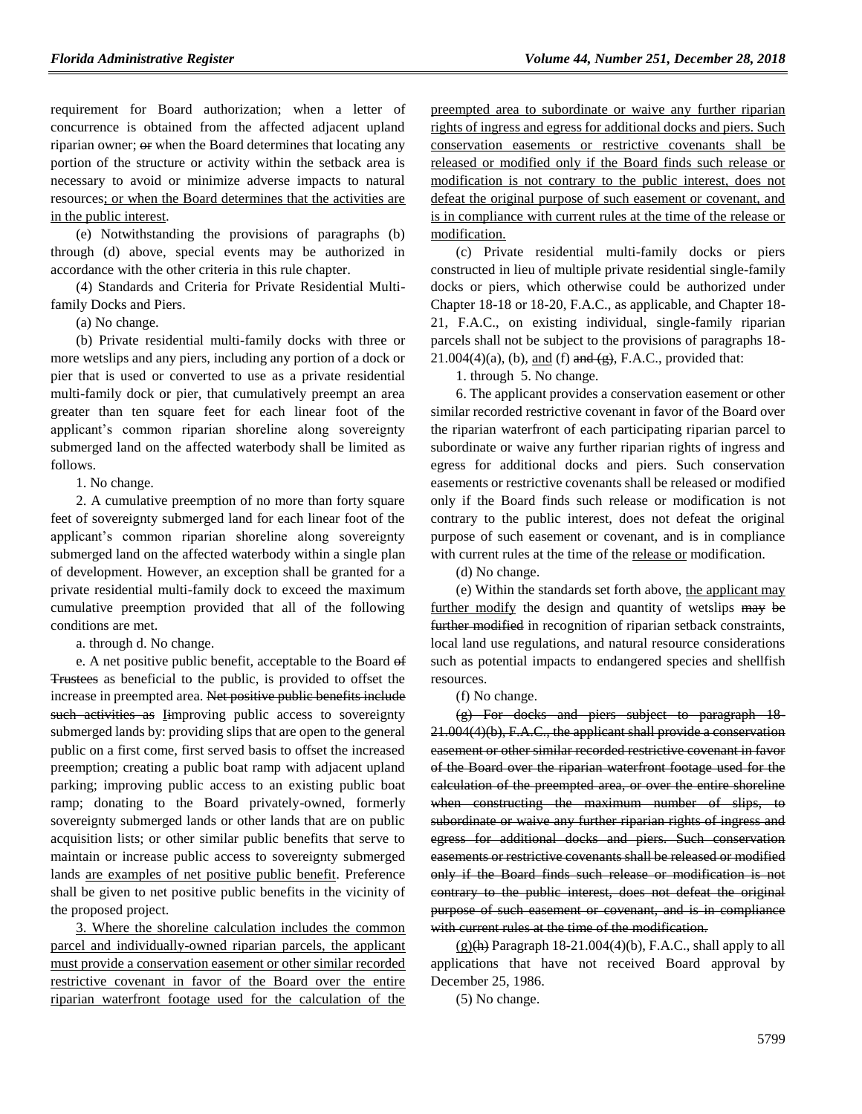requirement for Board authorization; when a letter of concurrence is obtained from the affected adjacent upland riparian owner;  $\Theta$  when the Board determines that locating any portion of the structure or activity within the setback area is necessary to avoid or minimize adverse impacts to natural resources; or when the Board determines that the activities are in the public interest.

(e) Notwithstanding the provisions of paragraphs (b) through (d) above, special events may be authorized in accordance with the other criteria in this rule chapter.

(4) Standards and Criteria for Private Residential Multifamily Docks and Piers.

(a) No change.

(b) Private residential multi-family docks with three or more wetslips and any piers, including any portion of a dock or pier that is used or converted to use as a private residential multi-family dock or pier, that cumulatively preempt an area greater than ten square feet for each linear foot of the applicant's common riparian shoreline along sovereignty submerged land on the affected waterbody shall be limited as follows.

1. No change.

2. A cumulative preemption of no more than forty square feet of sovereignty submerged land for each linear foot of the applicant's common riparian shoreline along sovereignty submerged land on the affected waterbody within a single plan of development. However, an exception shall be granted for a private residential multi-family dock to exceed the maximum cumulative preemption provided that all of the following conditions are met.

a. through d. No change.

e. A net positive public benefit, acceptable to the Board of Trustees as beneficial to the public, is provided to offset the increase in preempted area. Net positive public benefits include such activities as Iimproving public access to sovereignty submerged lands by: providing slips that are open to the general public on a first come, first served basis to offset the increased preemption; creating a public boat ramp with adjacent upland parking; improving public access to an existing public boat ramp; donating to the Board privately-owned, formerly sovereignty submerged lands or other lands that are on public acquisition lists; or other similar public benefits that serve to maintain or increase public access to sovereignty submerged lands are examples of net positive public benefit. Preference shall be given to net positive public benefits in the vicinity of the proposed project.

3. Where the shoreline calculation includes the common parcel and individually-owned riparian parcels, the applicant must provide a conservation easement or other similar recorded restrictive covenant in favor of the Board over the entire riparian waterfront footage used for the calculation of the preempted area to subordinate or waive any further riparian rights of ingress and egress for additional docks and piers. Such conservation easements or restrictive covenants shall be released or modified only if the Board finds such release or modification is not contrary to the public interest, does not defeat the original purpose of such easement or covenant, and is in compliance with current rules at the time of the release or modification.

(c) Private residential multi-family docks or piers constructed in lieu of multiple private residential single-family docks or piers, which otherwise could be authorized under Chapter 18-18 or 18-20, F.A.C., as applicable, and Chapter 18- 21, F.A.C., on existing individual, single-family riparian parcels shall not be subject to the provisions of paragraphs 18-  $21.004(4)(a)$ , (b), and (f) and  $(g)$ , F.A.C., provided that:

1. through 5. No change.

6. The applicant provides a conservation easement or other similar recorded restrictive covenant in favor of the Board over the riparian waterfront of each participating riparian parcel to subordinate or waive any further riparian rights of ingress and egress for additional docks and piers. Such conservation easements or restrictive covenants shall be released or modified only if the Board finds such release or modification is not contrary to the public interest, does not defeat the original purpose of such easement or covenant, and is in compliance with current rules at the time of the release or modification.

(d) No change.

(e) Within the standards set forth above, the applicant may further modify the design and quantity of wetslips may be further modified in recognition of riparian setback constraints, local land use regulations, and natural resource considerations such as potential impacts to endangered species and shellfish resources.

#### (f) No change.

(g) For docks and piers subject to paragraph 18- 21.004(4)(b), F.A.C., the applicant shall provide a conservation easement or other similar recorded restrictive covenant in favor of the Board over the riparian waterfront footage used for the calculation of the preempted area, or over the entire shoreline when constructing the maximum number of slips, to subordinate or waive any further riparian rights of ingress and egress for additional docks and piers. Such conservation easements or restrictive covenants shall be released or modified only if the Board finds such release or modification is not contrary to the public interest, does not defeat the original purpose of such easement or covenant, and is in compliance with current rules at the time of the modification.

 $(g)(h)$  Paragraph 18-21.004(4)(b), F.A.C., shall apply to all applications that have not received Board approval by December 25, 1986.

(5) No change.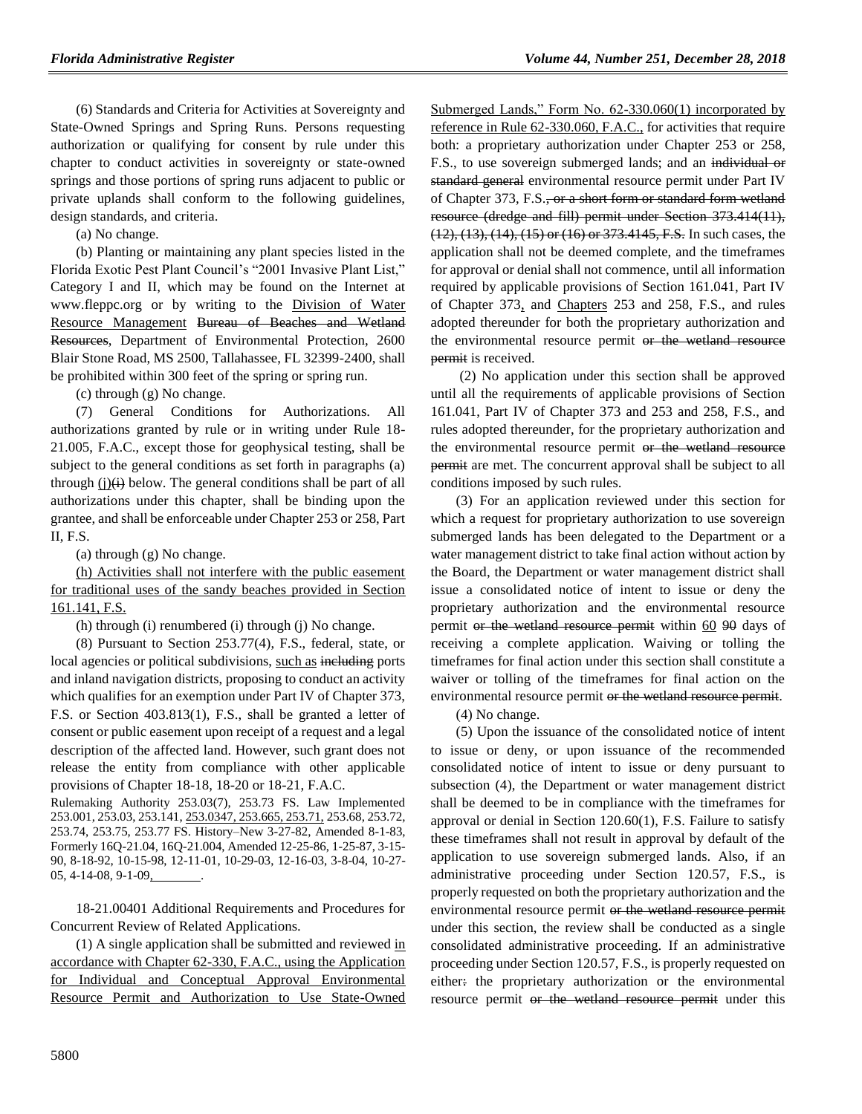(6) Standards and Criteria for Activities at Sovereignty and State-Owned Springs and Spring Runs. Persons requesting authorization or qualifying for consent by rule under this chapter to conduct activities in sovereignty or state-owned springs and those portions of spring runs adjacent to public or private uplands shall conform to the following guidelines, design standards, and criteria.

(a) No change.

(b) Planting or maintaining any plant species listed in the Florida Exotic Pest Plant Council's "2001 Invasive Plant List," Category I and II, which may be found on the Internet at www.fleppc.org or by writing to the Division of Water Resource Management Bureau of Beaches and Wetland Resources, Department of Environmental Protection, 2600 Blair Stone Road, MS 2500, Tallahassee, FL 32399-2400, shall be prohibited within 300 feet of the spring or spring run.

(c) through (g) No change.

(7) General Conditions for Authorizations. All authorizations granted by rule or in writing under Rule 18- 21.005, F.A.C., except those for geophysical testing, shall be subject to the general conditions as set forth in paragraphs (a) through  $(i)$ (i) below. The general conditions shall be part of all authorizations under this chapter, shall be binding upon the grantee, and shall be enforceable under Chapter 253 or 258, Part II, F.S.

(a) through (g) No change.

(h) Activities shall not interfere with the public easement for traditional uses of the sandy beaches provided in Section 161.141, F.S.

(h) through (i) renumbered (i) through (j) No change.

(8) Pursuant to Section 253.77(4), F.S., federal, state, or local agencies or political subdivisions, such as including ports and inland navigation districts, proposing to conduct an activity which qualifies for an exemption under Part IV of Chapter 373, F.S. or Section 403.813(1), F.S., shall be granted a letter of consent or public easement upon receipt of a request and a legal description of the affected land. However, such grant does not release the entity from compliance with other applicable provisions of Chapter 18-18, 18-20 or 18-21, F.A.C.

Rulemaking Authority 253.03(7), 253.73 FS. Law Implemented 253.001, 253.03, 253.141, 253.0347, 253.665, 253.71, 253.68, 253.72, 253.74, 253.75, 253.77 FS. History–New 3-27-82, Amended 8-1-83, Formerly 16Q-21.04, 16Q-21.004, Amended 12-25-86, 1-25-87, 3-15- 90, 8-18-92, 10-15-98, 12-11-01, 10-29-03, 12-16-03, 3-8-04, 10-27- 05, 4-14-08, 9-1-09,

18-21.00401 Additional Requirements and Procedures for Concurrent Review of Related Applications.

(1) A single application shall be submitted and reviewed in accordance with Chapter 62-330, F.A.C., using the Application for Individual and Conceptual Approval Environmental Resource Permit and Authorization to Use State-Owned

Submerged Lands," Form No. 62-330.060(1) incorporated by reference in Rule 62-330.060, F.A.C., for activities that require both: a proprietary authorization under Chapter 253 or 258, F.S., to use sovereign submerged lands; and an individual or standard general environmental resource permit under Part IV of Chapter 373, F.S., or a short form or standard form wetland resource (dredge and fill) permit under Section 373.414(11), (12), (13), (14), (15) or (16) or 373.4145, F.S. In such cases, the application shall not be deemed complete, and the timeframes for approval or denial shall not commence, until all information required by applicable provisions of Section 161.041, Part IV of Chapter 373, and Chapters 253 and 258, F.S., and rules adopted thereunder for both the proprietary authorization and the environmental resource permit or the wetland resource permit is received.

(2) No application under this section shall be approved until all the requirements of applicable provisions of Section 161.041, Part IV of Chapter 373 and 253 and 258, F.S., and rules adopted thereunder, for the proprietary authorization and the environmental resource permit or the wetland resource permit are met. The concurrent approval shall be subject to all conditions imposed by such rules.

(3) For an application reviewed under this section for which a request for proprietary authorization to use sovereign submerged lands has been delegated to the Department or a water management district to take final action without action by the Board, the Department or water management district shall issue a consolidated notice of intent to issue or deny the proprietary authorization and the environmental resource permit or the wetland resource permit within 60 90 days of receiving a complete application. Waiving or tolling the timeframes for final action under this section shall constitute a waiver or tolling of the timeframes for final action on the environmental resource permit or the wetland resource permit.

(4) No change.

(5) Upon the issuance of the consolidated notice of intent to issue or deny, or upon issuance of the recommended consolidated notice of intent to issue or deny pursuant to subsection (4), the Department or water management district shall be deemed to be in compliance with the timeframes for approval or denial in Section 120.60(1), F.S. Failure to satisfy these timeframes shall not result in approval by default of the application to use sovereign submerged lands. Also, if an administrative proceeding under Section 120.57, F.S., is properly requested on both the proprietary authorization and the environmental resource permit or the wetland resource permit under this section, the review shall be conducted as a single consolidated administrative proceeding. If an administrative proceeding under Section 120.57, F.S., is properly requested on either: the proprietary authorization or the environmental resource permit or the wetland resource permit under this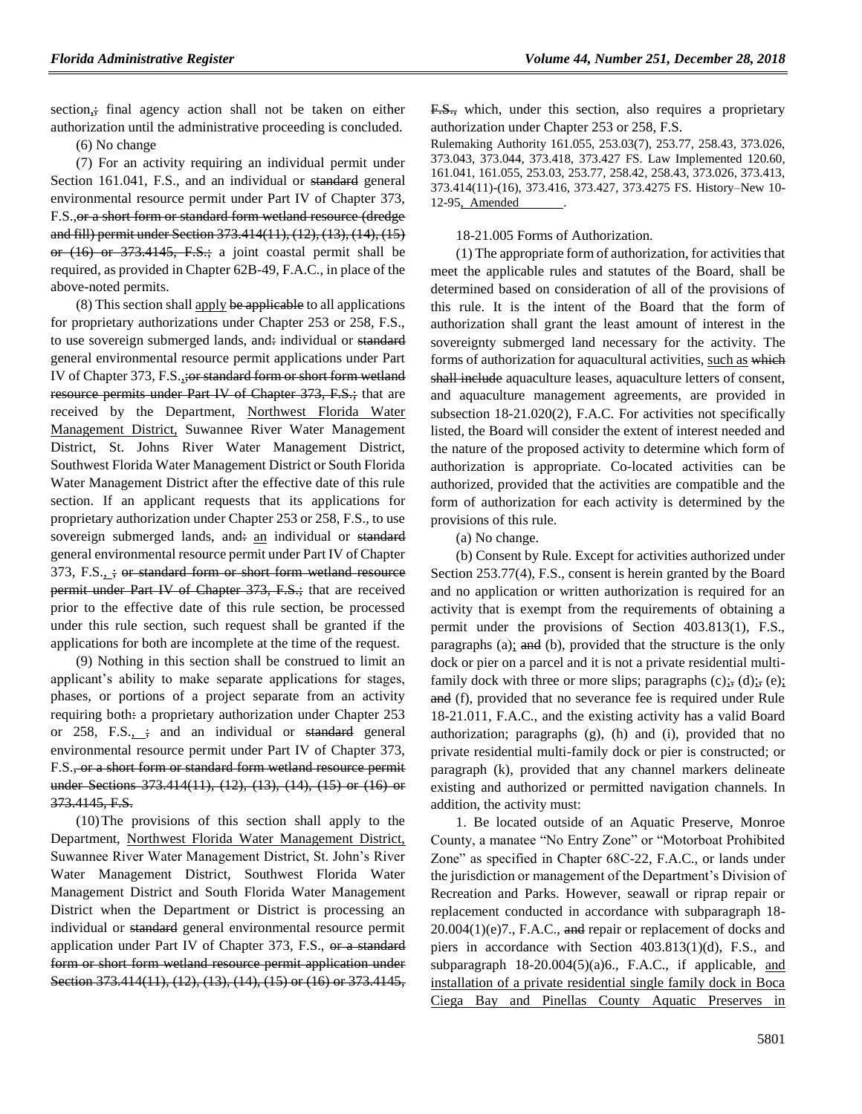section<sub>i</sub>; final agency action shall not be taken on either authorization until the administrative proceeding is concluded.

(6) No change

(7) For an activity requiring an individual permit under Section 161.041, F.S., and an individual or standard general environmental resource permit under Part IV of Chapter 373, F.S.,or a short form or standard form wetland resource (dredge and fill) permit under Section 373.414(11), (12), (13), (14), (15) or (16) or 373.4145, F.S.; a joint coastal permit shall be required, as provided in Chapter 62B-49, F.A.C., in place of the above-noted permits.

(8) This section shall apply be applicable to all applications for proprietary authorizations under Chapter 253 or 258, F.S., to use sovereign submerged lands, and: individual or standard general environmental resource permit applications under Part IV of Chapter 373, F.S.,;or standard form or short form wetland resource permits under Part IV of Chapter 373, F.S.; that are received by the Department, Northwest Florida Water Management District, Suwannee River Water Management District, St. Johns River Water Management District, Southwest Florida Water Management District or South Florida Water Management District after the effective date of this rule section. If an applicant requests that its applications for proprietary authorization under Chapter 253 or 258, F.S., to use sovereign submerged lands, and: an individual or standard general environmental resource permit under Part IV of Chapter 373, F.S.,  $\div$ ; or standard form or short form wetland resource permit under Part IV of Chapter 373, F.S.; that are received prior to the effective date of this rule section, be processed under this rule section, such request shall be granted if the applications for both are incomplete at the time of the request.

(9) Nothing in this section shall be construed to limit an applicant's ability to make separate applications for stages, phases, or portions of a project separate from an activity requiring both: a proprietary authorization under Chapter 253 or  $258$ , F.S.,  $\div$ ; and an individual or standard general environmental resource permit under Part IV of Chapter 373, F.S., or a short form or standard form wetland resource permit under Sections 373.414(11), (12), (13), (14), (15) or (16) or 373.4145, F.S.

(10)The provisions of this section shall apply to the Department, Northwest Florida Water Management District, Suwannee River Water Management District, St. John's River Water Management District, Southwest Florida Water Management District and South Florida Water Management District when the Department or District is processing an individual or standard general environmental resource permit application under Part IV of Chapter 373, F.S., or a standard form or short form wetland resource permit application under Section 373.414(11), (12), (13), (14), (15) or (16) or 373.4145, F.S., which, under this section, also requires a proprietary authorization under Chapter 253 or 258, F.S.

Rulemaking Authority 161.055, 253.03(7), 253.77, 258.43, 373.026, 373.043, 373.044, 373.418, 373.427 FS. Law Implemented 120.60, 161.041, 161.055, 253.03, 253.77, 258.42, 258.43, 373.026, 373.413, 373.414(11)-(16), 373.416, 373.427, 373.4275 FS. History–New 10- 12-95, Amended

18-21.005 Forms of Authorization.

(1) The appropriate form of authorization, for activities that meet the applicable rules and statutes of the Board, shall be determined based on consideration of all of the provisions of this rule. It is the intent of the Board that the form of authorization shall grant the least amount of interest in the sovereignty submerged land necessary for the activity. The forms of authorization for aquacultural activities, such as which shall include aquaculture leases, aquaculture letters of consent, and aquaculture management agreements, are provided in subsection 18-21.020(2), F.A.C. For activities not specifically listed, the Board will consider the extent of interest needed and the nature of the proposed activity to determine which form of authorization is appropriate. Co-located activities can be authorized, provided that the activities are compatible and the form of authorization for each activity is determined by the provisions of this rule.

(a) No change.

(b) Consent by Rule. Except for activities authorized under Section 253.77(4), F.S., consent is herein granted by the Board and no application or written authorization is required for an activity that is exempt from the requirements of obtaining a permit under the provisions of Section 403.813(1), F.S., paragraphs (a); and (b), provided that the structure is the only dock or pier on a parcel and it is not a private residential multifamily dock with three or more slips; paragraphs  $(c)$ ;,  $(d)$ ;,  $(e)$ ; and (f), provided that no severance fee is required under Rule 18-21.011, F.A.C., and the existing activity has a valid Board authorization; paragraphs (g), (h) and (i), provided that no private residential multi-family dock or pier is constructed; or paragraph (k), provided that any channel markers delineate existing and authorized or permitted navigation channels. In addition, the activity must:

1. Be located outside of an Aquatic Preserve, Monroe County, a manatee "No Entry Zone" or "Motorboat Prohibited Zone" as specified in Chapter 68C-22, F.A.C., or lands under the jurisdiction or management of the Department's Division of Recreation and Parks. However, seawall or riprap repair or replacement conducted in accordance with subparagraph 18-  $20.004(1)(e)7$ ., F.A.C., and repair or replacement of docks and piers in accordance with Section 403.813(1)(d), F.S., and subparagraph 18-20.004(5)(a)6., F.A.C., if applicable, and installation of a private residential single family dock in Boca Ciega Bay and Pinellas County Aquatic Preserves in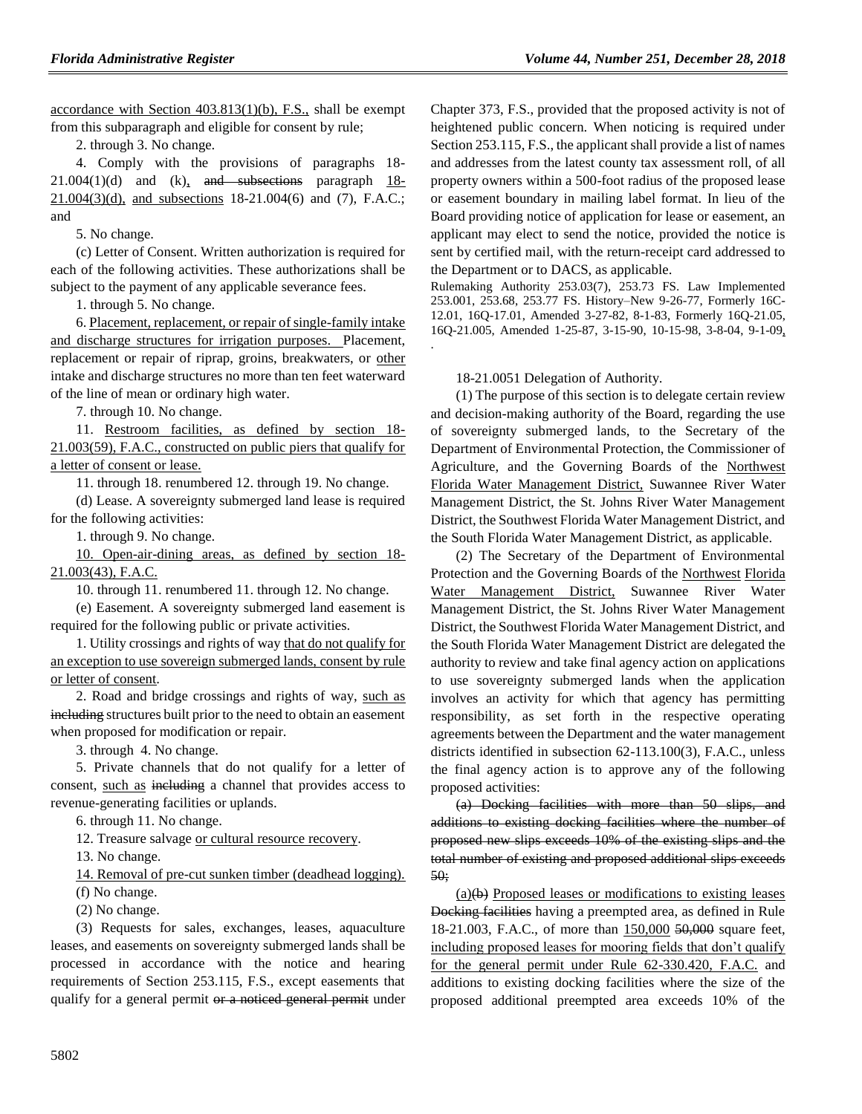accordance with Section 403.813(1)(b), F.S., shall be exempt from this subparagraph and eligible for consent by rule;

2. through 3. No change.

4. Comply with the provisions of paragraphs 18-  $21.004(1)(d)$  and (k), and subsections paragraph 18-21.004(3)(d), and subsections 18-21.004(6) and (7), F.A.C.; and

5. No change.

(c) Letter of Consent. Written authorization is required for each of the following activities. These authorizations shall be subject to the payment of any applicable severance fees.

1. through 5. No change.

6. Placement, replacement, or repair of single-family intake and discharge structures for irrigation purposes. Placement, replacement or repair of riprap, groins, breakwaters, or other intake and discharge structures no more than ten feet waterward of the line of mean or ordinary high water.

7. through 10. No change.

11. Restroom facilities, as defined by section 18- 21.003(59), F.A.C., constructed on public piers that qualify for a letter of consent or lease.

11. through 18. renumbered 12. through 19. No change.

(d) Lease. A sovereignty submerged land lease is required for the following activities:

1. through 9. No change.

10. Open-air-dining areas, as defined by section 18- 21.003(43), F.A.C.

10. through 11. renumbered 11. through 12. No change.

(e) Easement. A sovereignty submerged land easement is required for the following public or private activities.

1. Utility crossings and rights of way that do not qualify for an exception to use sovereign submerged lands, consent by rule or letter of consent.

2. Road and bridge crossings and rights of way, such as including structures built prior to the need to obtain an easement when proposed for modification or repair.

3. through 4. No change.

5. Private channels that do not qualify for a letter of consent, such as including a channel that provides access to revenue-generating facilities or uplands.

6. through 11. No change.

12. Treasure salvage or cultural resource recovery.

13. No change.

14. Removal of pre-cut sunken timber (deadhead logging). (f) No change.

(2) No change.

(3) Requests for sales, exchanges, leases, aquaculture leases, and easements on sovereignty submerged lands shall be processed in accordance with the notice and hearing requirements of Section 253.115, F.S., except easements that qualify for a general permit or a noticed general permit under Chapter 373, F.S., provided that the proposed activity is not of heightened public concern. When noticing is required under Section 253.115, F.S., the applicant shall provide a list of names and addresses from the latest county tax assessment roll, of all property owners within a 500-foot radius of the proposed lease or easement boundary in mailing label format. In lieu of the Board providing notice of application for lease or easement, an applicant may elect to send the notice, provided the notice is sent by certified mail, with the return-receipt card addressed to the Department or to DACS, as applicable.

Rulemaking Authority 253.03(7), 253.73 FS. Law Implemented 253.001, 253.68, 253.77 FS. History–New 9-26-77, Formerly 16C-12.01, 16Q-17.01, Amended 3-27-82, 8-1-83, Formerly 16Q-21.05, 16Q-21.005, Amended 1-25-87, 3-15-90, 10-15-98, 3-8-04, 9-1-09,

18-21.0051 Delegation of Authority.

.

(1) The purpose of this section is to delegate certain review and decision-making authority of the Board, regarding the use of sovereignty submerged lands, to the Secretary of the Department of Environmental Protection, the Commissioner of Agriculture, and the Governing Boards of the Northwest Florida Water Management District, Suwannee River Water Management District, the St. Johns River Water Management District, the Southwest Florida Water Management District, and the South Florida Water Management District, as applicable.

(2) The Secretary of the Department of Environmental Protection and the Governing Boards of the Northwest Florida Water Management District, Suwannee River Water Management District, the St. Johns River Water Management District, the Southwest Florida Water Management District, and the South Florida Water Management District are delegated the authority to review and take final agency action on applications to use sovereignty submerged lands when the application involves an activity for which that agency has permitting responsibility, as set forth in the respective operating agreements between the Department and the water management districts identified in subsection 62-113.100(3), F.A.C., unless the final agency action is to approve any of the following proposed activities:

(a) Docking facilities with more than 50 slips, and additions to existing docking facilities where the number of proposed new slips exceeds 10% of the existing slips and the total number of existing and proposed additional slips exceeds 50;

 $(a)(b)$  Proposed leases or modifications to existing leases Docking facilities having a preempted area, as defined in Rule 18-21.003, F.A.C., of more than 150,000 50,000 square feet, including proposed leases for mooring fields that don't qualify for the general permit under Rule 62-330.420, F.A.C. and additions to existing docking facilities where the size of the proposed additional preempted area exceeds 10% of the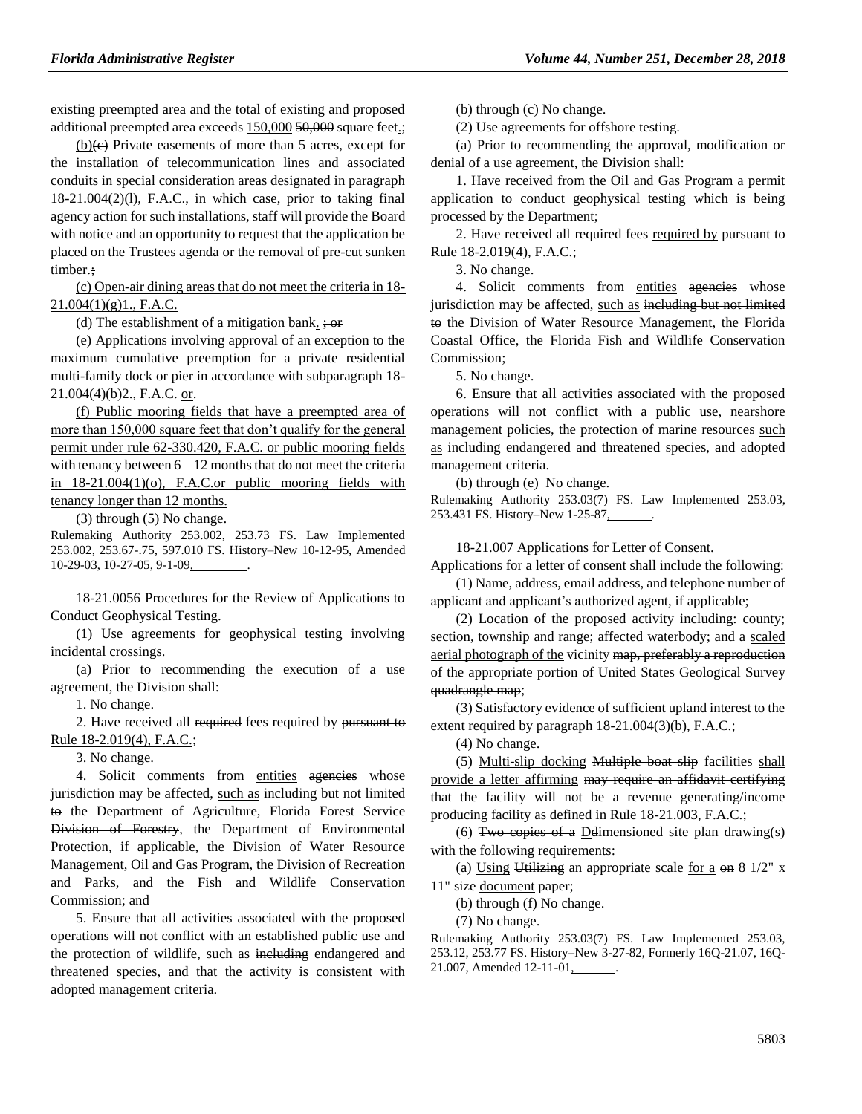existing preempted area and the total of existing and proposed additional preempted area exceeds 150,000 50,000 square feet.;

 $(b)(e)$  Private easements of more than 5 acres, except for the installation of telecommunication lines and associated conduits in special consideration areas designated in paragraph 18-21.004(2)(l), F.A.C., in which case, prior to taking final agency action for such installations, staff will provide the Board with notice and an opportunity to request that the application be placed on the Trustees agenda or the removal of pre-cut sunken timber.;

(c) Open-air dining areas that do not meet the criteria in 18-  $21.004(1)(g)1$ ., F.A.C.

(d) The establishment of a mitigation bank.  $\div$  or

(e) Applications involving approval of an exception to the maximum cumulative preemption for a private residential multi-family dock or pier in accordance with subparagraph 18- 21.004(4)(b)2., F.A.C. or.

(f) Public mooring fields that have a preempted area of more than 150,000 square feet that don't qualify for the general permit under rule 62-330.420, F.A.C. or public mooring fields with tenancy between  $6 - 12$  months that do not meet the criteria in 18-21.004(1)(o), F.A.C.or public mooring fields with tenancy longer than 12 months.

(3) through (5) No change.

Rulemaking Authority 253.002, 253.73 FS. Law Implemented 253.002, 253.67-.75, 597.010 FS. History–New 10-12-95, Amended 10-29-03, 10-27-05, 9-1-09, .

18-21.0056 Procedures for the Review of Applications to Conduct Geophysical Testing.

(1) Use agreements for geophysical testing involving incidental crossings.

(a) Prior to recommending the execution of a use agreement, the Division shall:

1. No change.

2. Have received all required fees required by pursuant to Rule 18-2.019(4), F.A.C.;

3. No change.

4. Solicit comments from entities agencies whose jurisdiction may be affected, such as including but not limited to the Department of Agriculture, Florida Forest Service Division of Forestry, the Department of Environmental Protection, if applicable, the Division of Water Resource Management, Oil and Gas Program, the Division of Recreation and Parks, and the Fish and Wildlife Conservation Commission; and

5. Ensure that all activities associated with the proposed operations will not conflict with an established public use and the protection of wildlife, such as including endangered and threatened species, and that the activity is consistent with adopted management criteria.

(b) through (c) No change.

(2) Use agreements for offshore testing.

(a) Prior to recommending the approval, modification or denial of a use agreement, the Division shall:

1. Have received from the Oil and Gas Program a permit application to conduct geophysical testing which is being processed by the Department;

2. Have received all required fees required by pursuant to Rule 18-2.019(4), F.A.C.;

3. No change.

4. Solicit comments from entities agencies whose jurisdiction may be affected, such as including but not limited to the Division of Water Resource Management, the Florida Coastal Office, the Florida Fish and Wildlife Conservation Commission;

5. No change.

6. Ensure that all activities associated with the proposed operations will not conflict with a public use, nearshore management policies, the protection of marine resources such as including endangered and threatened species, and adopted management criteria.

(b) through (e) No change.

Rulemaking Authority 253.03(7) FS. Law Implemented 253.03, 253.431 FS. History–New 1-25-87,

18-21.007 Applications for Letter of Consent.

Applications for a letter of consent shall include the following: (1) Name, address, email address, and telephone number of

applicant and applicant's authorized agent, if applicable;

(2) Location of the proposed activity including: county; section, township and range; affected waterbody; and a scaled aerial photograph of the vicinity map, preferably a reproduction of the appropriate portion of United States Geological Survey quadrangle map;

(3) Satisfactory evidence of sufficient upland interest to the extent required by paragraph  $18-21.004(3)(b)$ , F.A.C.;

(4) No change.

(5) Multi-slip docking Multiple boat slip facilities shall provide a letter affirming may require an affidavit certifying that the facility will not be a revenue generating/income producing facility as defined in Rule 18-21.003, F.A.C.;

(6) Two copies of a Delimensioned site plan drawing(s) with the following requirements:

(a) Using Utilizing an appropriate scale for a  $\Theta$  and 8 1/2" x 11" size document paper;

(b) through (f) No change.

(7) No change.

Rulemaking Authority 253.03(7) FS. Law Implemented 253.03, 253.12, 253.77 FS. History–New 3-27-82, Formerly 16Q-21.07, 16Q-21.007, Amended 12-11-01, .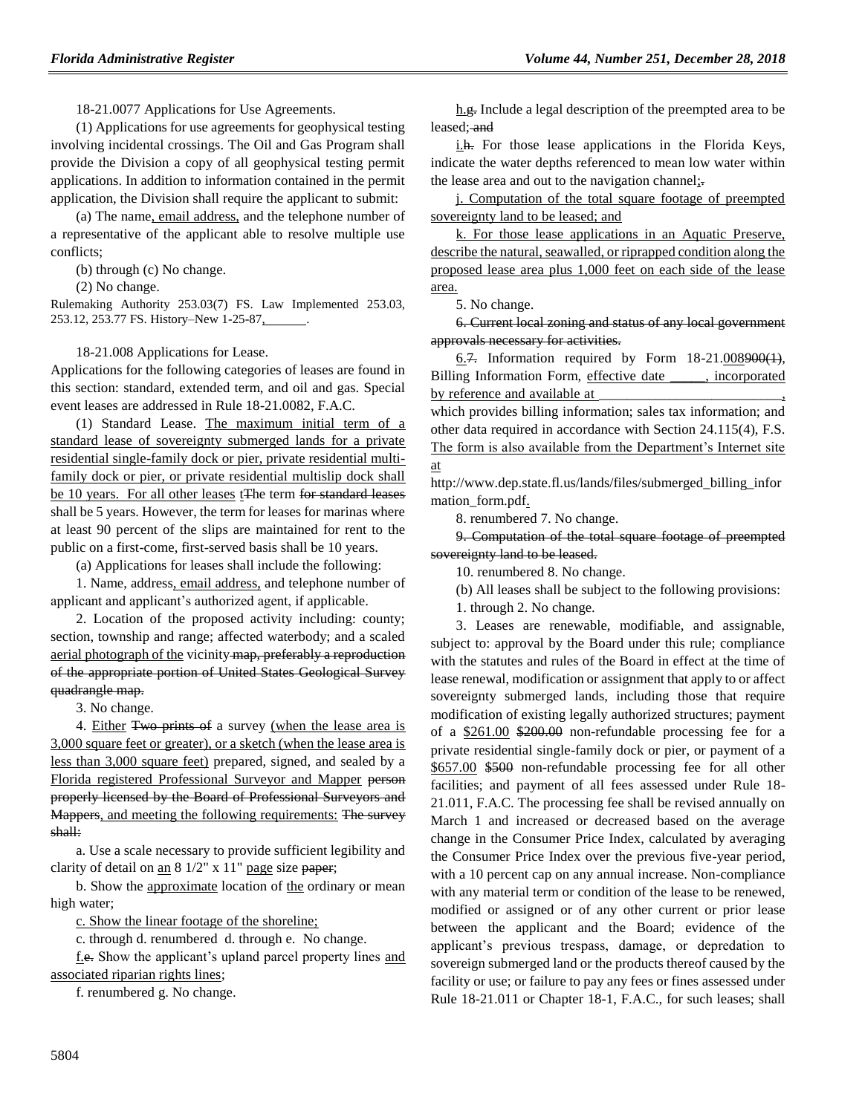18-21.0077 Applications for Use Agreements.

(1) Applications for use agreements for geophysical testing involving incidental crossings. The Oil and Gas Program shall provide the Division a copy of all geophysical testing permit applications. In addition to information contained in the permit application, the Division shall require the applicant to submit:

(a) The name, email address, and the telephone number of a representative of the applicant able to resolve multiple use conflicts;

(b) through (c) No change.

(2) No change.

Rulemaking Authority 253.03(7) FS. Law Implemented 253.03, 253.12, 253.77 FS. History–New 1-25-87, .

#### 18-21.008 Applications for Lease.

Applications for the following categories of leases are found in this section: standard, extended term, and oil and gas. Special event leases are addressed in Rule 18-21.0082, F.A.C.

(1) Standard Lease. The maximum initial term of a standard lease of sovereignty submerged lands for a private residential single-family dock or pier, private residential multifamily dock or pier, or private residential multislip dock shall be 10 years. For all other leases t<sub>The term for standard leases</sub> shall be 5 years. However, the term for leases for marinas where at least 90 percent of the slips are maintained for rent to the public on a first-come, first-served basis shall be 10 years.

(a) Applications for leases shall include the following:

1. Name, address, email address, and telephone number of applicant and applicant's authorized agent, if applicable.

2. Location of the proposed activity including: county; section, township and range; affected waterbody; and a scaled aerial photograph of the vicinity map, preferably a reproduction of the appropriate portion of United States Geological Survey quadrangle map.

3. No change.

4. Either Two prints of a survey (when the lease area is 3,000 square feet or greater), or a sketch (when the lease area is less than 3,000 square feet) prepared, signed, and sealed by a Florida registered Professional Surveyor and Mapper person properly licensed by the Board of Professional Surveyors and Mappers, and meeting the following requirements: The survey shall:

a. Use a scale necessary to provide sufficient legibility and clarity of detail on an  $8\frac{1}{2}$ " x  $11$ " page size paper;

b. Show the approximate location of the ordinary or mean high water;

c. Show the linear footage of the shoreline;

c. through d. renumbered d. through e. No change.

f.e. Show the applicant's upland parcel property lines and associated riparian rights lines;

f. renumbered g. No change.

h.g. Include a legal description of the preempted area to be leased; and

i.h. For those lease applications in the Florida Keys, indicate the water depths referenced to mean low water within the lease area and out to the navigation channel;.

j. Computation of the total square footage of preempted sovereignty land to be leased; and

k. For those lease applications in an Aquatic Preserve, describe the natural, seawalled, or riprapped condition along the proposed lease area plus 1,000 feet on each side of the lease area.

5. No change.

6. Current local zoning and status of any local government approvals necessary for activities.

6.7. Information required by Form  $18-21.008900(1)$ , Billing Information Form, effective date \_\_\_\_\_, incorporated by reference and available at

which provides billing information; sales tax information; and other data required in accordance with Section 24.115(4), F.S. The form is also available from the Department's Internet site at

http://www.dep.state.fl.us/lands/files/submerged\_billing\_infor mation form.pdf.

8. renumbered 7. No change.

9. Computation of the total square footage of preempted sovereignty land to be leased.

10. renumbered 8. No change.

(b) All leases shall be subject to the following provisions:

1. through 2. No change.

3. Leases are renewable, modifiable, and assignable, subject to: approval by the Board under this rule; compliance with the statutes and rules of the Board in effect at the time of lease renewal, modification or assignment that apply to or affect sovereignty submerged lands, including those that require modification of existing legally authorized structures; payment of a \$261.00 \$200.00 non-refundable processing fee for a private residential single-family dock or pier, or payment of a \$657.00 \$500 non-refundable processing fee for all other facilities; and payment of all fees assessed under Rule 18- 21.011, F.A.C. The processing fee shall be revised annually on March 1 and increased or decreased based on the average change in the Consumer Price Index, calculated by averaging the Consumer Price Index over the previous five-year period, with a 10 percent cap on any annual increase. Non-compliance with any material term or condition of the lease to be renewed, modified or assigned or of any other current or prior lease between the applicant and the Board; evidence of the applicant's previous trespass, damage, or depredation to sovereign submerged land or the products thereof caused by the facility or use; or failure to pay any fees or fines assessed under Rule 18-21.011 or Chapter 18-1, F.A.C., for such leases; shall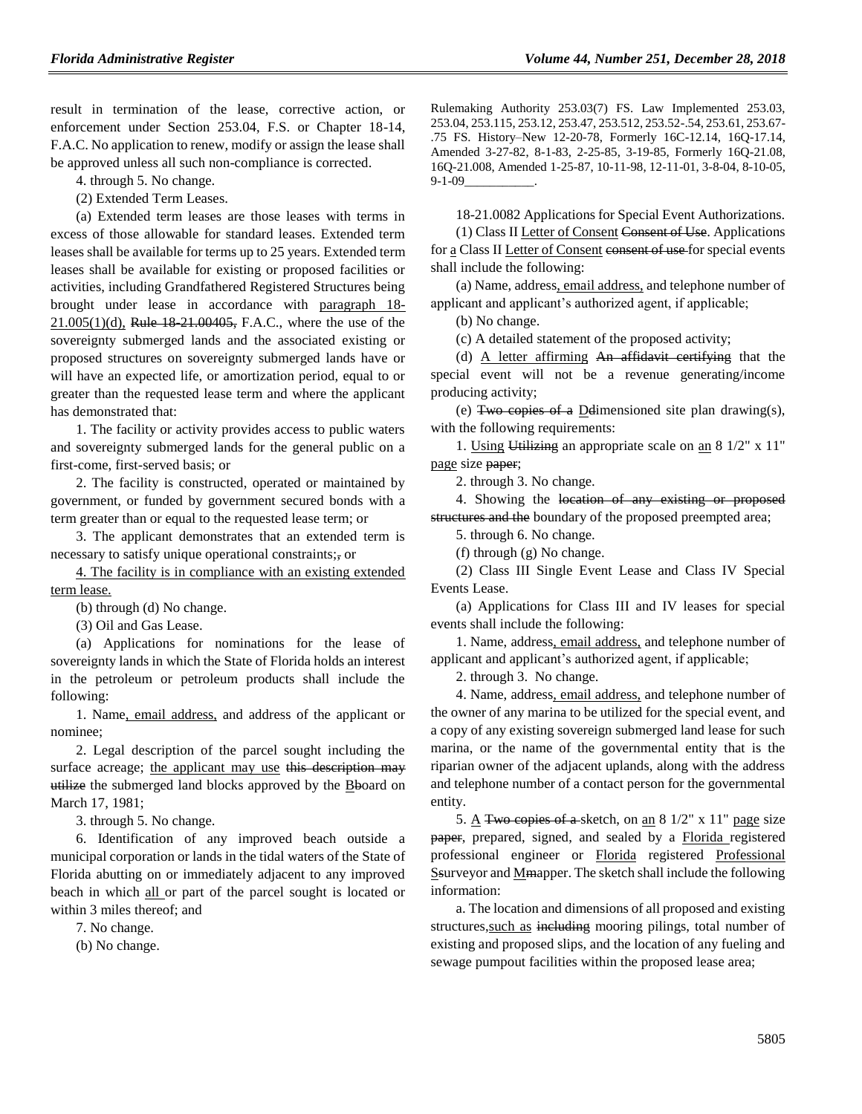result in termination of the lease, corrective action, or enforcement under Section 253.04, F.S. or Chapter 18-14, F.A.C. No application to renew, modify or assign the lease shall be approved unless all such non-compliance is corrected.

4. through 5. No change.

(2) Extended Term Leases.

(a) Extended term leases are those leases with terms in excess of those allowable for standard leases. Extended term leases shall be available for terms up to 25 years. Extended term leases shall be available for existing or proposed facilities or activities, including Grandfathered Registered Structures being brought under lease in accordance with paragraph 18-  $21.005(1)(d)$ , Rule  $18-21.00405$ , F.A.C., where the use of the sovereignty submerged lands and the associated existing or proposed structures on sovereignty submerged lands have or will have an expected life, or amortization period, equal to or greater than the requested lease term and where the applicant has demonstrated that:

1. The facility or activity provides access to public waters and sovereignty submerged lands for the general public on a first-come, first-served basis; or

2. The facility is constructed, operated or maintained by government, or funded by government secured bonds with a term greater than or equal to the requested lease term; or

3. The applicant demonstrates that an extended term is necessary to satisfy unique operational constraints;, or

4. The facility is in compliance with an existing extended term lease.

(b) through (d) No change.

(3) Oil and Gas Lease.

(a) Applications for nominations for the lease of sovereignty lands in which the State of Florida holds an interest in the petroleum or petroleum products shall include the following:

1. Name, email address, and address of the applicant or nominee;

2. Legal description of the parcel sought including the surface acreage; the applicant may use this description may utilize the submerged land blocks approved by the Bboard on March 17, 1981;

3. through 5. No change.

6. Identification of any improved beach outside a municipal corporation or lands in the tidal waters of the State of Florida abutting on or immediately adjacent to any improved beach in which all or part of the parcel sought is located or within 3 miles thereof; and

7. No change.

(b) No change.

Rulemaking Authority 253.03(7) FS. Law Implemented 253.03, 253.04, 253.115, 253.12, 253.47, 253.512, 253.52-.54, 253.61, 253.67- .75 FS. History–New 12-20-78, Formerly 16C-12.14, 16Q-17.14, Amended 3-27-82, 8-1-83, 2-25-85, 3-19-85, Formerly 16Q-21.08, 16Q-21.008, Amended 1-25-87, 10-11-98, 12-11-01, 3-8-04, 8-10-05,  $9-1-09$ 

18-21.0082 Applications for Special Event Authorizations.

(1) Class II Letter of Consent Consent of Use. Applications for a Class II Letter of Consent consent of use for special events shall include the following:

(a) Name, address, email address, and telephone number of applicant and applicant's authorized agent, if applicable;

(b) No change.

(c) A detailed statement of the proposed activity;

(d) A letter affirming  $An$  affidavit certifying that the special event will not be a revenue generating/income producing activity;

(e) Two copies of a Ddimensioned site plan drawing(s), with the following requirements:

1. Using Utilizing an appropriate scale on an 8 1/2" x 11" page size paper;

2. through 3. No change.

4. Showing the location of any existing or proposed structures and the boundary of the proposed preempted area;

5. through 6. No change.

(f) through (g) No change.

(2) Class III Single Event Lease and Class IV Special Events Lease.

(a) Applications for Class III and IV leases for special events shall include the following:

1. Name, address, email address, and telephone number of applicant and applicant's authorized agent, if applicable;

2. through 3. No change.

4. Name, address, email address, and telephone number of the owner of any marina to be utilized for the special event, and a copy of any existing sovereign submerged land lease for such marina, or the name of the governmental entity that is the riparian owner of the adjacent uplands, along with the address and telephone number of a contact person for the governmental entity.

5.  $\triangle$  Two copies of a sketch, on an 8 1/2" x 11" page size paper, prepared, signed, and sealed by a Florida registered professional engineer or Florida registered Professional Ssurveyor and Mmapper. The sketch shall include the following information:

a. The location and dimensions of all proposed and existing structures, such as including mooring pilings, total number of existing and proposed slips, and the location of any fueling and sewage pumpout facilities within the proposed lease area;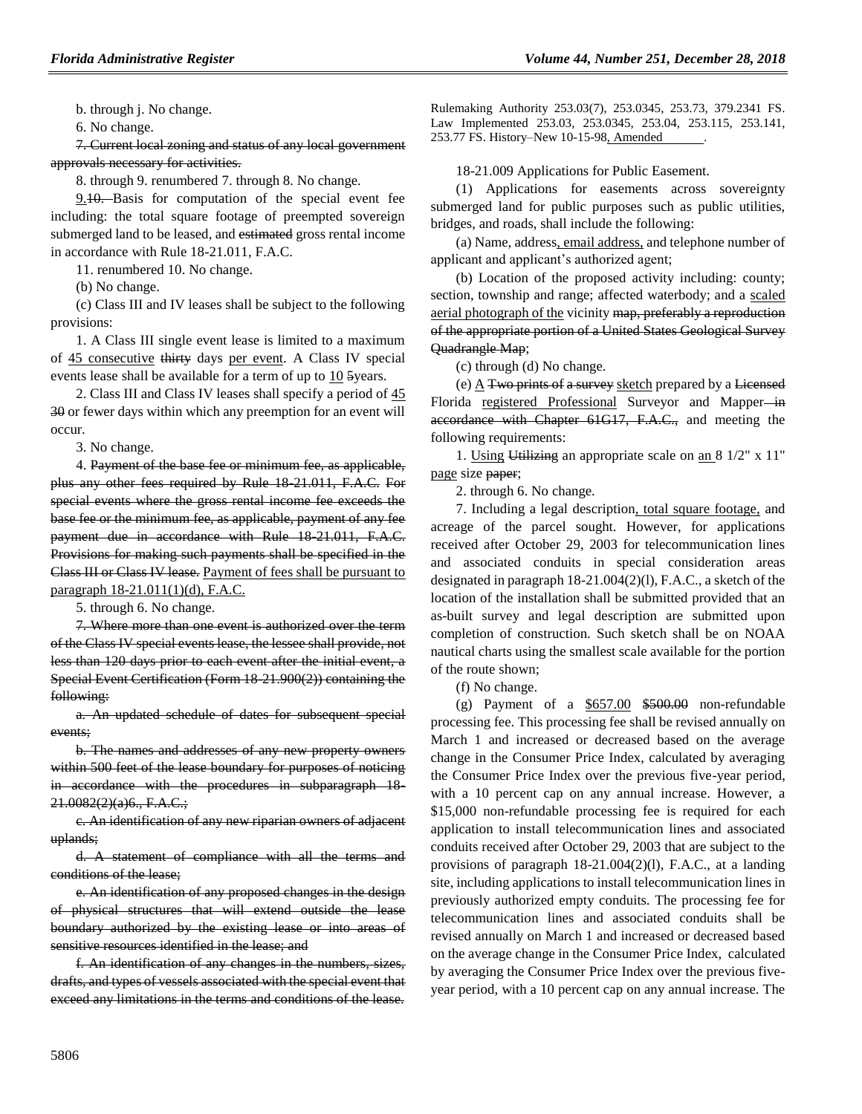b. through j. No change.

6. No change.

7. Current local zoning and status of any local government approvals necessary for activities.

8. through 9. renumbered 7. through 8. No change.

9.10. Basis for computation of the special event fee including: the total square footage of preempted sovereign submerged land to be leased, and estimated gross rental income in accordance with Rule 18-21.011, F.A.C.

11. renumbered 10. No change.

(b) No change.

(c) Class III and IV leases shall be subject to the following provisions:

1. A Class III single event lease is limited to a maximum of 45 consecutive thirty days per event. A Class IV special events lease shall be available for a term of up to 10 5years.

2. Class III and Class IV leases shall specify a period of 45 30 or fewer days within which any preemption for an event will occur.

3. No change.

4. Payment of the base fee or minimum fee, as applicable, plus any other fees required by Rule 18-21.011, F.A.C. For special events where the gross rental income fee exceeds the base fee or the minimum fee, as applicable, payment of any fee payment due in accordance with Rule 18-21.011, F.A.C. Provisions for making such payments shall be specified in the Class III or Class IV lease. Payment of fees shall be pursuant to paragraph 18-21.011(1)(d), F.A.C.

5. through 6. No change.

7. Where more than one event is authorized over the term of the Class IV special events lease, the lessee shall provide, not less than 120 days prior to each event after the initial event, a Special Event Certification (Form 18-21.900(2)) containing the following:

a. An updated schedule of dates for subsequent special events;

b. The names and addresses of any new property owners within 500 feet of the lease boundary for purposes of noticing in accordance with the procedures in subparagraph 18- 21.0082(2)(a)6., F.A.C.;

c. An identification of any new riparian owners of adjacent uplands;

d. A statement of compliance with all the terms and conditions of the lease;

e. An identification of any proposed changes in the design of physical structures that will extend outside the lease boundary authorized by the existing lease or into areas of sensitive resources identified in the lease; and

f. An identification of any changes in the numbers, sizes, drafts, and types of vessels associated with the special event that exceed any limitations in the terms and conditions of the lease.

Rulemaking Authority 253.03(7), 253.0345, 253.73, 379.2341 FS. Law Implemented 253.03, 253.0345, 253.04, 253.115, 253.141, 253.77 FS. History–New 10-15-98, Amended .

18-21.009 Applications for Public Easement.

(1) Applications for easements across sovereignty submerged land for public purposes such as public utilities, bridges, and roads, shall include the following:

(a) Name, address, email address, and telephone number of applicant and applicant's authorized agent;

(b) Location of the proposed activity including: county; section, township and range; affected waterbody; and a scaled aerial photograph of the vicinity map, preferably a reproduction of the appropriate portion of a United States Geological Survey Quadrangle Map;

(c) through (d) No change.

(e)  $\underline{A}$  Two prints of a survey sketch prepared by a Licensed Florida registered Professional Surveyor and Mapper-in accordance with Chapter 61G17, F.A.C., and meeting the following requirements:

1. Using Utilizing an appropriate scale on an 8 1/2" x 11" page size paper;

2. through 6. No change.

7. Including a legal description, total square footage, and acreage of the parcel sought. However, for applications received after October 29, 2003 for telecommunication lines and associated conduits in special consideration areas designated in paragraph 18-21.004(2)(l), F.A.C., a sketch of the location of the installation shall be submitted provided that an as-built survey and legal description are submitted upon completion of construction. Such sketch shall be on NOAA nautical charts using the smallest scale available for the portion of the route shown;

(f) No change.

(g) Payment of a  $$657.00$   $$500.00$  non-refundable processing fee. This processing fee shall be revised annually on March 1 and increased or decreased based on the average change in the Consumer Price Index, calculated by averaging the Consumer Price Index over the previous five-year period, with a 10 percent cap on any annual increase. However, a \$15,000 non-refundable processing fee is required for each application to install telecommunication lines and associated conduits received after October 29, 2003 that are subject to the provisions of paragraph 18-21.004(2)(l), F.A.C., at a landing site, including applications to install telecommunication lines in previously authorized empty conduits. The processing fee for telecommunication lines and associated conduits shall be revised annually on March 1 and increased or decreased based on the average change in the Consumer Price Index, calculated by averaging the Consumer Price Index over the previous fiveyear period, with a 10 percent cap on any annual increase. The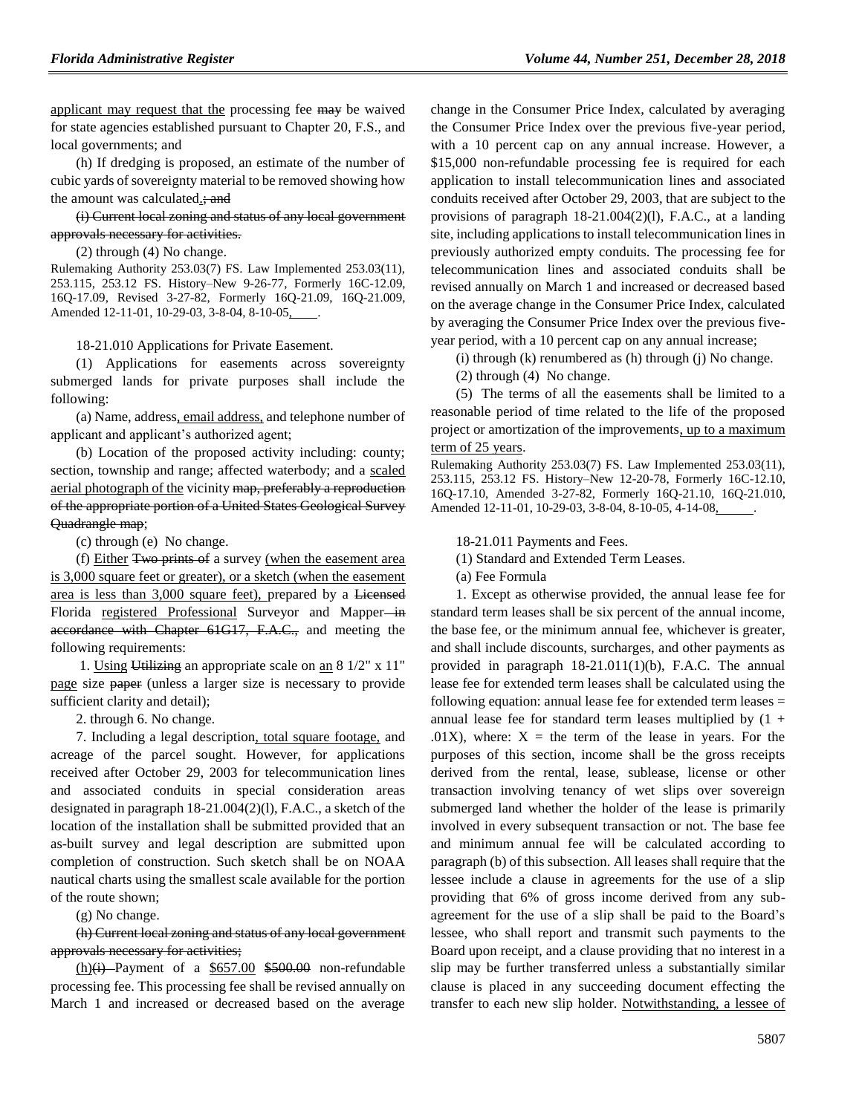applicant may request that the processing fee may be waived for state agencies established pursuant to Chapter 20, F.S., and local governments; and

(h) If dredging is proposed, an estimate of the number of cubic yards of sovereignty material to be removed showing how the amount was calculated.; and

(i) Current local zoning and status of any local government approvals necessary for activities.

(2) through (4) No change.

Rulemaking Authority 253.03(7) FS. Law Implemented 253.03(11), 253.115, 253.12 FS. History–New 9-26-77, Formerly 16C-12.09, 16Q-17.09, Revised 3-27-82, Formerly 16Q-21.09, 16Q-21.009, Amended 12-11-01, 10-29-03, 3-8-04, 8-10-05, .

18-21.010 Applications for Private Easement.

(1) Applications for easements across sovereignty submerged lands for private purposes shall include the following:

(a) Name, address, email address, and telephone number of applicant and applicant's authorized agent;

(b) Location of the proposed activity including: county; section, township and range; affected waterbody; and a scaled aerial photograph of the vicinity map, preferably a reproduction of the appropriate portion of a United States Geological Survey Quadrangle map;

(c) through (e) No change.

(f) Either Two prints of a survey (when the easement area is 3,000 square feet or greater), or a sketch (when the easement area is less than 3,000 square feet), prepared by a Licensed Florida registered Professional Surveyor and Mapper-in accordance with Chapter 61G17, F.A.C., and meeting the following requirements:

1. Using Utilizing an appropriate scale on an 8 1/2" x 11" page size paper (unless a larger size is necessary to provide sufficient clarity and detail);

2. through 6. No change.

7. Including a legal description, total square footage, and acreage of the parcel sought. However, for applications received after October 29, 2003 for telecommunication lines and associated conduits in special consideration areas designated in paragraph 18-21.004(2)(l), F.A.C., a sketch of the location of the installation shall be submitted provided that an as-built survey and legal description are submitted upon completion of construction. Such sketch shall be on NOAA nautical charts using the smallest scale available for the portion of the route shown;

(g) No change.

(h) Current local zoning and status of any local government approvals necessary for activities;

 $(h)(i)$  Payment of a  $$657.00$  \$500.00 non-refundable processing fee. This processing fee shall be revised annually on March 1 and increased or decreased based on the average

change in the Consumer Price Index, calculated by averaging the Consumer Price Index over the previous five-year period, with a 10 percent cap on any annual increase. However, a \$15,000 non-refundable processing fee is required for each application to install telecommunication lines and associated conduits received after October 29, 2003, that are subject to the provisions of paragraph 18-21.004(2)(l), F.A.C., at a landing site, including applications to install telecommunication lines in previously authorized empty conduits. The processing fee for telecommunication lines and associated conduits shall be revised annually on March 1 and increased or decreased based on the average change in the Consumer Price Index, calculated by averaging the Consumer Price Index over the previous fiveyear period, with a 10 percent cap on any annual increase;

(i) through (k) renumbered as (h) through (j) No change.

(2) through (4) No change.

(5) The terms of all the easements shall be limited to a reasonable period of time related to the life of the proposed project or amortization of the improvements, up to a maximum term of 25 years.

Rulemaking Authority 253.03(7) FS. Law Implemented 253.03(11), 253.115, 253.12 FS. History–New 12-20-78, Formerly 16C-12.10, 16Q-17.10, Amended 3-27-82, Formerly 16Q-21.10, 16Q-21.010, Amended 12-11-01, 10-29-03, 3-8-04, 8-10-05, 4-14-08,

18-21.011 Payments and Fees.

(1) Standard and Extended Term Leases.

(a) Fee Formula

1. Except as otherwise provided, the annual lease fee for standard term leases shall be six percent of the annual income, the base fee, or the minimum annual fee, whichever is greater, and shall include discounts, surcharges, and other payments as provided in paragraph 18-21.011(1)(b), F.A.C. The annual lease fee for extended term leases shall be calculated using the following equation: annual lease fee for extended term leases = annual lease fee for standard term leases multiplied by  $(1 +$  $.01X$ ), where:  $X =$  the term of the lease in years. For the purposes of this section, income shall be the gross receipts derived from the rental, lease, sublease, license or other transaction involving tenancy of wet slips over sovereign submerged land whether the holder of the lease is primarily involved in every subsequent transaction or not. The base fee and minimum annual fee will be calculated according to paragraph (b) of this subsection. All leases shall require that the lessee include a clause in agreements for the use of a slip providing that 6% of gross income derived from any subagreement for the use of a slip shall be paid to the Board's lessee, who shall report and transmit such payments to the Board upon receipt, and a clause providing that no interest in a slip may be further transferred unless a substantially similar clause is placed in any succeeding document effecting the transfer to each new slip holder. Notwithstanding, a lessee of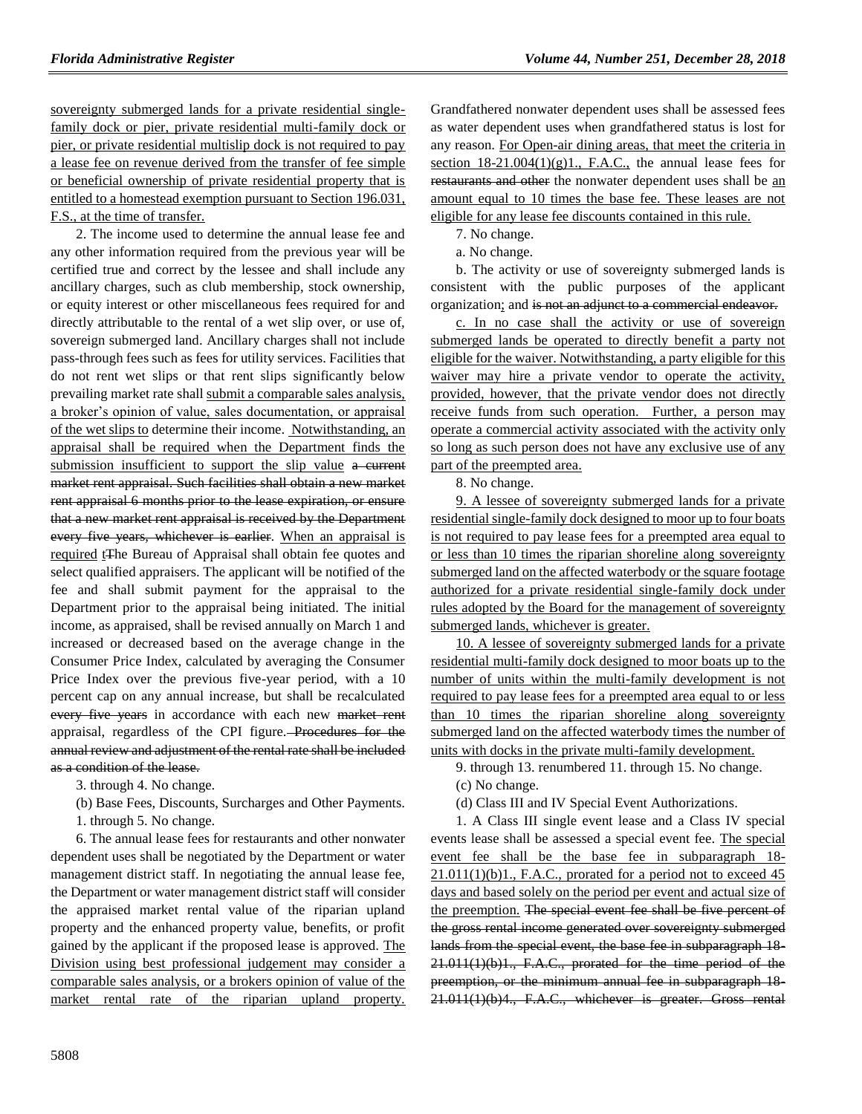sovereignty submerged lands for a private residential singlefamily dock or pier, private residential multi-family dock or pier, or private residential multislip dock is not required to pay a lease fee on revenue derived from the transfer of fee simple or beneficial ownership of private residential property that is entitled to a homestead exemption pursuant to Section 196.031, F.S., at the time of transfer.

2. The income used to determine the annual lease fee and any other information required from the previous year will be certified true and correct by the lessee and shall include any ancillary charges, such as club membership, stock ownership, or equity interest or other miscellaneous fees required for and directly attributable to the rental of a wet slip over, or use of, sovereign submerged land. Ancillary charges shall not include pass-through fees such as fees for utility services. Facilities that do not rent wet slips or that rent slips significantly below prevailing market rate shall submit a comparable sales analysis, a broker's opinion of value, sales documentation, or appraisal of the wet slips to determine their income. Notwithstanding, an appraisal shall be required when the Department finds the submission insufficient to support the slip value a current market rent appraisal. Such facilities shall obtain a new market rent appraisal 6 months prior to the lease expiration, or ensure that a new market rent appraisal is received by the Department every five years, whichever is earlier. When an appraisal is required tThe Bureau of Appraisal shall obtain fee quotes and select qualified appraisers. The applicant will be notified of the fee and shall submit payment for the appraisal to the Department prior to the appraisal being initiated. The initial income, as appraised, shall be revised annually on March 1 and increased or decreased based on the average change in the Consumer Price Index, calculated by averaging the Consumer Price Index over the previous five-year period, with a 10 percent cap on any annual increase, but shall be recalculated every five years in accordance with each new market rent appraisal, regardless of the CPI figure. Procedures for the annual review and adjustment of the rental rate shall be included as a condition of the lease.

3. through 4. No change.

- (b) Base Fees, Discounts, Surcharges and Other Payments.
- 1. through 5. No change.

6. The annual lease fees for restaurants and other nonwater dependent uses shall be negotiated by the Department or water management district staff. In negotiating the annual lease fee, the Department or water management district staff will consider the appraised market rental value of the riparian upland property and the enhanced property value, benefits, or profit gained by the applicant if the proposed lease is approved. The Division using best professional judgement may consider a comparable sales analysis, or a brokers opinion of value of the market rental rate of the riparian upland property. Grandfathered nonwater dependent uses shall be assessed fees as water dependent uses when grandfathered status is lost for any reason. For Open-air dining areas, that meet the criteria in section  $18-21.004(1)(g)1$ ., F.A.C., the annual lease fees for restaurants and other the nonwater dependent uses shall be an amount equal to 10 times the base fee. These leases are not eligible for any lease fee discounts contained in this rule.

7. No change.

a. No change.

b. The activity or use of sovereignty submerged lands is consistent with the public purposes of the applicant organization; and is not an adjunct to a commercial endeavor.

c. In no case shall the activity or use of sovereign submerged lands be operated to directly benefit a party not eligible for the waiver. Notwithstanding, a party eligible for this waiver may hire a private vendor to operate the activity, provided, however, that the private vendor does not directly receive funds from such operation. Further, a person may operate a commercial activity associated with the activity only so long as such person does not have any exclusive use of any part of the preempted area.

8. No change.

9. A lessee of sovereignty submerged lands for a private residential single-family dock designed to moor up to four boats is not required to pay lease fees for a preempted area equal to or less than 10 times the riparian shoreline along sovereignty submerged land on the affected waterbody or the square footage authorized for a private residential single-family dock under rules adopted by the Board for the management of sovereignty submerged lands, whichever is greater.

10. A lessee of sovereignty submerged lands for a private residential multi-family dock designed to moor boats up to the number of units within the multi-family development is not required to pay lease fees for a preempted area equal to or less than 10 times the riparian shoreline along sovereignty submerged land on the affected waterbody times the number of units with docks in the private multi-family development.

9. through 13. renumbered 11. through 15. No change.

(c) No change.

(d) Class III and IV Special Event Authorizations.

1. A Class III single event lease and a Class IV special events lease shall be assessed a special event fee. The special event fee shall be the base fee in subparagraph 18-  $21.011(1)(b)1$ ., F.A.C., prorated for a period not to exceed 45 days and based solely on the period per event and actual size of the preemption. The special event fee shall be five percent of the gross rental income generated over sovereignty submerged lands from the special event, the base fee in subparagraph 18- 21.011(1)(b)1., F.A.C., prorated for the time period of the preemption, or the minimum annual fee in subparagraph 18- 21.011(1)(b)4., F.A.C., whichever is greater. Gross rental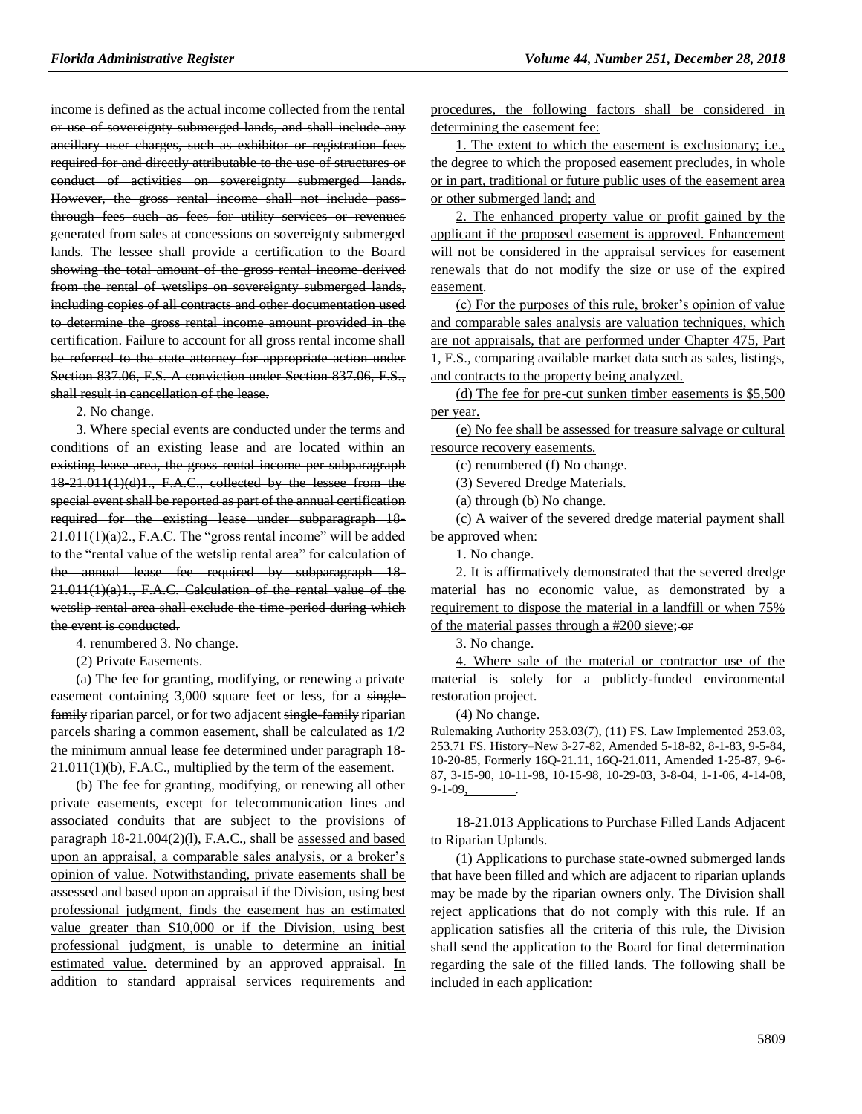income is defined as the actual income collected from the rental or use of sovereignty submerged lands, and shall include any ancillary user charges, such as exhibitor or registration fees required for and directly attributable to the use of structures or conduct of activities on sovereignty submerged lands. However, the gross rental income shall not include passthrough fees such as fees for utility services or revenues generated from sales at concessions on sovereignty submerged lands. The lessee shall provide a certification to the Board showing the total amount of the gross rental income derived from the rental of wetslips on sovereignty submerged lands, including copies of all contracts and other documentation used to determine the gross rental income amount provided in the certification. Failure to account for all gross rental income shall be referred to the state attorney for appropriate action under Section 837.06, F.S. A conviction under Section 837.06, F.S., shall result in cancellation of the lease.

2. No change.

3. Where special events are conducted under the terms and conditions of an existing lease and are located within an existing lease area, the gross rental income per subparagraph 18-21.011(1)(d)1., F.A.C., collected by the lessee from the special event shall be reported as part of the annual certification required for the existing lease under subparagraph 18- 21.011(1)(a)2., F.A.C. The "gross rental income" will be added to the "rental value of the wetslip rental area" for calculation of the annual lease fee required by subparagraph 18- 21.011(1)(a)1., F.A.C. Calculation of the rental value of the wetslip rental area shall exclude the time-period during which the event is conducted.

4. renumbered 3. No change.

(2) Private Easements.

(a) The fee for granting, modifying, or renewing a private easement containing 3,000 square feet or less, for a singlefamily riparian parcel, or for two adjacent single-family riparian parcels sharing a common easement, shall be calculated as 1/2 the minimum annual lease fee determined under paragraph 18- 21.011(1)(b), F.A.C., multiplied by the term of the easement.

(b) The fee for granting, modifying, or renewing all other private easements, except for telecommunication lines and associated conduits that are subject to the provisions of paragraph 18-21.004(2)(l), F.A.C., shall be assessed and based upon an appraisal, a comparable sales analysis, or a broker's opinion of value. Notwithstanding, private easements shall be assessed and based upon an appraisal if the Division, using best professional judgment, finds the easement has an estimated value greater than \$10,000 or if the Division, using best professional judgment, is unable to determine an initial estimated value. determined by an approved appraisal. In addition to standard appraisal services requirements and procedures, the following factors shall be considered in determining the easement fee:

1. The extent to which the easement is exclusionary; i.e., the degree to which the proposed easement precludes, in whole or in part, traditional or future public uses of the easement area or other submerged land; and

2. The enhanced property value or profit gained by the applicant if the proposed easement is approved. Enhancement will not be considered in the appraisal services for easement renewals that do not modify the size or use of the expired easement.

(c) For the purposes of this rule, broker's opinion of value and comparable sales analysis are valuation techniques, which are not appraisals, that are performed under Chapter 475, Part 1, F.S., comparing available market data such as sales, listings, and contracts to the property being analyzed.

(d) The fee for pre-cut sunken timber easements is \$5,500 per year.

(e) No fee shall be assessed for treasure salvage or cultural resource recovery easements.

(c) renumbered (f) No change.

(3) Severed Dredge Materials.

(a) through (b) No change.

(c) A waiver of the severed dredge material payment shall be approved when:

1. No change.

2. It is affirmatively demonstrated that the severed dredge material has no economic value, as demonstrated by a requirement to dispose the material in a landfill or when 75% of the material passes through a #200 sieve; or

3. No change.

4. Where sale of the material or contractor use of the material is solely for a publicly-funded environmental

restoration project.

(4) No change.

Rulemaking Authority 253.03(7), (11) FS. Law Implemented 253.03, 253.71 FS. History–New 3-27-82, Amended 5-18-82, 8-1-83, 9-5-84, 10-20-85, Formerly 16Q-21.11, 16Q-21.011, Amended 1-25-87, 9-6- 87, 3-15-90, 10-11-98, 10-15-98, 10-29-03, 3-8-04, 1-1-06, 4-14-08,  $9-1-09$ ,

18-21.013 Applications to Purchase Filled Lands Adjacent to Riparian Uplands.

(1) Applications to purchase state-owned submerged lands that have been filled and which are adjacent to riparian uplands may be made by the riparian owners only. The Division shall reject applications that do not comply with this rule. If an application satisfies all the criteria of this rule, the Division shall send the application to the Board for final determination regarding the sale of the filled lands. The following shall be included in each application: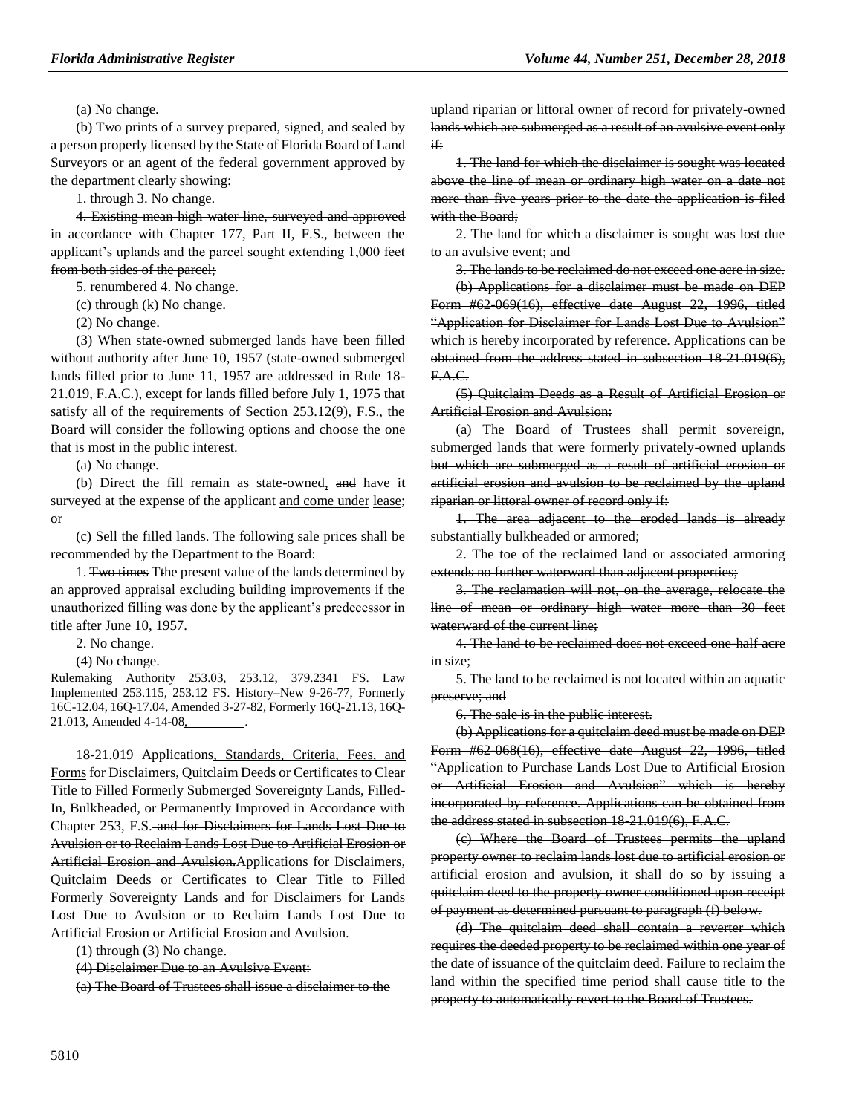(a) No change.

(b) Two prints of a survey prepared, signed, and sealed by a person properly licensed by the State of Florida Board of Land Surveyors or an agent of the federal government approved by the department clearly showing:

1. through 3. No change.

4. Existing mean high water line, surveyed and approved in accordance with Chapter 177, Part II, F.S., between the applicant's uplands and the parcel sought extending 1,000 feet from both sides of the parcel;

5. renumbered 4. No change.

(c) through (k) No change.

(2) No change.

(3) When state-owned submerged lands have been filled without authority after June 10, 1957 (state-owned submerged lands filled prior to June 11, 1957 are addressed in Rule 18- 21.019, F.A.C.), except for lands filled before July 1, 1975 that satisfy all of the requirements of Section 253.12(9), F.S., the Board will consider the following options and choose the one that is most in the public interest.

(a) No change.

(b) Direct the fill remain as state-owned, and have it surveyed at the expense of the applicant and come under lease; or

(c) Sell the filled lands. The following sale prices shall be recommended by the Department to the Board:

1. Two times Tthe present value of the lands determined by an approved appraisal excluding building improvements if the unauthorized filling was done by the applicant's predecessor in title after June 10, 1957.

2. No change.

(4) No change.

Rulemaking Authority 253.03, 253.12, 379.2341 FS. Law Implemented 253.115, 253.12 FS. History–New 9-26-77, Formerly 16C-12.04, 16Q-17.04, Amended 3-27-82, Formerly 16Q-21.13, 16Q-21.013, Amended 4-14-08, .

18-21.019 Applications, Standards, Criteria, Fees, and Forms for Disclaimers, Quitclaim Deeds or Certificates to Clear Title to Filled Formerly Submerged Sovereignty Lands, Filled-In, Bulkheaded, or Permanently Improved in Accordance with Chapter 253, F.S. and for Disclaimers for Lands Lost Due to Avulsion or to Reclaim Lands Lost Due to Artificial Erosion or Artificial Erosion and Avulsion.Applications for Disclaimers, Quitclaim Deeds or Certificates to Clear Title to Filled Formerly Sovereignty Lands and for Disclaimers for Lands Lost Due to Avulsion or to Reclaim Lands Lost Due to Artificial Erosion or Artificial Erosion and Avulsion.

(1) through (3) No change.

(4) Disclaimer Due to an Avulsive Event:

(a) The Board of Trustees shall issue a disclaimer to the

upland riparian or littoral owner of record for privately-owned lands which are submerged as a result of an avulsive event only if:

1. The land for which the disclaimer is sought was located above the line of mean or ordinary high water on a date not more than five years prior to the date the application is filed with the Board:

2. The land for which a disclaimer is sought was lost due to an avulsive event; and

3. The lands to be reclaimed do not exceed one acre in size.

(b) Applications for a disclaimer must be made on DEP Form #62-069(16), effective date August 22, 1996, titled "Application for Disclaimer for Lands Lost Due to Avulsion" which is hereby incorporated by reference. Applications can be obtained from the address stated in subsection 18 21.019(6), F.A.C.

(5) Quitclaim Deeds as a Result of Artificial Erosion or Artificial Erosion and Avulsion:

(a) The Board of Trustees shall permit sovereign, submerged lands that were formerly privately owned uplands but which are submerged as a result of artificial erosion or artificial erosion and avulsion to be reclaimed by the upland riparian or littoral owner of record only if:

1. The area adjacent to the eroded lands is already substantially bulkheaded or armored;

2. The toe of the reclaimed land or associated armoring extends no further waterward than adjacent properties;

3. The reclamation will not, on the average, relocate the line of mean or ordinary high water more than 30 feet waterward of the current line:

4. The land to be reclaimed does not exceed one-half acre in size;

5. The land to be reclaimed is not located within an aquatic preserve; and

6. The sale is in the public interest.

(b) Applications for a quitclaim deed must be made on DEP Form #62-068(16), effective date August 22, 1996, titled "Application to Purchase Lands Lost Due to Artificial Erosion or Artificial Erosion and Avulsion" which is hereby incorporated by reference. Applications can be obtained from the address stated in subsection 18-21.019(6), F.A.C.

(c) Where the Board of Trustees permits the upland property owner to reclaim lands lost due to artificial erosion or artificial erosion and avulsion, it shall do so by issuing a quitclaim deed to the property owner conditioned upon receipt of payment as determined pursuant to paragraph (f) below.

(d) The quitclaim deed shall contain a reverter which requires the deeded property to be reclaimed within one year of the date of issuance of the quitclaim deed. Failure to reclaim the land within the specified time period shall cause title to the property to automatically revert to the Board of Trustees.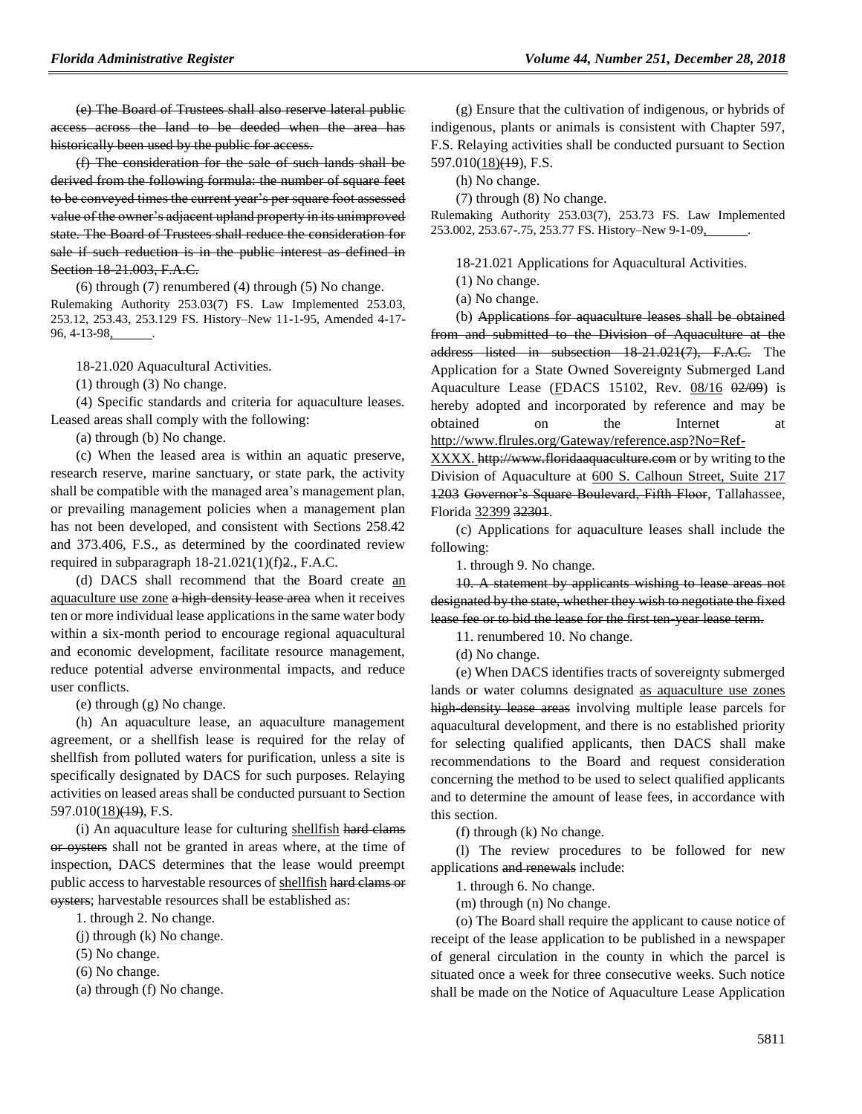(e) The Board of Trustees shall also reserve lateral public access across the land to be deeded when the area has historically been used by the public for access.

(f) The consideration for the sale of such lands shall be derived from the following formula: the number of square feet to be conveyed times the current year's per square foot assessed value of the owner's adjacent upland property in its unimproved state. The Board of Trustees shall reduce the consideration for sale if such reduction is in the public interest as defined in Section 18-21.003, F.A.C.

(6) through (7) renumbered (4) through (5) No change. Rulemaking Authority 253.03(7) FS. Law Implemented 253.03, 253.12, 253.43, 253.129 FS. History–New 11-1-95, Amended 4-17- 96, 4-13-98,

18-21.020 Aquacultural Activities.

(1) through (3) No change.

(4) Specific standards and criteria for aquaculture leases. Leased areas shall comply with the following:

(a) through (b) No change.

(c) When the leased area is within an aquatic preserve, research reserve, marine sanctuary, or state park, the activity shall be compatible with the managed area's management plan, or prevailing management policies when a management plan has not been developed, and consistent with Sections 258.42 and 373.406, F.S., as determined by the coordinated review required in subparagraph 18-21.021(1)(f)2., F.A.C.

(d) DACS shall recommend that the Board create an aquaculture use zone a high-density lease area when it receives ten or more individual lease applications in the same water body within a six-month period to encourage regional aquacultural and economic development, facilitate resource management, reduce potential adverse environmental impacts, and reduce user conflicts.

(e) through (g) No change.

(h) An aquaculture lease, an aquaculture management agreement, or a shellfish lease is required for the relay of shellfish from polluted waters for purification, unless a site is specifically designated by DACS for such purposes. Relaying activities on leased areas shall be conducted pursuant to Section  $597.010(18)$ ( $\overline{19}$ ), F.S.

(i) An aquaculture lease for culturing shellfish hard clams or oysters shall not be granted in areas where, at the time of inspection, DACS determines that the lease would preempt public access to harvestable resources of shellfish hard clams or oysters; harvestable resources shall be established as:

1. through 2. No change.

(j) through (k) No change.

(5) No change.

(6) No change.

(a) through (f) No change.

(g) Ensure that the cultivation of indigenous, or hybrids of indigenous, plants or animals is consistent with Chapter 597, F.S. Relaying activities shall be conducted pursuant to Section 597.010(18)<del>(19</del>), F.S.

(h) No change.

(7) through (8) No change.

Rulemaking Authority 253.03(7), 253.73 FS. Law Implemented 253.002, 253.67-.75, 253.77 FS. History–New 9-1-09, .

18-21.021 Applications for Aquacultural Activities.

(1) No change.

(a) No change.

(b) Applications for aquaculture leases shall be obtained from and submitted to the Division of Aquaculture at the address listed in subsection 18-21.021(7), F.A.C. The Application for a State Owned Sovereignty Submerged Land Aquaculture Lease (FDACS 15102, Rev.  $08/16$   $02/09$ ) is hereby adopted and incorporated by reference and may be obtained on the Internet at [http://www.flrules.org/Gateway/reference.asp?No=Ref-](http://www.flrules.org/Gateway/reference.asp?No=Ref-XXXX)

[XXXX.](http://www.flrules.org/Gateway/reference.asp?No=Ref-XXXX) http://www.floridaaquaculture.com or by writing to the Division of Aquaculture at 600 S. Calhoun Street, Suite 217 1203 Governor's Square Boulevard, Fifth Floor, Tallahassee, Florida 32399 32301.

(c) Applications for aquaculture leases shall include the following:

1. through 9. No change.

10. A statement by applicants wishing to lease areas not designated by the state, whether they wish to negotiate the fixed lease fee or to bid the lease for the first ten-year lease term.

11. renumbered 10. No change.

(d) No change.

(e) When DACS identifies tracts of sovereignty submerged lands or water columns designated as aquaculture use zones high-density lease areas involving multiple lease parcels for aquacultural development, and there is no established priority for selecting qualified applicants, then DACS shall make recommendations to the Board and request consideration concerning the method to be used to select qualified applicants and to determine the amount of lease fees, in accordance with this section.

(f) through (k) No change.

(l) The review procedures to be followed for new applications and renewals include:

1. through 6. No change.

(m) through (n) No change.

(o) The Board shall require the applicant to cause notice of receipt of the lease application to be published in a newspaper of general circulation in the county in which the parcel is situated once a week for three consecutive weeks. Such notice shall be made on the Notice of Aquaculture Lease Application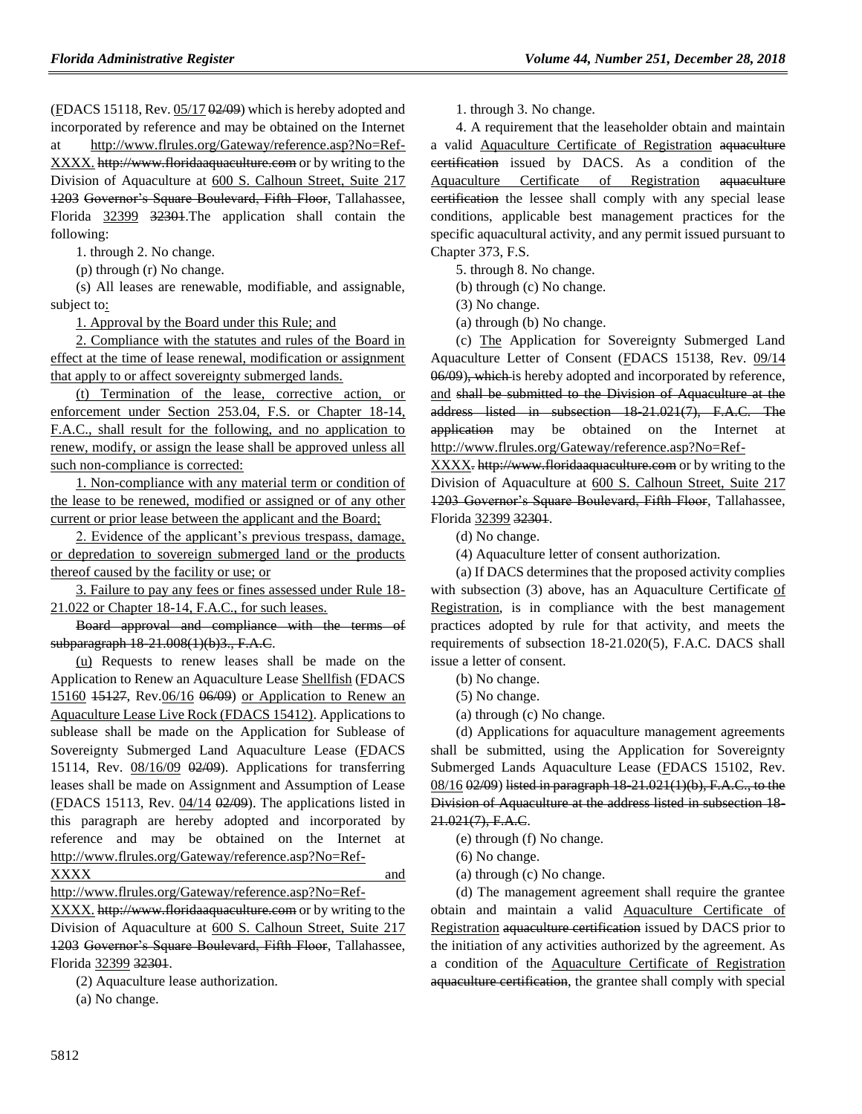(FDACS 15118, Rev. 05/17 02/09) which is hereby adopted and incorporated by reference and may be obtained on the Internet at http://www.flrules.org/Gateway/reference.asp?No=Ref-XXXX. http://www.floridaaquaculture.com or by writing to the Division of Aquaculture at 600 S. Calhoun Street, Suite 217 1203 Governor's Square Boulevard, Fifth Floor, Tallahassee, Florida 32399 32301.The application shall contain the following:

1. through 2. No change.

(p) through (r) No change.

(s) All leases are renewable, modifiable, and assignable, subject to:

1. Approval by the Board under this Rule; and

2. Compliance with the statutes and rules of the Board in effect at the time of lease renewal, modification or assignment that apply to or affect sovereignty submerged lands.

(t) Termination of the lease, corrective action, or enforcement under Section 253.04, F.S. or Chapter 18-14, F.A.C., shall result for the following, and no application to renew, modify, or assign the lease shall be approved unless all such non-compliance is corrected:

1. Non-compliance with any material term or condition of the lease to be renewed, modified or assigned or of any other current or prior lease between the applicant and the Board;

2. Evidence of the applicant's previous trespass, damage, or depredation to sovereign submerged land or the products thereof caused by the facility or use; or

3. Failure to pay any fees or fines assessed under Rule 18- 21.022 or Chapter 18-14, F.A.C., for such leases.

Board approval and compliance with the terms of subparagraph 18-21.008(1)(b)3., F.A.C.

(u) Requests to renew leases shall be made on the Application to Renew an Aquaculture Lease Shellfish (FDACS 15160 15127, Rev.06/16 06/09) or Application to Renew an Aquaculture Lease Live Rock (FDACS 15412). Applications to sublease shall be made on the Application for Sublease of Sovereignty Submerged Land Aquaculture Lease (FDACS 15114, Rev. 08/16/09 02/09). Applications for transferring leases shall be made on Assignment and Assumption of Lease  $(EDACS 15113, Rev. 04/14 02/09)$ . The applications listed in this paragraph are hereby adopted and incorporated by reference and may be obtained on the Internet at http://www.flrules.org/Gateway/reference.asp?No=Ref-XXXX and

[http://www.flrules.org/Gateway/reference.asp?No=Ref-](http://www.flrules.org/Gateway/reference.asp?No=Ref-XXXX)

[XXXX.](http://www.flrules.org/Gateway/reference.asp?No=Ref-XXXX) http://www.floridaaquaculture.com or by writing to the Division of Aquaculture at 600 S. Calhoun Street, Suite 217 1203 Governor's Square Boulevard, Fifth Floor, Tallahassee, Florida 32399 32301.

(2) Aquaculture lease authorization.

(a) No change.

1. through 3. No change.

4. A requirement that the leaseholder obtain and maintain a valid Aquaculture Certificate of Registration aquaculture certification issued by DACS. As a condition of the Aquaculture Certificate of Registration aquaculture certification the lessee shall comply with any special lease conditions, applicable best management practices for the specific aquacultural activity, and any permit issued pursuant to Chapter 373, F.S.

5. through 8. No change.

(b) through (c) No change.

(3) No change.

(a) through (b) No change.

(c) The Application for Sovereignty Submerged Land Aquaculture Letter of Consent (FDACS 15138, Rev. 09/14 06/09), which is hereby adopted and incorporated by reference, and shall be submitted to the Division of Aquaculture at the address listed in subsection 18-21.021(7), F.A.C. The application may be obtained on the Internet at http://www.flrules.org/Gateway/reference.asp?No=Ref-

XXXX. http://www.floridaaquaculture.com or by writing to the Division of Aquaculture at 600 S. Calhoun Street, Suite 217 1203 Governor's Square Boulevard, Fifth Floor, Tallahassee, Florida 32399 32301.

(d) No change.

(4) Aquaculture letter of consent authorization.

(a) If DACS determines that the proposed activity complies with subsection (3) above, has an Aquaculture Certificate of Registration, is in compliance with the best management practices adopted by rule for that activity, and meets the requirements of subsection 18-21.020(5), F.A.C. DACS shall issue a letter of consent.

(b) No change.

(5) No change.

(a) through (c) No change.

(d) Applications for aquaculture management agreements shall be submitted, using the Application for Sovereignty Submerged Lands Aquaculture Lease (FDACS 15102, Rev. 08/16 02/09) listed in paragraph 18-21.021(1)(b), F.A.C., to the Division of Aquaculture at the address listed in subsection 18- 21.021(7), F.A.C.

(e) through (f) No change.

(6) No change.

(a) through (c) No change.

(d) The management agreement shall require the grantee obtain and maintain a valid Aquaculture Certificate of Registration aquaculture certification issued by DACS prior to the initiation of any activities authorized by the agreement. As a condition of the Aquaculture Certificate of Registration aquaculture certification, the grantee shall comply with special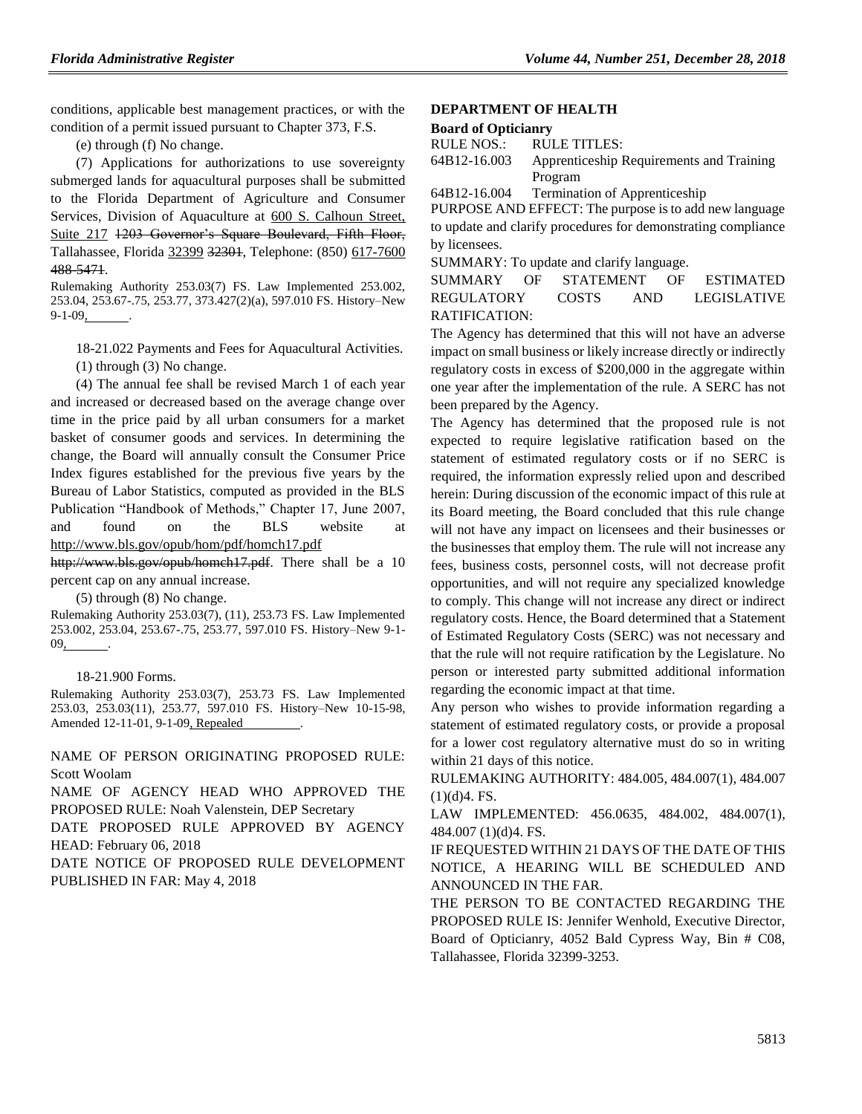conditions, applicable best management practices, or with the condition of a permit issued pursuant to Chapter 373, F.S.

(e) through (f) No change.

(7) Applications for authorizations to use sovereignty submerged lands for aquacultural purposes shall be submitted to the Florida Department of Agriculture and Consumer Services, Division of Aquaculture at 600 S. Calhoun Street, Suite 217 1203 Governor's Square Boulevard, Fifth Floor, Tallahassee, Florida 32399 32301, Telephone: (850) 617-7600 488-5471.

Rulemaking Authority 253.03(7) FS. Law Implemented 253.002, 253.04, 253.67-.75, 253.77, 373.427(2)(a), 597.010 FS. History–New 9-1-09, .

18-21.022 Payments and Fees for Aquacultural Activities. (1) through (3) No change.

(4) The annual fee shall be revised March 1 of each year and increased or decreased based on the average change over time in the price paid by all urban consumers for a market basket of consumer goods and services. In determining the change, the Board will annually consult the Consumer Price Index figures established for the previous five years by the Bureau of Labor Statistics, computed as provided in the BLS Publication "Handbook of Methods," Chapter 17, June 2007, and found on the BLS website at http://www.bls.gov/opub/hom/pdf/homch17.pdf

http://www.bls.gov/opub/homch17.pdf. There shall be a 10 percent cap on any annual increase.

(5) through (8) No change.

Rulemaking Authority 253.03(7), (11), 253.73 FS. Law Implemented 253.002, 253.04, 253.67-.75, 253.77, 597.010 FS. History–New 9-1- 09,

#### 18-21.900 Forms.

Rulemaking Authority 253.03(7), 253.73 FS. Law Implemented 253.03, 253.03(11), 253.77, 597.010 FS. History–New 10-15-98, Amended 12-11-01, 9-1-09, Repealed

NAME OF PERSON ORIGINATING PROPOSED RULE: Scott Woolam

NAME OF AGENCY HEAD WHO APPROVED THE PROPOSED RULE: Noah Valenstein, DEP Secretary

DATE PROPOSED RULE APPROVED BY AGENCY HEAD: February 06, 2018

DATE NOTICE OF PROPOSED RULE DEVELOPMENT PUBLISHED IN FAR: May 4, 2018

## **[DEPARTMENT OF HEALTH](https://www.flrules.org/gateway/department.asp?id=64)**

#### **[Board of Opticianry](https://www.flrules.org/gateway/organization.asp?id=303)**

| RULE NOS.:   | RULE TITLES:                             |
|--------------|------------------------------------------|
| 64B12-16.003 | Apprenticeship Requirements and Training |
|              | Program                                  |

[64B12-16.004](https://www.flrules.org/gateway/ruleNo.asp?id=64B12-16.004) Termination of Apprenticeship

PURPOSE AND EFFECT: The purpose is to add new language to update and clarify procedures for demonstrating compliance by licensees.

SUMMARY: To update and clarify language.

SUMMARY OF STATEMENT OF ESTIMATED REGULATORY COSTS AND LEGISLATIVE RATIFICATION:

The Agency has determined that this will not have an adverse impact on small business or likely increase directly or indirectly regulatory costs in excess of \$200,000 in the aggregate within one year after the implementation of the rule. A SERC has not been prepared by the Agency.

The Agency has determined that the proposed rule is not expected to require legislative ratification based on the statement of estimated regulatory costs or if no SERC is required, the information expressly relied upon and described herein: During discussion of the economic impact of this rule at its Board meeting, the Board concluded that this rule change will not have any impact on licensees and their businesses or the businesses that employ them. The rule will not increase any fees, business costs, personnel costs, will not decrease profit opportunities, and will not require any specialized knowledge to comply. This change will not increase any direct or indirect regulatory costs. Hence, the Board determined that a Statement of Estimated Regulatory Costs (SERC) was not necessary and that the rule will not require ratification by the Legislature. No person or interested party submitted additional information regarding the economic impact at that time.

Any person who wishes to provide information regarding a statement of estimated regulatory costs, or provide a proposal for a lower cost regulatory alternative must do so in writing within 21 days of this notice.

RULEMAKING AUTHORITY: [484.005,](https://www.flrules.org/gateway/statute.asp?id=484.005) [484.007\(1\),](https://www.flrules.org/gateway/statute.asp?id=%20484.007(1)) [484.007](https://www.flrules.org/gateway/statute.asp?id=%20484.007%20(1)(d)4.%20FS.)   $(1)(d)4.$  FS.

LAW IMPLEMENTED: [456.0635,](https://www.flrules.org/gateway/statute.asp?id=456.0635) [484.002,](https://www.flrules.org/gateway/statute.asp?id=%20484.002) [484.007\(1\),](https://www.flrules.org/gateway/statute.asp?id=%20484.007(1)) [484.007 \(1\)\(d\)4. FS.](https://www.flrules.org/gateway/statute.asp?id=%20484.007%20(1)(d)4.%20FS.)

IF REQUESTED WITHIN 21 DAYS OF THE DATE OF THIS NOTICE, A HEARING WILL BE SCHEDULED AND ANNOUNCED IN THE FAR.

THE PERSON TO BE CONTACTED REGARDING THE PROPOSED RULE IS: Jennifer Wenhold, Executive Director, Board of Opticianry, 4052 Bald Cypress Way, Bin # C08, Tallahassee, Florida 32399-3253.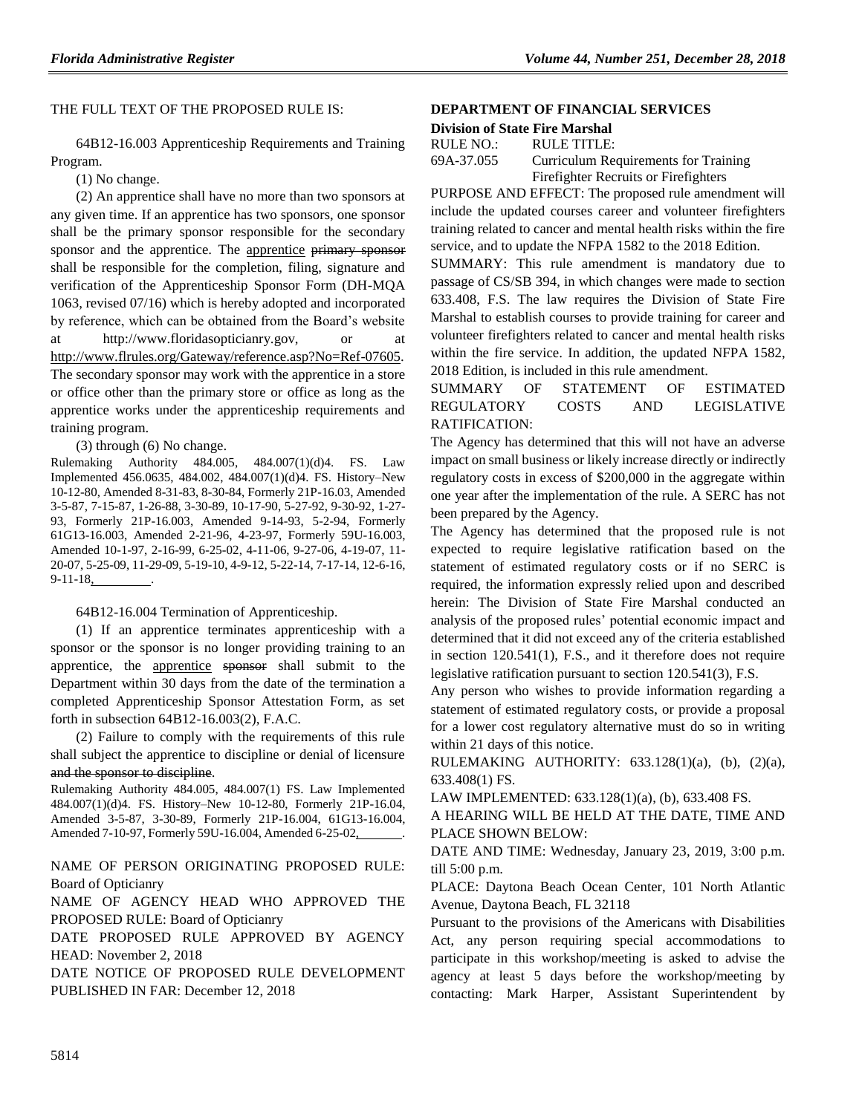#### THE FULL TEXT OF THE PROPOSED RULE IS:

64B12-16.003 Apprenticeship Requirements and Training Program.

(1) No change.

(2) An apprentice shall have no more than two sponsors at any given time. If an apprentice has two sponsors, one sponsor shall be the primary sponsor responsible for the secondary sponsor and the apprentice. The apprentice primary sponsor shall be responsible for the completion, filing, signature and verification of the Apprenticeship Sponsor Form (DH-MQA 1063, revised 07/16) which is hereby adopted and incorporated by reference, which can be obtained from the Board's website at http://www.floridasopticianry.gov, or at [http://www.flrules.org/Gateway/reference.asp?No=Ref-07605.](http://www.flrules.org/Gateway/reference.asp?No=Ref-07605) The secondary sponsor may work with the apprentice in a store or office other than the primary store or office as long as the apprentice works under the apprenticeship requirements and training program.

(3) through (6) No change.

Rulemaking Authority 484.005, 484.007(1)(d)4. FS. Law Implemented 456.0635, 484.002, 484.007(1)(d)4. FS. History–New 10-12-80, Amended 8-31-83, 8-30-84, Formerly 21P-16.03, Amended 3-5-87, 7-15-87, 1-26-88, 3-30-89, 10-17-90, 5-27-92, 9-30-92, 1-27- 93, Formerly 21P-16.003, Amended 9-14-93, 5-2-94, Formerly 61G13-16.003, Amended 2-21-96, 4-23-97, Formerly 59U-16.003, Amended 10-1-97, 2-16-99, 6-25-02, 4-11-06, 9-27-06, 4-19-07, 11- 20-07, 5-25-09, 11-29-09, 5-19-10, 4-9-12, 5-22-14, 7-17-14, 12-6-16, 9-11-18, .

64B12-16.004 Termination of Apprenticeship.

(1) If an apprentice terminates apprenticeship with a sponsor or the sponsor is no longer providing training to an apprentice, the apprentice sponsor shall submit to the Department within 30 days from the date of the termination a completed Apprenticeship Sponsor Attestation Form, as set forth in subsection 64B12-16.003(2), F.A.C.

(2) Failure to comply with the requirements of this rule shall subject the apprentice to discipline or denial of licensure and the sponsor to discipline.

Rulemaking Authority 484.005, 484.007(1) FS. Law Implemented 484.007(1)(d)4. FS. History–New 10-12-80, Formerly 21P-16.04, Amended 3-5-87, 3-30-89, Formerly 21P-16.004, 61G13-16.004, Amended 7-10-97, Formerly 59U-16.004, Amended 6-25-02, .

NAME OF PERSON ORIGINATING PROPOSED RULE: Board of Opticianry

NAME OF AGENCY HEAD WHO APPROVED THE PROPOSED RULE: Board of Opticianry

DATE PROPOSED RULE APPROVED BY AGENCY HEAD: November 2, 2018

DATE NOTICE OF PROPOSED RULE DEVELOPMENT PUBLISHED IN FAR: December 12, 2018

#### **[DEPARTMENT OF FINANCIAL SERVICES](https://www.flrules.org/gateway/department.asp?id=69)**

| <b>Division of State Fire Marshal</b> |  |  |  |  |
|---------------------------------------|--|--|--|--|
|---------------------------------------|--|--|--|--|

| RULE NO.:  | RULE TITLE:                          |
|------------|--------------------------------------|
| 69A-37.055 | Curriculum Requirements for Training |
|            | Firefighter Recruits or Firefighters |

PURPOSE AND EFFECT: The proposed rule amendment will include the updated courses career and volunteer firefighters training related to cancer and mental health risks within the fire service, and to update the NFPA 1582 to the 2018 Edition.

SUMMARY: This rule amendment is mandatory due to passage of CS/SB 394, in which changes were made to section 633.408, F.S. The law requires the Division of State Fire Marshal to establish courses to provide training for career and volunteer firefighters related to cancer and mental health risks within the fire service. In addition, the updated NFPA 1582, 2018 Edition, is included in this rule amendment.

SUMMARY OF STATEMENT OF ESTIMATED REGULATORY COSTS AND LEGISLATIVE RATIFICATION:

The Agency has determined that this will not have an adverse impact on small business or likely increase directly or indirectly regulatory costs in excess of \$200,000 in the aggregate within one year after the implementation of the rule. A SERC has not been prepared by the Agency.

The Agency has determined that the proposed rule is not expected to require legislative ratification based on the statement of estimated regulatory costs or if no SERC is required, the information expressly relied upon and described herein: The Division of State Fire Marshal conducted an analysis of the proposed rules' potential economic impact and determined that it did not exceed any of the criteria established in section 120.541(1), F.S., and it therefore does not require legislative ratification pursuant to section 120.541(3), F.S.

Any person who wishes to provide information regarding a statement of estimated regulatory costs, or provide a proposal for a lower cost regulatory alternative must do so in writing within 21 days of this notice.

RULEMAKING AUTHORITY: [633.128\(1\)\(a\),](https://www.flrules.org/gateway/statute.asp?id=633.128(1)(a)) (b), (2)(a), [633.408\(1\) FS.](https://www.flrules.org/gateway/statute.asp?id=%20633.408(1)%20FS.)

LAW IMPLEMENTED: [633.128\(1\)\(a\),](https://www.flrules.org/gateway/statute.asp?id=633.128(1)(a)) (b), [633.408 FS.](https://www.flrules.org/gateway/statute.asp?id=%20633.408%20FS.)

A HEARING WILL BE HELD AT THE DATE, TIME AND PLACE SHOWN BELOW:

DATE AND TIME: Wednesday, January 23, 2019, 3:00 p.m. till 5:00 p.m.

PLACE: Daytona Beach Ocean Center, 101 North Atlantic Avenue, Daytona Beach, FL 32118

Pursuant to the provisions of the Americans with Disabilities Act, any person requiring special accommodations to participate in this workshop/meeting is asked to advise the agency at least 5 days before the workshop/meeting by contacting: Mark Harper, Assistant Superintendent by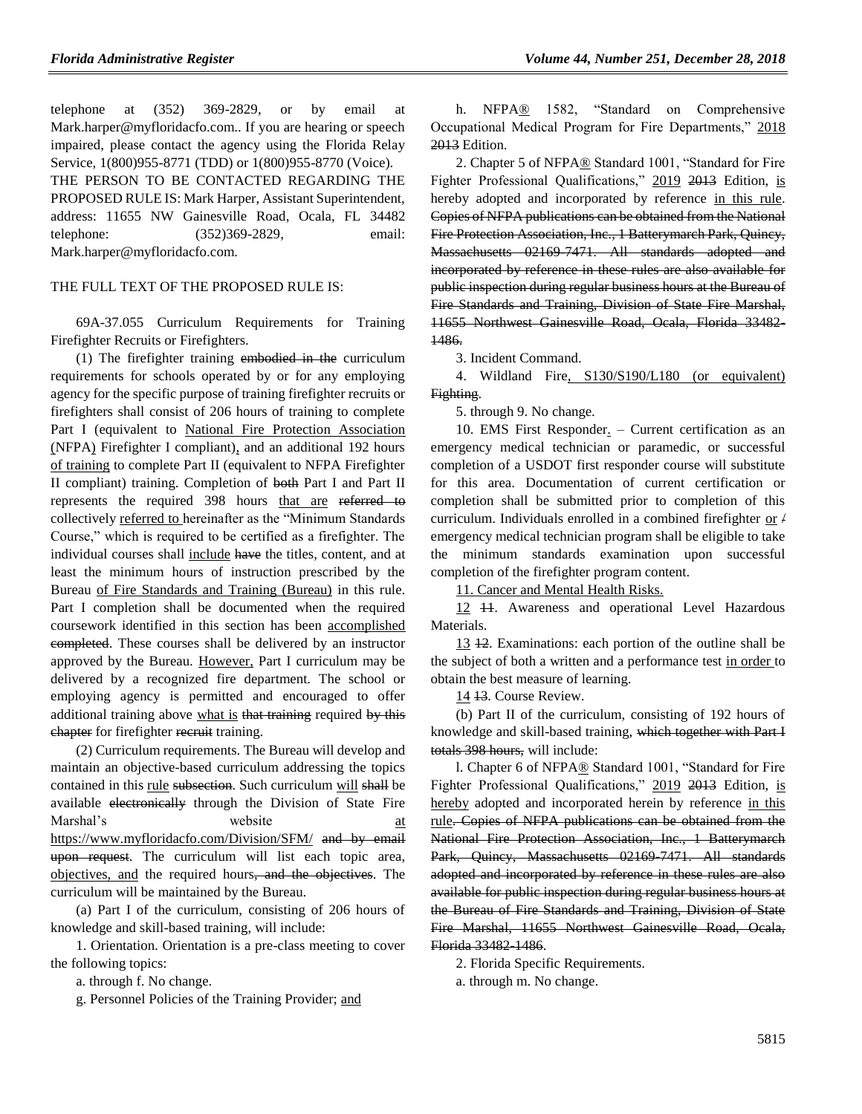telephone at (352) 369-2829, or by email at Mark.harper@myfloridacfo.com.. If you are hearing or speech impaired, please contact the agency using the Florida Relay Service, 1(800)955-8771 (TDD) or 1(800)955-8770 (Voice). THE PERSON TO BE CONTACTED REGARDING THE PROPOSED RULE IS: Mark Harper, Assistant Superintendent, address: 11655 NW Gainesville Road, Ocala, FL 34482 telephone: (352)369-2829, email: Mark.harper@myfloridacfo.com.

#### THE FULL TEXT OF THE PROPOSED RULE IS:

69A-37.055 Curriculum Requirements for Training Firefighter Recruits or Firefighters.

(1) The firefighter training embodied in the curriculum requirements for schools operated by or for any employing agency for the specific purpose of training firefighter recruits or firefighters shall consist of 206 hours of training to complete Part I (equivalent to National Fire Protection Association (NFPA) Firefighter I compliant), and an additional 192 hours of training to complete Part II (equivalent to NFPA Firefighter II compliant) training. Completion of both Part I and Part II represents the required 398 hours that are referred to collectively referred to hereinafter as the "Minimum Standards Course," which is required to be certified as a firefighter. The individual courses shall include have the titles, content, and at least the minimum hours of instruction prescribed by the Bureau of Fire Standards and Training (Bureau) in this rule. Part I completion shall be documented when the required coursework identified in this section has been accomplished completed. These courses shall be delivered by an instructor approved by the Bureau. However, Part I curriculum may be delivered by a recognized fire department. The school or employing agency is permitted and encouraged to offer additional training above what is that training required by this chapter for firefighter recruit training.

(2) Curriculum requirements. The Bureau will develop and maintain an objective-based curriculum addressing the topics contained in this rule subsection. Such curriculum will shall be available electronically through the Division of State Fire Marshal's website at <https://www.myfloridacfo.com/Division/SFM/> and by email upon request. The curriculum will list each topic area, objectives, and the required hours, and the objectives. The curriculum will be maintained by the Bureau.

(a) Part I of the curriculum, consisting of 206 hours of knowledge and skill-based training, will include:

1. Orientation. Orientation is a pre-class meeting to cover the following topics:

a. through f. No change.

g. Personnel Policies of the Training Provider; and

h. NFPA® 1582, "Standard on Comprehensive Occupational Medical Program for Fire Departments," 2018 2013 Edition.

2. Chapter 5 of NFPA® Standard 1001, "Standard for Fire Fighter Professional Qualifications," 2019 2013 Edition, is hereby adopted and incorporated by reference in this rule. Copies of NFPA publications can be obtained from the National Fire Protection Association, Inc., 1 Batterymarch Park, Quincy, Massachusetts 02169-7471. All standards adopted and incorporated by reference in these rules are also available for public inspection during regular business hours at the Bureau of Fire Standards and Training, Division of State Fire Marshal, 11655 Northwest Gainesville Road, Ocala, Florida 33482- 1486.

3. Incident Command.

4. Wildland Fire, S130/S190/L180 (or equivalent) Fighting.

5. through 9. No change.

10. EMS First Responder. – Current certification as an emergency medical technician or paramedic, or successful completion of a USDOT first responder course will substitute for this area. Documentation of current certification or completion shall be submitted prior to completion of this curriculum. Individuals enrolled in a combined firefighter or  $/$ emergency medical technician program shall be eligible to take the minimum standards examination upon successful completion of the firefighter program content.

11. Cancer and Mental Health Risks.

12 **11**. Awareness and operational Level Hazardous Materials.

13 12. Examinations: each portion of the outline shall be the subject of both a written and a performance test in order to obtain the best measure of learning.

14 13. Course Review.

(b) Part II of the curriculum, consisting of 192 hours of knowledge and skill-based training, which together with Part I totals 398 hours, will include:

l. Chapter 6 of NFPA® Standard 1001, "Standard for Fire Fighter Professional Qualifications," 2019 2013 Edition, is hereby adopted and incorporated herein by reference in this rule. Copies of NFPA publications can be obtained from the National Fire Protection Association, Inc., 1 Batterymarch Park, Quincy, Massachusetts 02169 7471. All standards adopted and incorporated by reference in these rules are also available for public inspection during regular business hours at the Bureau of Fire Standards and Training, Division of State Fire Marshal, 11655 Northwest Gainesville Road, Ocala, Florida 33482-1486.

2. Florida Specific Requirements.

a. through m. No change.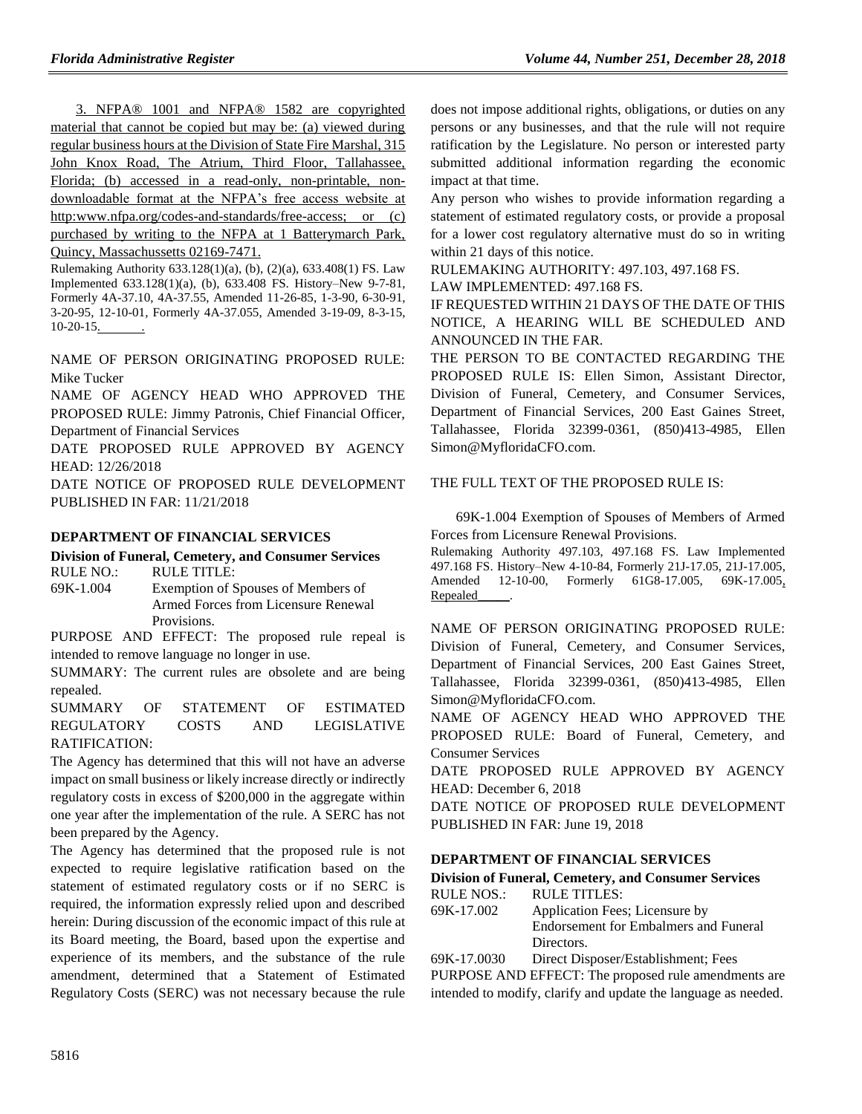3. NFPA® 1001 and NFPA® 1582 are copyrighted material that cannot be copied but may be: (a) viewed during regular business hours at the Division of State Fire Marshal, 315 John Knox Road, The Atrium, Third Floor, Tallahassee, Florida; (b) accessed in a read-only, non-printable, nondownloadable format at the NFPA's free access website at http:www.nfpa.org/codes-and-standards/free-access; or (c) purchased by writing to the NFPA at 1 Batterymarch Park, Quincy, Massachussetts 02169-7471.

Rulemaking Authority 633.128(1)(a), (b), (2)(a), 633.408(1) FS. Law Implemented 633.128(1)(a), (b), 633.408 FS. History–New 9-7-81, Formerly 4A-37.10, 4A-37.55, Amended 11-26-85, 1-3-90, 6-30-91, 3-20-95, 12-10-01, Formerly 4A-37.055, Amended 3-19-09, 8-3-15, 10-20-15. .

NAME OF PERSON ORIGINATING PROPOSED RULE: Mike Tucker

NAME OF AGENCY HEAD WHO APPROVED THE PROPOSED RULE: Jimmy Patronis, Chief Financial Officer, Department of Financial Services

DATE PROPOSED RULE APPROVED BY AGENCY HEAD: 12/26/2018

DATE NOTICE OF PROPOSED RULE DEVELOPMENT PUBLISHED IN FAR: 11/21/2018

#### **[DEPARTMENT OF FINANCIAL SERVICES](https://www.flrules.org/gateway/department.asp?id=69)**

**[Division of Funeral, Cemetery, and Consumer Services](https://www.flrules.org/gateway/organization.asp?id=369)** RULE NO.: RULE TITLE:

[69K-1.004](https://www.flrules.org/gateway/ruleNo.asp?id=69K-1.004) Exemption of Spouses of Members of Armed Forces from Licensure Renewal Provisions.

PURPOSE AND EFFECT: The proposed rule repeal is intended to remove language no longer in use.

SUMMARY: The current rules are obsolete and are being repealed.

SUMMARY OF STATEMENT OF ESTIMATED REGULATORY COSTS AND LEGISLATIVE RATIFICATION:

The Agency has determined that this will not have an adverse impact on small business or likely increase directly or indirectly regulatory costs in excess of \$200,000 in the aggregate within one year after the implementation of the rule. A SERC has not been prepared by the Agency.

The Agency has determined that the proposed rule is not expected to require legislative ratification based on the statement of estimated regulatory costs or if no SERC is required, the information expressly relied upon and described herein: During discussion of the economic impact of this rule at its Board meeting, the Board, based upon the expertise and experience of its members, and the substance of the rule amendment, determined that a Statement of Estimated Regulatory Costs (SERC) was not necessary because the rule

does not impose additional rights, obligations, or duties on any persons or any businesses, and that the rule will not require ratification by the Legislature. No person or interested party submitted additional information regarding the economic impact at that time.

Any person who wishes to provide information regarding a statement of estimated regulatory costs, or provide a proposal for a lower cost regulatory alternative must do so in writing within 21 days of this notice.

RULEMAKING AUTHORITY: [497.103,](https://www.flrules.org/gateway/statute.asp?id=497.103) [497.168 FS.](https://www.flrules.org/gateway/statute.asp?id=%20497.168%20FS.)

LAW IMPLEMENTED: [497.168 FS.](https://www.flrules.org/gateway/statute.asp?id=497.168%20FS.)

IF REQUESTED WITHIN 21 DAYS OF THE DATE OF THIS NOTICE, A HEARING WILL BE SCHEDULED AND ANNOUNCED IN THE FAR.

THE PERSON TO BE CONTACTED REGARDING THE PROPOSED RULE IS: Ellen Simon, Assistant Director, Division of Funeral, Cemetery, and Consumer Services, Department of Financial Services, 200 East Gaines Street, Tallahassee, Florida 32399-0361, (850)413-4985, Ellen Simon@MyfloridaCFO.com.

#### THE FULL TEXT OF THE PROPOSED RULE IS:

69K-1.004 Exemption of Spouses of Members of Armed Forces from Licensure Renewal Provisions.

Rulemaking Authority 497.103, 497.168 FS. Law Implemented 497.168 FS. History–New 4-10-84, Formerly 21J-17.05, 21J-17.005, Amended 12-10-00, Formerly 61G8-17.005, 69K-17.005, Repealed\_\_\_\_\_.

NAME OF PERSON ORIGINATING PROPOSED RULE: Division of Funeral, Cemetery, and Consumer Services, Department of Financial Services, 200 East Gaines Street, Tallahassee, Florida 32399-0361, (850)413-4985, Ellen Simon@MyfloridaCFO.com.

NAME OF AGENCY HEAD WHO APPROVED THE PROPOSED RULE: Board of Funeral, Cemetery, and Consumer Services

DATE PROPOSED RULE APPROVED BY AGENCY HEAD: December 6, 2018

DATE NOTICE OF PROPOSED RULE DEVELOPMENT PUBLISHED IN FAR: June 19, 2018

#### **[DEPARTMENT OF FINANCIAL SERVICES](https://www.flrules.org/gateway/department.asp?id=69)**

**[Division of Funeral, Cemetery, and Consumer Services](https://www.flrules.org/gateway/organization.asp?id=369)** RULE NOS.: RULE TITLES:

[69K-17.002](https://www.flrules.org/gateway/ruleNo.asp?id=69K-17.002) Application Fees; Licensure by Endorsement for Embalmers and Funeral Directors.

[69K-17.0030](https://www.flrules.org/gateway/ruleNo.asp?id=69K-17.0030) Direct Disposer/Establishment; Fees

PURPOSE AND EFFECT: The proposed rule amendments are intended to modify, clarify and update the language as needed.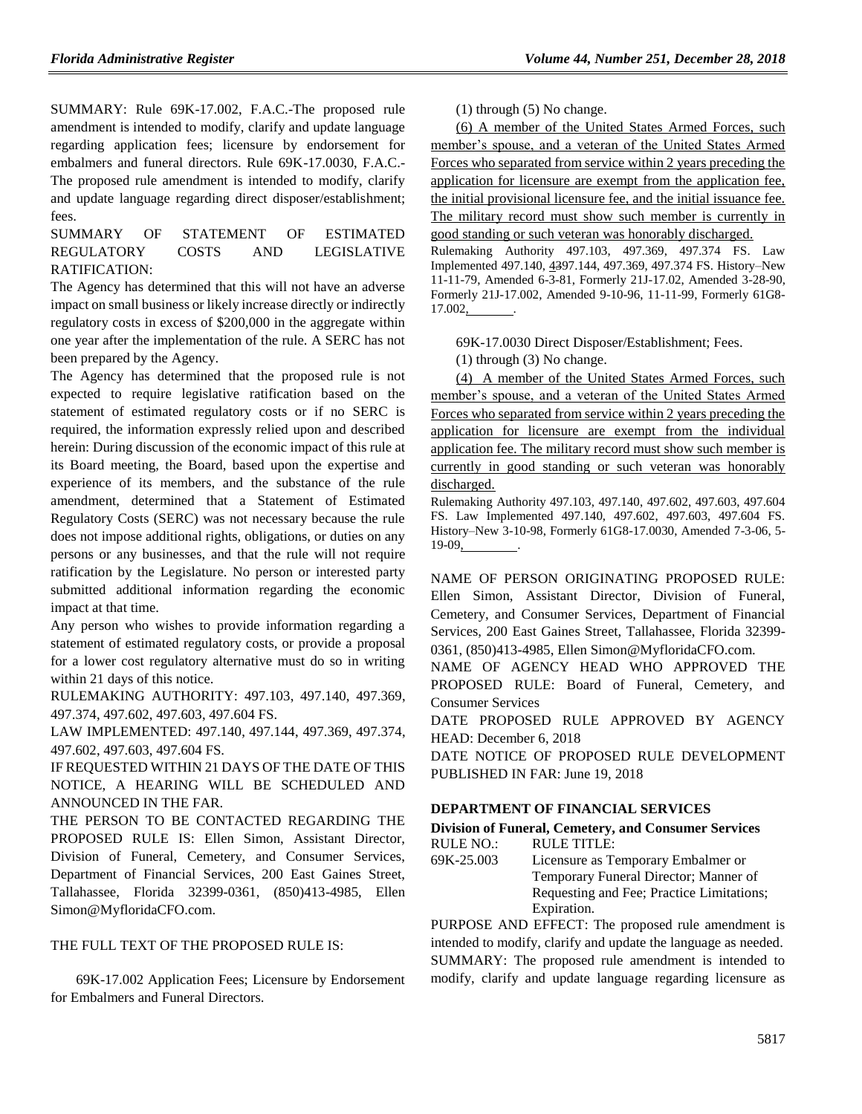SUMMARY: Rule 69K-17.002, F.A.C.-The proposed rule amendment is intended to modify, clarify and update language regarding application fees; licensure by endorsement for embalmers and funeral directors. Rule 69K-17.0030, F.A.C.- The proposed rule amendment is intended to modify, clarify and update language regarding direct disposer/establishment; fees.

SUMMARY OF STATEMENT OF ESTIMATED REGULATORY COSTS AND LEGISLATIVE RATIFICATION:

The Agency has determined that this will not have an adverse impact on small business or likely increase directly or indirectly regulatory costs in excess of \$200,000 in the aggregate within one year after the implementation of the rule. A SERC has not been prepared by the Agency.

The Agency has determined that the proposed rule is not expected to require legislative ratification based on the statement of estimated regulatory costs or if no SERC is required, the information expressly relied upon and described herein: During discussion of the economic impact of this rule at its Board meeting, the Board, based upon the expertise and experience of its members, and the substance of the rule amendment, determined that a Statement of Estimated Regulatory Costs (SERC) was not necessary because the rule does not impose additional rights, obligations, or duties on any persons or any businesses, and that the rule will not require ratification by the Legislature. No person or interested party submitted additional information regarding the economic impact at that time.

Any person who wishes to provide information regarding a statement of estimated regulatory costs, or provide a proposal for a lower cost regulatory alternative must do so in writing within 21 days of this notice.

RULEMAKING AUTHORITY: [497.103,](https://www.flrules.org/gateway/statute.asp?id=497.103) [497.140,](https://www.flrules.org/gateway/statute.asp?id=%20497.140) [497.369,](https://www.flrules.org/gateway/statute.asp?id=%20497.369) [497.374,](https://www.flrules.org/gateway/statute.asp?id=%20497.374) [497.602,](https://www.flrules.org/gateway/statute.asp?id=%20497.602) [497.603,](https://www.flrules.org/gateway/statute.asp?id=%20497.603) [497.604 FS.](https://www.flrules.org/gateway/statute.asp?id=%20497.604%20FS.)

LAW IMPLEMENTED: [497.140,](https://www.flrules.org/gateway/statute.asp?id=497.140) [497.144,](https://www.flrules.org/gateway/statute.asp?id=%20497.144) [497.369,](https://www.flrules.org/gateway/statute.asp?id=%20497.369) [497.374,](https://www.flrules.org/gateway/statute.asp?id=%20497.374) [497.602,](https://www.flrules.org/gateway/statute.asp?id=%20497.602) [497.603,](https://www.flrules.org/gateway/statute.asp?id=%20497.603) [497.604 FS.](https://www.flrules.org/gateway/statute.asp?id=%20497.604%20FS.)

IF REQUESTED WITHIN 21 DAYS OF THE DATE OF THIS NOTICE, A HEARING WILL BE SCHEDULED AND ANNOUNCED IN THE FAR.

THE PERSON TO BE CONTACTED REGARDING THE PROPOSED RULE IS: Ellen Simon, Assistant Director, Division of Funeral, Cemetery, and Consumer Services, Department of Financial Services, 200 East Gaines Street, Tallahassee, Florida 32399-0361, (850)413-4985, Ellen Simon@MyfloridaCFO.com.

#### THE FULL TEXT OF THE PROPOSED RULE IS:

69K-17.002 Application Fees; Licensure by Endorsement for Embalmers and Funeral Directors.

(1) through (5) No change.

(6) A member of the United States Armed Forces, such member's spouse, and a veteran of the United States Armed Forces who separated from service within 2 years preceding the application for licensure are exempt from the application fee, the initial provisional licensure fee, and the initial issuance fee. The military record must show such member is currently in good standing or such veteran was honorably discharged.

Rulemaking Authority 497.103, 497.369, 497.374 FS. Law Implemented 497.140, 4397.144, 497.369, 497.374 FS. History–New 11-11-79, Amended 6-3-81, Formerly 21J-17.02, Amended 3-28-90, Formerly 21J-17.002, Amended 9-10-96, 11-11-99, Formerly 61G8- 17.002, .

69K-17.0030 Direct Disposer/Establishment; Fees.

(1) through (3) No change.

(4) A member of the United States Armed Forces, such member's spouse, and a veteran of the United States Armed Forces who separated from service within 2 years preceding the application for licensure are exempt from the individual application fee. The military record must show such member is currently in good standing or such veteran was honorably discharged.

Rulemaking Authority 497.103, 497.140, 497.602, 497.603, 497.604 FS. Law Implemented 497.140, 497.602, 497.603, 497.604 FS. History–New 3-10-98, Formerly 61G8-17.0030, Amended 7-3-06, 5- 19-09, .

NAME OF PERSON ORIGINATING PROPOSED RULE: Ellen Simon, Assistant Director, Division of Funeral, Cemetery, and Consumer Services, Department of Financial Services, 200 East Gaines Street, Tallahassee, Florida 32399- 0361, (850)413-4985, Ellen Simon@MyfloridaCFO.com.

NAME OF AGENCY HEAD WHO APPROVED THE PROPOSED RULE: Board of Funeral, Cemetery, and Consumer Services

DATE PROPOSED RULE APPROVED BY AGENCY HEAD: December 6, 2018

DATE NOTICE OF PROPOSED RULE DEVELOPMENT PUBLISHED IN FAR: June 19, 2018

#### **[DEPARTMENT OF FINANCIAL SERVICES](https://www.flrules.org/gateway/department.asp?id=69)**

#### **[Division of Funeral, Cemetery, and Consumer Services](https://www.flrules.org/gateway/organization.asp?id=369)**

RULE NO.: RULE TITLE:

[69K-25.003](https://www.flrules.org/gateway/ruleNo.asp?id=69K-25.003) Licensure as Temporary Embalmer or Temporary Funeral Director; Manner of Requesting and Fee; Practice Limitations; Expiration.

PURPOSE AND EFFECT: The proposed rule amendment is intended to modify, clarify and update the language as needed. SUMMARY: The proposed rule amendment is intended to modify, clarify and update language regarding licensure as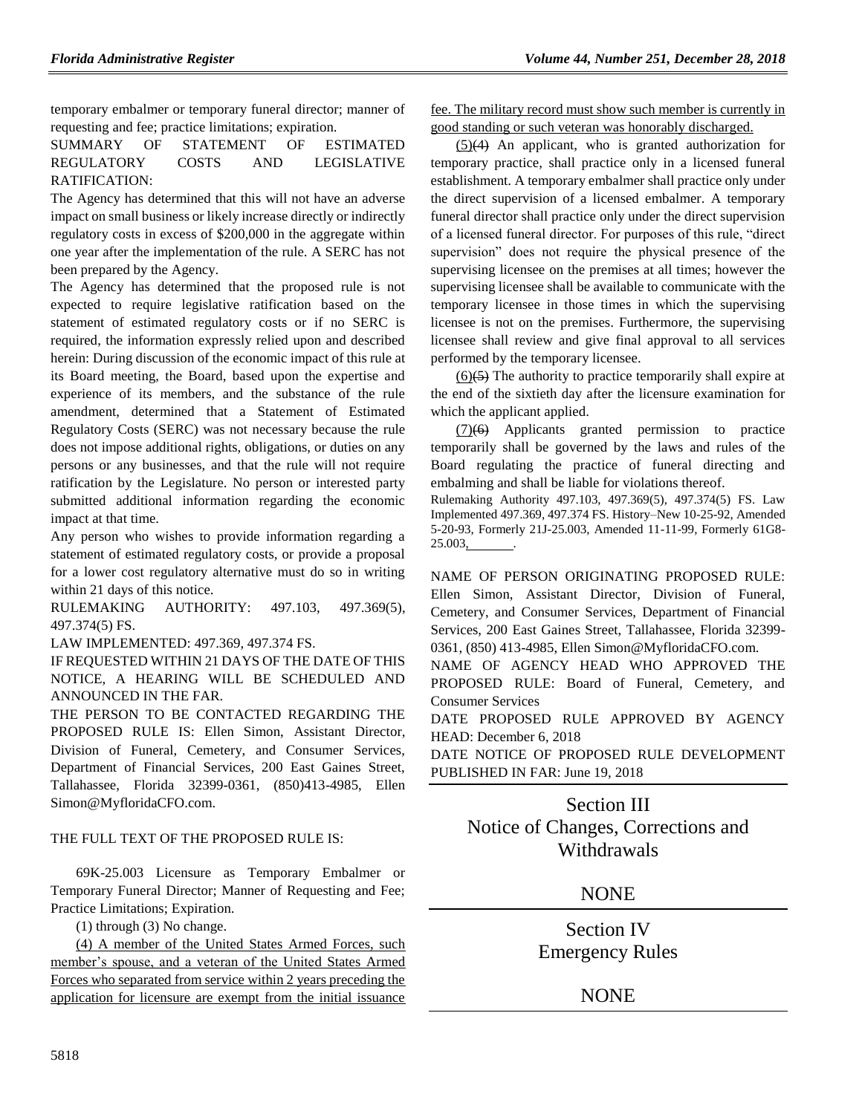temporary embalmer or temporary funeral director; manner of requesting and fee; practice limitations; expiration.

#### SUMMARY OF STATEMENT OF ESTIMATED REGULATORY COSTS AND LEGISLATIVE RATIFICATION:

The Agency has determined that this will not have an adverse impact on small business or likely increase directly or indirectly regulatory costs in excess of \$200,000 in the aggregate within one year after the implementation of the rule. A SERC has not been prepared by the Agency.

The Agency has determined that the proposed rule is not expected to require legislative ratification based on the statement of estimated regulatory costs or if no SERC is required, the information expressly relied upon and described herein: During discussion of the economic impact of this rule at its Board meeting, the Board, based upon the expertise and experience of its members, and the substance of the rule amendment, determined that a Statement of Estimated Regulatory Costs (SERC) was not necessary because the rule does not impose additional rights, obligations, or duties on any persons or any businesses, and that the rule will not require ratification by the Legislature. No person or interested party submitted additional information regarding the economic impact at that time.

Any person who wishes to provide information regarding a statement of estimated regulatory costs, or provide a proposal for a lower cost regulatory alternative must do so in writing within 21 days of this notice.

RULEMAKING AUTHORITY: [497.103,](https://www.flrules.org/gateway/statute.asp?id=497.103) [497.369\(5\),](https://www.flrules.org/gateway/statute.asp?id=%20497.369(5)) [497.374\(5\) FS.](https://www.flrules.org/gateway/statute.asp?id=%20497.374(5)%20FS.)

LAW IMPLEMENTED: [497.369,](https://www.flrules.org/gateway/statute.asp?id=497.369) [497.374 FS.](https://www.flrules.org/gateway/statute.asp?id=%20497.374%20FS.)

IF REQUESTED WITHIN 21 DAYS OF THE DATE OF THIS NOTICE, A HEARING WILL BE SCHEDULED AND ANNOUNCED IN THE FAR.

THE PERSON TO BE CONTACTED REGARDING THE PROPOSED RULE IS: Ellen Simon, Assistant Director, Division of Funeral, Cemetery, and Consumer Services, Department of Financial Services, 200 East Gaines Street, Tallahassee, Florida 32399-0361, (850)413-4985, Ellen Simon@MyfloridaCFO.com.

#### THE FULL TEXT OF THE PROPOSED RULE IS:

69K-25.003 Licensure as Temporary Embalmer or Temporary Funeral Director; Manner of Requesting and Fee; Practice Limitations; Expiration.

(1) through (3) No change.

(4) A member of the United States Armed Forces, such member's spouse, and a veteran of the United States Armed Forces who separated from service within 2 years preceding the application for licensure are exempt from the initial issuance

fee. The military record must show such member is currently in good standing or such veteran was honorably discharged.

 $(5)(4)$  An applicant, who is granted authorization for temporary practice, shall practice only in a licensed funeral establishment. A temporary embalmer shall practice only under the direct supervision of a licensed embalmer. A temporary funeral director shall practice only under the direct supervision of a licensed funeral director. For purposes of this rule, "direct supervision" does not require the physical presence of the supervising licensee on the premises at all times; however the supervising licensee shall be available to communicate with the temporary licensee in those times in which the supervising licensee is not on the premises. Furthermore, the supervising licensee shall review and give final approval to all services performed by the temporary licensee.

 $(6)(\overline{5})$  The authority to practice temporarily shall expire at the end of the sixtieth day after the licensure examination for which the applicant applied.

(7)(6) Applicants granted permission to practice temporarily shall be governed by the laws and rules of the Board regulating the practice of funeral directing and embalming and shall be liable for violations thereof.

Rulemaking Authority 497.103, 497.369(5), 497.374(5) FS. Law Implemented 497.369, 497.374 FS. History–New 10-25-92, Amended 5-20-93, Formerly 21J-25.003, Amended 11-11-99, Formerly 61G8- 25.003, .

NAME OF PERSON ORIGINATING PROPOSED RULE: Ellen Simon, Assistant Director, Division of Funeral, Cemetery, and Consumer Services, Department of Financial Services, 200 East Gaines Street, Tallahassee, Florida 32399- 0361, (850) 413-4985, Ellen Simon@MyfloridaCFO.com.

NAME OF AGENCY HEAD WHO APPROVED THE PROPOSED RULE: Board of Funeral, Cemetery, and Consumer Services

DATE PROPOSED RULE APPROVED BY AGENCY HEAD: December 6, 2018

DATE NOTICE OF PROPOSED RULE DEVELOPMENT PUBLISHED IN FAR: June 19, 2018

## Section III Notice of Changes, Corrections and Withdrawals

### **NONE**

Section IV Emergency Rules

## NONE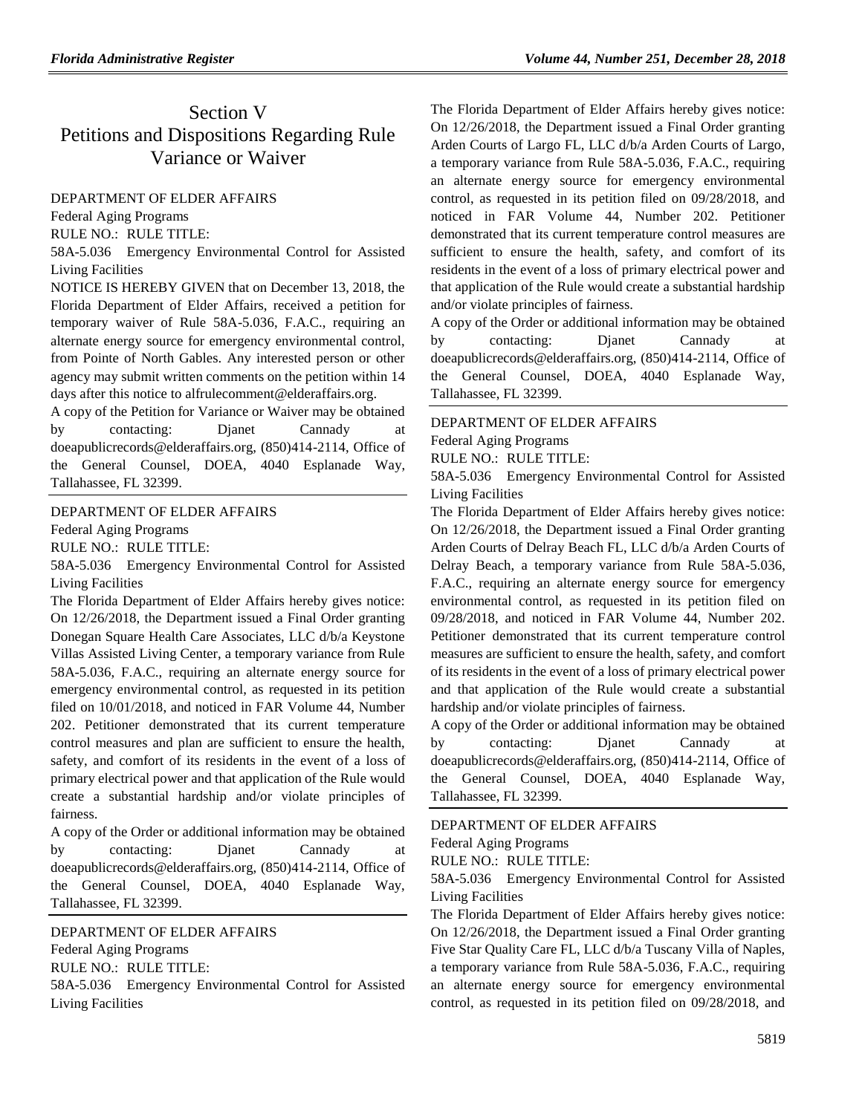# Section V Petitions and Dispositions Regarding Rule Variance or Waiver

### [DEPARTMENT OF ELDER AFFAIRS](https://www.flrules.org/gateway/department.asp?id=58)

[Federal Aging Programs](https://www.flrules.org/gateway/organization.asp?id=179)

RULE NO.: RULE TITLE:

[58A-5.036](https://www.flrules.org/gateway/ruleNo.asp?id=58A-5.036) Emergency Environmental Control for Assisted Living Facilities

NOTICE IS HEREBY GIVEN that on December 13, 2018, the Florida Department of Elder Affairs, received a petition for temporary waiver of Rule 58A-5.036, F.A.C., requiring an alternate energy source for emergency environmental control, from Pointe of North Gables. Any interested person or other agency may submit written comments on the petition within 14 days after this notice to alfrulecomment@elderaffairs.org.

A copy of the Petition for Variance or Waiver may be obtained by contacting: Djanet Cannady at doeapublicrecords@elderaffairs.org, (850)414-2114, Office of the General Counsel, DOEA, 4040 Esplanade Way, Tallahassee, FL 32399.

[DEPARTMENT OF ELDER AFFAIRS](https://www.flrules.org/gateway/department.asp?id=58)

[Federal Aging Programs](https://www.flrules.org/gateway/organization.asp?id=179)

RULE NO.: RULE TITLE:

[58A-5.036](https://www.flrules.org/gateway/ruleNo.asp?id=58A-5.036) Emergency Environmental Control for Assisted Living Facilities

The Florida Department of Elder Affairs hereby gives notice: On 12/26/2018, the Department issued a Final Order granting Donegan Square Health Care Associates, LLC d/b/a Keystone Villas Assisted Living Center, a temporary variance from Rule 58A-5.036, F.A.C., requiring an alternate energy source for emergency environmental control, as requested in its petition filed on 10/01/2018, and noticed in FAR Volume 44, Number 202. Petitioner demonstrated that its current temperature control measures and plan are sufficient to ensure the health, safety, and comfort of its residents in the event of a loss of primary electrical power and that application of the Rule would create a substantial hardship and/or violate principles of fairness.

A copy of the Order or additional information may be obtained by contacting: Djanet Cannady at doeapublicrecords@elderaffairs.org, (850)414-2114, Office of the General Counsel, DOEA, 4040 Esplanade Way, Tallahassee, FL 32399.

### [DEPARTMENT OF ELDER AFFAIRS](https://www.flrules.org/gateway/department.asp?id=58)

[Federal Aging Programs](https://www.flrules.org/gateway/organization.asp?id=179)

RULE NO.: RULE TITLE:

[58A-5.036](https://www.flrules.org/gateway/ruleNo.asp?id=58A-5.036) Emergency Environmental Control for Assisted Living Facilities

The Florida Department of Elder Affairs hereby gives notice: On 12/26/2018, the Department issued a Final Order granting Arden Courts of Largo FL, LLC d/b/a Arden Courts of Largo, a temporary variance from Rule 58A-5.036, F.A.C., requiring an alternate energy source for emergency environmental control, as requested in its petition filed on 09/28/2018, and noticed in FAR Volume 44, Number 202. Petitioner demonstrated that its current temperature control measures are sufficient to ensure the health, safety, and comfort of its residents in the event of a loss of primary electrical power and that application of the Rule would create a substantial hardship and/or violate principles of fairness.

A copy of the Order or additional information may be obtained by contacting: Djanet Cannady at doeapublicrecords@elderaffairs.org, (850)414-2114, Office of the General Counsel, DOEA, 4040 Esplanade Way, Tallahassee, FL 32399.

### [DEPARTMENT OF ELDER AFFAIRS](https://www.flrules.org/gateway/department.asp?id=58)

[Federal Aging Programs](https://www.flrules.org/gateway/organization.asp?id=179)

RULE NO.: RULE TITLE:

[58A-5.036](https://www.flrules.org/gateway/ruleNo.asp?id=58A-5.036) Emergency Environmental Control for Assisted Living Facilities

The Florida Department of Elder Affairs hereby gives notice: On 12/26/2018, the Department issued a Final Order granting Arden Courts of Delray Beach FL, LLC d/b/a Arden Courts of Delray Beach, a temporary variance from Rule 58A-5.036, F.A.C., requiring an alternate energy source for emergency environmental control, as requested in its petition filed on 09/28/2018, and noticed in FAR Volume 44, Number 202. Petitioner demonstrated that its current temperature control measures are sufficient to ensure the health, safety, and comfort of its residents in the event of a loss of primary electrical power and that application of the Rule would create a substantial hardship and/or violate principles of fairness.

A copy of the Order or additional information may be obtained by contacting: Djanet Cannady at doeapublicrecords@elderaffairs.org, (850)414-2114, Office of the General Counsel, DOEA, 4040 Esplanade Way, Tallahassee, FL 32399.

### [DEPARTMENT OF ELDER AFFAIRS](https://www.flrules.org/gateway/department.asp?id=58)

[Federal Aging Programs](https://www.flrules.org/gateway/organization.asp?id=179)

RULE NO.: RULE TITLE:

[58A-5.036](https://www.flrules.org/gateway/ruleNo.asp?id=58A-5.036) Emergency Environmental Control for Assisted Living Facilities

The Florida Department of Elder Affairs hereby gives notice: On 12/26/2018, the Department issued a Final Order granting Five Star Quality Care FL, LLC d/b/a Tuscany Villa of Naples, a temporary variance from Rule 58A-5.036, F.A.C., requiring an alternate energy source for emergency environmental control, as requested in its petition filed on 09/28/2018, and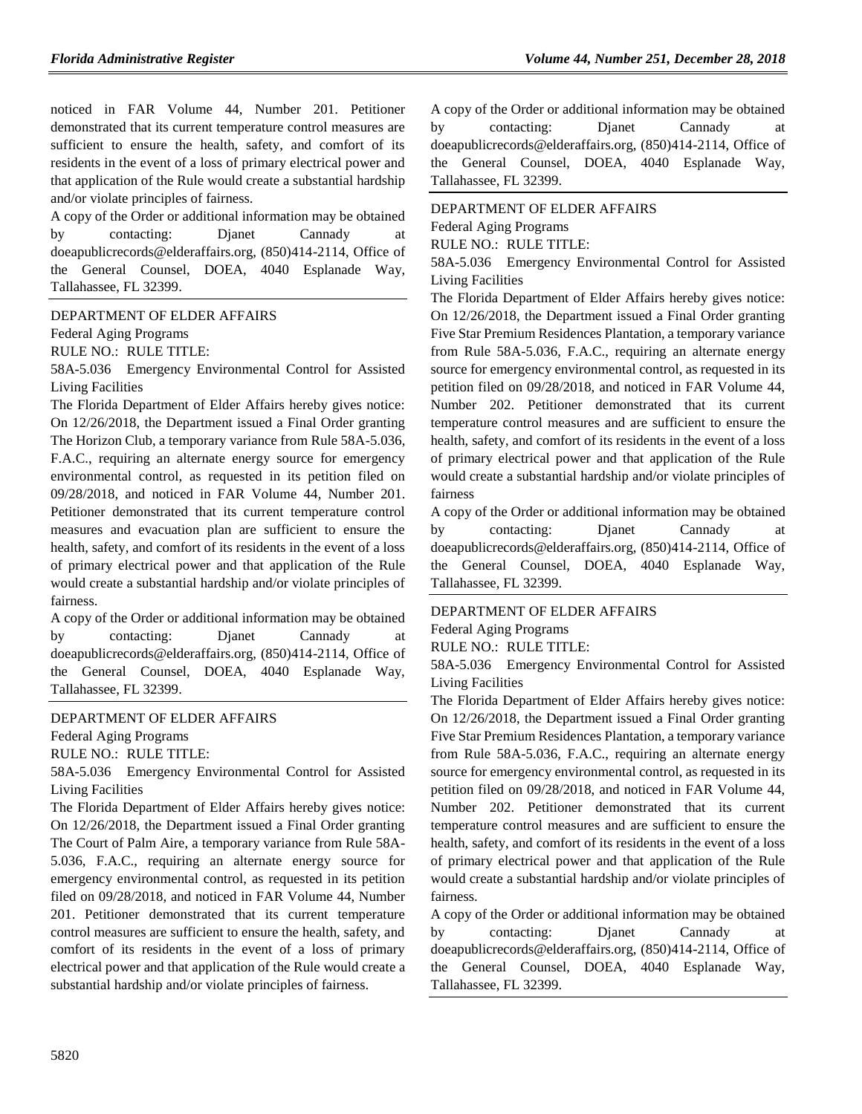noticed in FAR Volume 44, Number 201. Petitioner demonstrated that its current temperature control measures are sufficient to ensure the health, safety, and comfort of its residents in the event of a loss of primary electrical power and that application of the Rule would create a substantial hardship and/or violate principles of fairness.

A copy of the Order or additional information may be obtained by contacting: Djanet Cannady at doeapublicrecords@elderaffairs.org, (850)414-2114, Office of the General Counsel, DOEA, 4040 Esplanade Way, Tallahassee, FL 32399.

[DEPARTMENT OF ELDER AFFAIRS](https://www.flrules.org/gateway/department.asp?id=58)

[Federal Aging Programs](https://www.flrules.org/gateway/organization.asp?id=179)

RULE NO.: RULE TITLE:

[58A-5.036](https://www.flrules.org/gateway/ruleNo.asp?id=58A-5.036) Emergency Environmental Control for Assisted Living Facilities

The Florida Department of Elder Affairs hereby gives notice: On 12/26/2018, the Department issued a Final Order granting The Horizon Club, a temporary variance from Rule 58A-5.036, F.A.C., requiring an alternate energy source for emergency environmental control, as requested in its petition filed on 09/28/2018, and noticed in FAR Volume 44, Number 201. Petitioner demonstrated that its current temperature control measures and evacuation plan are sufficient to ensure the health, safety, and comfort of its residents in the event of a loss of primary electrical power and that application of the Rule would create a substantial hardship and/or violate principles of fairness.

A copy of the Order or additional information may be obtained by contacting: Djanet Cannady at doeapublicrecords@elderaffairs.org, (850)414-2114, Office of the General Counsel, DOEA, 4040 Esplanade Way, Tallahassee, FL 32399.

#### [DEPARTMENT OF ELDER AFFAIRS](https://www.flrules.org/gateway/department.asp?id=58)

[Federal Aging Programs](https://www.flrules.org/gateway/organization.asp?id=179)

RULE NO.: RULE TITLE:

[58A-5.036](https://www.flrules.org/gateway/ruleNo.asp?id=58A-5.036) Emergency Environmental Control for Assisted Living Facilities

The Florida Department of Elder Affairs hereby gives notice: On 12/26/2018, the Department issued a Final Order granting The Court of Palm Aire, a temporary variance from Rule 58A-5.036, F.A.C., requiring an alternate energy source for emergency environmental control, as requested in its petition filed on 09/28/2018, and noticed in FAR Volume 44, Number 201. Petitioner demonstrated that its current temperature control measures are sufficient to ensure the health, safety, and comfort of its residents in the event of a loss of primary electrical power and that application of the Rule would create a substantial hardship and/or violate principles of fairness.

A copy of the Order or additional information may be obtained by contacting: Djanet Cannady at doeapublicrecords@elderaffairs.org, (850)414-2114, Office of the General Counsel, DOEA, 4040 Esplanade Way, Tallahassee, FL 32399.

### [DEPARTMENT OF ELDER AFFAIRS](https://www.flrules.org/gateway/department.asp?id=58) [Federal Aging Programs](https://www.flrules.org/gateway/organization.asp?id=179)

RULE NO.: RULE TITLE:

[58A-5.036](https://www.flrules.org/gateway/ruleNo.asp?id=58A-5.036) Emergency Environmental Control for Assisted Living Facilities

The Florida Department of Elder Affairs hereby gives notice: On 12/26/2018, the Department issued a Final Order granting Five Star Premium Residences Plantation, a temporary variance from Rule 58A-5.036, F.A.C., requiring an alternate energy source for emergency environmental control, as requested in its petition filed on 09/28/2018, and noticed in FAR Volume 44, Number 202. Petitioner demonstrated that its current temperature control measures and are sufficient to ensure the health, safety, and comfort of its residents in the event of a loss of primary electrical power and that application of the Rule would create a substantial hardship and/or violate principles of fairness

A copy of the Order or additional information may be obtained by contacting: Djanet Cannady at doeapublicrecords@elderaffairs.org, (850)414-2114, Office of the General Counsel, DOEA, 4040 Esplanade Way, Tallahassee, FL 32399.

#### [DEPARTMENT OF ELDER AFFAIRS](https://www.flrules.org/gateway/department.asp?id=58)

[Federal Aging Programs](https://www.flrules.org/gateway/organization.asp?id=179)

RULE NO.: RULE TITLE:

[58A-5.036](https://www.flrules.org/gateway/ruleNo.asp?id=58A-5.036) Emergency Environmental Control for Assisted Living Facilities

The Florida Department of Elder Affairs hereby gives notice: On 12/26/2018, the Department issued a Final Order granting Five Star Premium Residences Plantation, a temporary variance from Rule 58A-5.036, F.A.C., requiring an alternate energy source for emergency environmental control, as requested in its petition filed on 09/28/2018, and noticed in FAR Volume 44, Number 202. Petitioner demonstrated that its current temperature control measures and are sufficient to ensure the health, safety, and comfort of its residents in the event of a loss of primary electrical power and that application of the Rule would create a substantial hardship and/or violate principles of fairness.

A copy of the Order or additional information may be obtained by contacting: Djanet Cannady at doeapublicrecords@elderaffairs.org, (850)414-2114, Office of the General Counsel, DOEA, 4040 Esplanade Way, Tallahassee, FL 32399.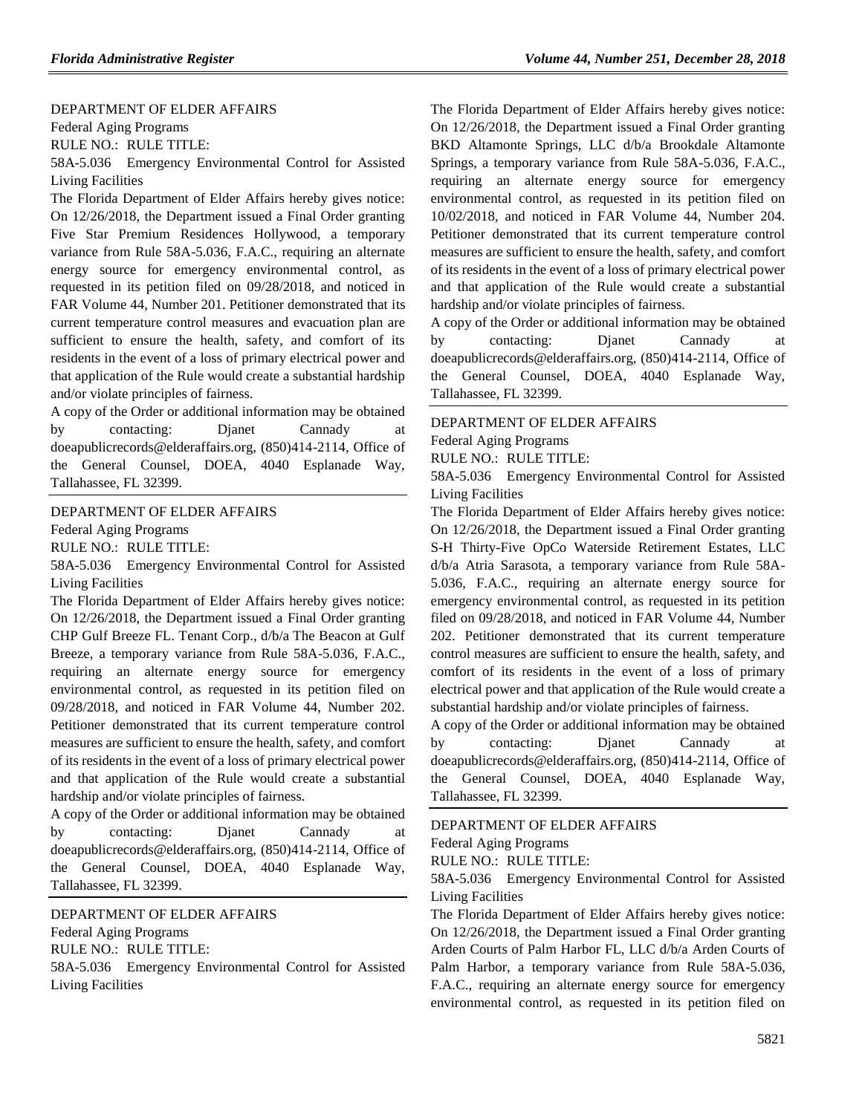#### [DEPARTMENT OF ELDER AFFAIRS](https://www.flrules.org/gateway/department.asp?id=58)

[Federal Aging Programs](https://www.flrules.org/gateway/organization.asp?id=179)

RULE NO.: RULE TITLE:

[58A-5.036](https://www.flrules.org/gateway/ruleNo.asp?id=58A-5.036) Emergency Environmental Control for Assisted Living Facilities

The Florida Department of Elder Affairs hereby gives notice: On 12/26/2018, the Department issued a Final Order granting Five Star Premium Residences Hollywood, a temporary variance from Rule 58A-5.036, F.A.C., requiring an alternate energy source for emergency environmental control, as requested in its petition filed on 09/28/2018, and noticed in FAR Volume 44, Number 201. Petitioner demonstrated that its current temperature control measures and evacuation plan are sufficient to ensure the health, safety, and comfort of its residents in the event of a loss of primary electrical power and that application of the Rule would create a substantial hardship and/or violate principles of fairness.

A copy of the Order or additional information may be obtained by contacting: Djanet Cannady at doeapublicrecords@elderaffairs.org, (850)414-2114, Office of the General Counsel, DOEA, 4040 Esplanade Way, Tallahassee, FL 32399.

#### [DEPARTMENT OF ELDER AFFAIRS](https://www.flrules.org/gateway/department.asp?id=58)

[Federal Aging Programs](https://www.flrules.org/gateway/organization.asp?id=179)

RULE NO.: RULE TITLE:

[58A-5.036](https://www.flrules.org/gateway/ruleNo.asp?id=58A-5.036) Emergency Environmental Control for Assisted Living Facilities

The Florida Department of Elder Affairs hereby gives notice: On 12/26/2018, the Department issued a Final Order granting CHP Gulf Breeze FL. Tenant Corp., d/b/a The Beacon at Gulf Breeze, a temporary variance from Rule 58A-5.036, F.A.C., requiring an alternate energy source for emergency environmental control, as requested in its petition filed on 09/28/2018, and noticed in FAR Volume 44, Number 202. Petitioner demonstrated that its current temperature control measures are sufficient to ensure the health, safety, and comfort of its residents in the event of a loss of primary electrical power and that application of the Rule would create a substantial hardship and/or violate principles of fairness.

A copy of the Order or additional information may be obtained by contacting: Djanet Cannady at doeapublicrecords@elderaffairs.org, (850)414-2114, Office of the General Counsel, DOEA, 4040 Esplanade Way, Tallahassee, FL 32399.

#### [DEPARTMENT OF ELDER AFFAIRS](https://www.flrules.org/gateway/department.asp?id=58)

[Federal Aging Programs](https://www.flrules.org/gateway/organization.asp?id=179)

RULE NO.: RULE TITLE:

[58A-5.036](https://www.flrules.org/gateway/ruleNo.asp?id=58A-5.036) Emergency Environmental Control for Assisted Living Facilities

The Florida Department of Elder Affairs hereby gives notice: On 12/26/2018, the Department issued a Final Order granting BKD Altamonte Springs, LLC d/b/a Brookdale Altamonte Springs, a temporary variance from Rule 58A-5.036, F.A.C., requiring an alternate energy source for emergency environmental control, as requested in its petition filed on 10/02/2018, and noticed in FAR Volume 44, Number 204. Petitioner demonstrated that its current temperature control measures are sufficient to ensure the health, safety, and comfort of its residents in the event of a loss of primary electrical power and that application of the Rule would create a substantial hardship and/or violate principles of fairness.

A copy of the Order or additional information may be obtained by contacting: Djanet Cannady at doeapublicrecords@elderaffairs.org, (850)414-2114, Office of the General Counsel, DOEA, 4040 Esplanade Way, Tallahassee, FL 32399.

#### [DEPARTMENT OF ELDER AFFAIRS](https://www.flrules.org/gateway/department.asp?id=58)

[Federal Aging Programs](https://www.flrules.org/gateway/organization.asp?id=179)

RULE NO.: RULE TITLE:

[58A-5.036](https://www.flrules.org/gateway/ruleNo.asp?id=58A-5.036) Emergency Environmental Control for Assisted Living Facilities

The Florida Department of Elder Affairs hereby gives notice: On 12/26/2018, the Department issued a Final Order granting S-H Thirty-Five OpCo Waterside Retirement Estates, LLC d/b/a Atria Sarasota, a temporary variance from Rule 58A-5.036, F.A.C., requiring an alternate energy source for emergency environmental control, as requested in its petition filed on 09/28/2018, and noticed in FAR Volume 44, Number 202. Petitioner demonstrated that its current temperature control measures are sufficient to ensure the health, safety, and comfort of its residents in the event of a loss of primary electrical power and that application of the Rule would create a substantial hardship and/or violate principles of fairness.

A copy of the Order or additional information may be obtained by contacting: Djanet Cannady at doeapublicrecords@elderaffairs.org, (850)414-2114, Office of the General Counsel, DOEA, 4040 Esplanade Way, Tallahassee, FL 32399.

#### [DEPARTMENT OF ELDER AFFAIRS](https://www.flrules.org/gateway/department.asp?id=58)

[Federal Aging Programs](https://www.flrules.org/gateway/organization.asp?id=179)

RULE NO.: RULE TITLE:

[58A-5.036](https://www.flrules.org/gateway/ruleNo.asp?id=58A-5.036) Emergency Environmental Control for Assisted Living Facilities

The Florida Department of Elder Affairs hereby gives notice: On 12/26/2018, the Department issued a Final Order granting Arden Courts of Palm Harbor FL, LLC d/b/a Arden Courts of Palm Harbor, a temporary variance from Rule 58A-5.036, F.A.C., requiring an alternate energy source for emergency environmental control, as requested in its petition filed on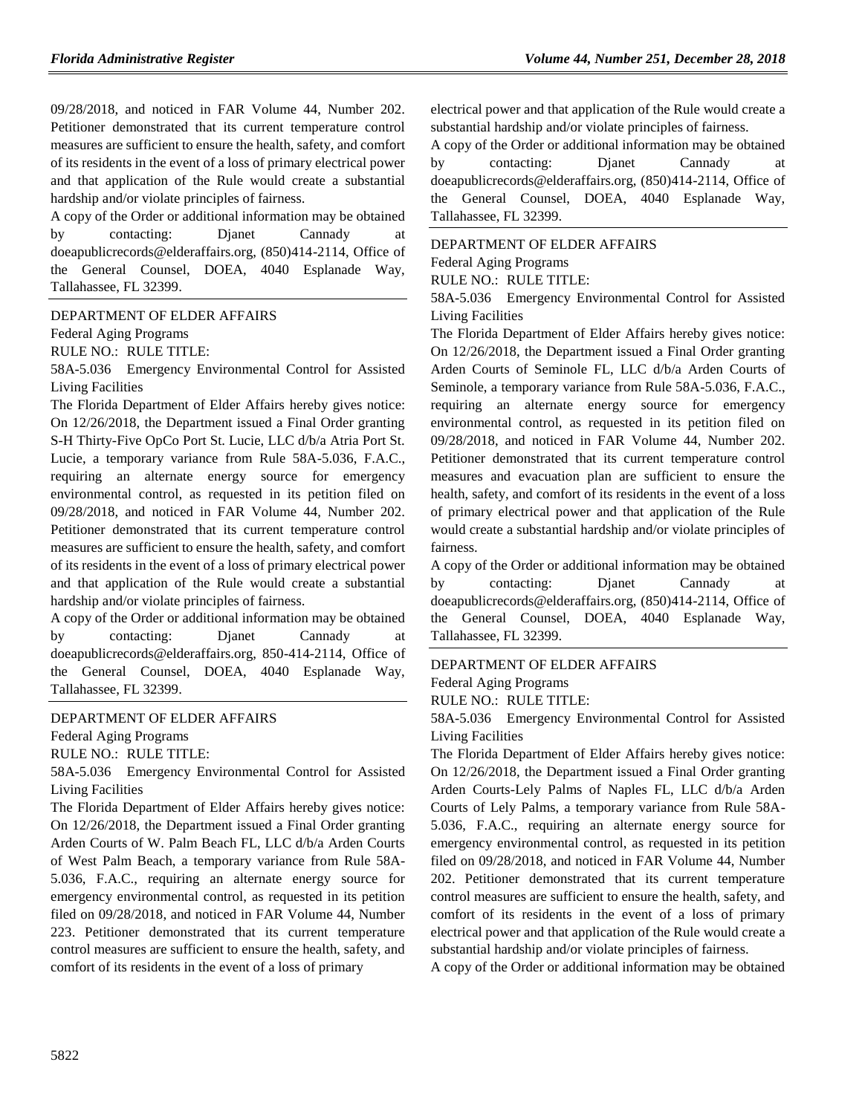09/28/2018, and noticed in FAR Volume 44, Number 202. Petitioner demonstrated that its current temperature control measures are sufficient to ensure the health, safety, and comfort of its residents in the event of a loss of primary electrical power and that application of the Rule would create a substantial hardship and/or violate principles of fairness.

A copy of the Order or additional information may be obtained by contacting: Djanet Cannady at doeapublicrecords@elderaffairs.org, (850)414-2114, Office of the General Counsel, DOEA, 4040 Esplanade Way, Tallahassee, FL 32399.

[DEPARTMENT OF ELDER AFFAIRS](https://www.flrules.org/gateway/department.asp?id=58)

[Federal Aging Programs](https://www.flrules.org/gateway/organization.asp?id=179)

RULE NO.: RULE TITLE:

[58A-5.036](https://www.flrules.org/gateway/ruleNo.asp?id=58A-5.036) Emergency Environmental Control for Assisted Living Facilities

The Florida Department of Elder Affairs hereby gives notice: On 12/26/2018, the Department issued a Final Order granting S-H Thirty-Five OpCo Port St. Lucie, LLC d/b/a Atria Port St. Lucie, a temporary variance from Rule 58A-5.036, F.A.C., requiring an alternate energy source for emergency environmental control, as requested in its petition filed on 09/28/2018, and noticed in FAR Volume 44, Number 202. Petitioner demonstrated that its current temperature control measures are sufficient to ensure the health, safety, and comfort of its residents in the event of a loss of primary electrical power and that application of the Rule would create a substantial hardship and/or violate principles of fairness.

A copy of the Order or additional information may be obtained by contacting: Djanet Cannady at doeapublicrecords@elderaffairs.org, 850-414-2114, Office of the General Counsel, DOEA, 4040 Esplanade Way, Tallahassee, FL 32399.

#### [DEPARTMENT OF ELDER AFFAIRS](https://www.flrules.org/gateway/department.asp?id=58)

[Federal Aging Programs](https://www.flrules.org/gateway/organization.asp?id=179)

RULE NO.: RULE TITLE:

[58A-5.036](https://www.flrules.org/gateway/ruleNo.asp?id=58A-5.036) Emergency Environmental Control for Assisted Living Facilities

The Florida Department of Elder Affairs hereby gives notice: On 12/26/2018, the Department issued a Final Order granting Arden Courts of W. Palm Beach FL, LLC d/b/a Arden Courts of West Palm Beach, a temporary variance from Rule 58A-5.036, F.A.C., requiring an alternate energy source for emergency environmental control, as requested in its petition filed on 09/28/2018, and noticed in FAR Volume 44, Number 223. Petitioner demonstrated that its current temperature control measures are sufficient to ensure the health, safety, and comfort of its residents in the event of a loss of primary

electrical power and that application of the Rule would create a substantial hardship and/or violate principles of fairness.

A copy of the Order or additional information may be obtained by contacting: Djanet Cannady at doeapublicrecords@elderaffairs.org, (850)414-2114, Office of the General Counsel, DOEA, 4040 Esplanade Way, Tallahassee, FL 32399.

### [DEPARTMENT OF ELDER AFFAIRS](https://www.flrules.org/gateway/department.asp?id=58)

[Federal Aging Programs](https://www.flrules.org/gateway/organization.asp?id=179)

RULE NO.: RULE TITLE:

[58A-5.036](https://www.flrules.org/gateway/ruleNo.asp?id=58A-5.036) Emergency Environmental Control for Assisted Living Facilities

The Florida Department of Elder Affairs hereby gives notice: On 12/26/2018, the Department issued a Final Order granting Arden Courts of Seminole FL, LLC d/b/a Arden Courts of Seminole, a temporary variance from Rule 58A-5.036, F.A.C., requiring an alternate energy source for emergency environmental control, as requested in its petition filed on 09/28/2018, and noticed in FAR Volume 44, Number 202. Petitioner demonstrated that its current temperature control measures and evacuation plan are sufficient to ensure the health, safety, and comfort of its residents in the event of a loss of primary electrical power and that application of the Rule would create a substantial hardship and/or violate principles of fairness.

A copy of the Order or additional information may be obtained by contacting: Djanet Cannady at doeapublicrecords@elderaffairs.org, (850)414-2114, Office of the General Counsel, DOEA, 4040 Esplanade Way, Tallahassee, FL 32399.

#### [DEPARTMENT OF ELDER AFFAIRS](https://www.flrules.org/gateway/department.asp?id=58)

[Federal Aging Programs](https://www.flrules.org/gateway/organization.asp?id=179)

RULE NO.: RULE TITLE:

[58A-5.036](https://www.flrules.org/gateway/ruleNo.asp?id=58A-5.036) Emergency Environmental Control for Assisted Living Facilities

The Florida Department of Elder Affairs hereby gives notice: On 12/26/2018, the Department issued a Final Order granting Arden Courts-Lely Palms of Naples FL, LLC d/b/a Arden Courts of Lely Palms, a temporary variance from Rule 58A-5.036, F.A.C., requiring an alternate energy source for emergency environmental control, as requested in its petition filed on 09/28/2018, and noticed in FAR Volume 44, Number 202. Petitioner demonstrated that its current temperature control measures are sufficient to ensure the health, safety, and comfort of its residents in the event of a loss of primary electrical power and that application of the Rule would create a substantial hardship and/or violate principles of fairness.

A copy of the Order or additional information may be obtained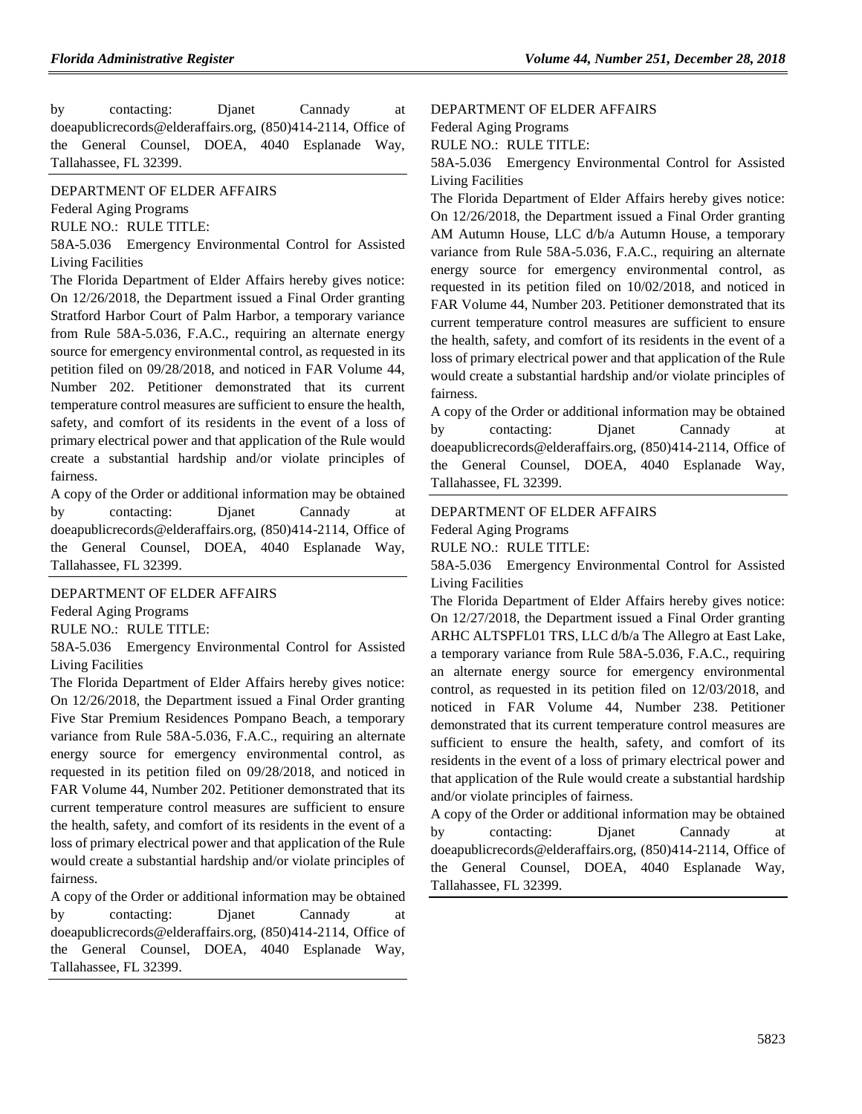by contacting: Djanet Cannady at doeapublicrecords@elderaffairs.org, (850)414-2114, Office of the General Counsel, DOEA, 4040 Esplanade Way, Tallahassee, FL 32399.

#### [DEPARTMENT OF ELDER AFFAIRS](https://www.flrules.org/gateway/department.asp?id=58)

[Federal Aging Programs](https://www.flrules.org/gateway/organization.asp?id=179)

RULE NO.: RULE TITLE:

[58A-5.036](https://www.flrules.org/gateway/ruleNo.asp?id=58A-5.036) Emergency Environmental Control for Assisted Living Facilities

The Florida Department of Elder Affairs hereby gives notice: On 12/26/2018, the Department issued a Final Order granting Stratford Harbor Court of Palm Harbor, a temporary variance from Rule 58A-5.036, F.A.C., requiring an alternate energy source for emergency environmental control, as requested in its petition filed on 09/28/2018, and noticed in FAR Volume 44, Number 202. Petitioner demonstrated that its current temperature control measures are sufficient to ensure the health, safety, and comfort of its residents in the event of a loss of primary electrical power and that application of the Rule would create a substantial hardship and/or violate principles of fairness.

A copy of the Order or additional information may be obtained by contacting: Djanet Cannady at doeapublicrecords@elderaffairs.org, (850)414-2114, Office of the General Counsel, DOEA, 4040 Esplanade Way, Tallahassee, FL 32399.

#### [DEPARTMENT OF ELDER AFFAIRS](https://www.flrules.org/gateway/department.asp?id=58)

[Federal Aging Programs](https://www.flrules.org/gateway/organization.asp?id=179)

RULE NO.: RULE TITLE:

[58A-5.036](https://www.flrules.org/gateway/ruleNo.asp?id=58A-5.036) Emergency Environmental Control for Assisted Living Facilities

The Florida Department of Elder Affairs hereby gives notice: On 12/26/2018, the Department issued a Final Order granting Five Star Premium Residences Pompano Beach, a temporary variance from Rule 58A-5.036, F.A.C., requiring an alternate energy source for emergency environmental control, as requested in its petition filed on 09/28/2018, and noticed in FAR Volume 44, Number 202. Petitioner demonstrated that its current temperature control measures are sufficient to ensure the health, safety, and comfort of its residents in the event of a loss of primary electrical power and that application of the Rule would create a substantial hardship and/or violate principles of fairness.

A copy of the Order or additional information may be obtained by contacting: Djanet Cannady at doeapublicrecords@elderaffairs.org, (850)414-2114, Office of the General Counsel, DOEA, 4040 Esplanade Way, Tallahassee, FL 32399.

#### [DEPARTMENT OF ELDER AFFAIRS](https://www.flrules.org/gateway/department.asp?id=58)

[Federal Aging Programs](https://www.flrules.org/gateway/organization.asp?id=179)

RULE NO.: RULE TITLE:

[58A-5.036](https://www.flrules.org/gateway/ruleNo.asp?id=58A-5.036) Emergency Environmental Control for Assisted Living Facilities

The Florida Department of Elder Affairs hereby gives notice: On 12/26/2018, the Department issued a Final Order granting AM Autumn House, LLC d/b/a Autumn House, a temporary variance from Rule 58A-5.036, F.A.C., requiring an alternate energy source for emergency environmental control, as requested in its petition filed on 10/02/2018, and noticed in FAR Volume 44, Number 203. Petitioner demonstrated that its current temperature control measures are sufficient to ensure the health, safety, and comfort of its residents in the event of a loss of primary electrical power and that application of the Rule would create a substantial hardship and/or violate principles of fairness.

A copy of the Order or additional information may be obtained by contacting: Djanet Cannady at doeapublicrecords@elderaffairs.org, (850)414-2114, Office of the General Counsel, DOEA, 4040 Esplanade Way, Tallahassee, FL 32399.

#### [DEPARTMENT OF ELDER AFFAIRS](https://www.flrules.org/gateway/department.asp?id=58) [Federal Aging Programs](https://www.flrules.org/gateway/organization.asp?id=179)

RULE NO.: RULE TITLE:

[58A-5.036](https://www.flrules.org/gateway/ruleNo.asp?id=58A-5.036) Emergency Environmental Control for Assisted Living Facilities

The Florida Department of Elder Affairs hereby gives notice: On 12/27/2018, the Department issued a Final Order granting ARHC ALTSPFL01 TRS, LLC d/b/a The Allegro at East Lake, a temporary variance from Rule 58A-5.036, F.A.C., requiring an alternate energy source for emergency environmental control, as requested in its petition filed on 12/03/2018, and noticed in FAR Volume 44, Number 238. Petitioner demonstrated that its current temperature control measures are sufficient to ensure the health, safety, and comfort of its residents in the event of a loss of primary electrical power and that application of the Rule would create a substantial hardship and/or violate principles of fairness.

A copy of the Order or additional information may be obtained by contacting: Djanet Cannady at doeapublicrecords@elderaffairs.org, (850)414-2114, Office of the General Counsel, DOEA, 4040 Esplanade Way, Tallahassee, FL 32399.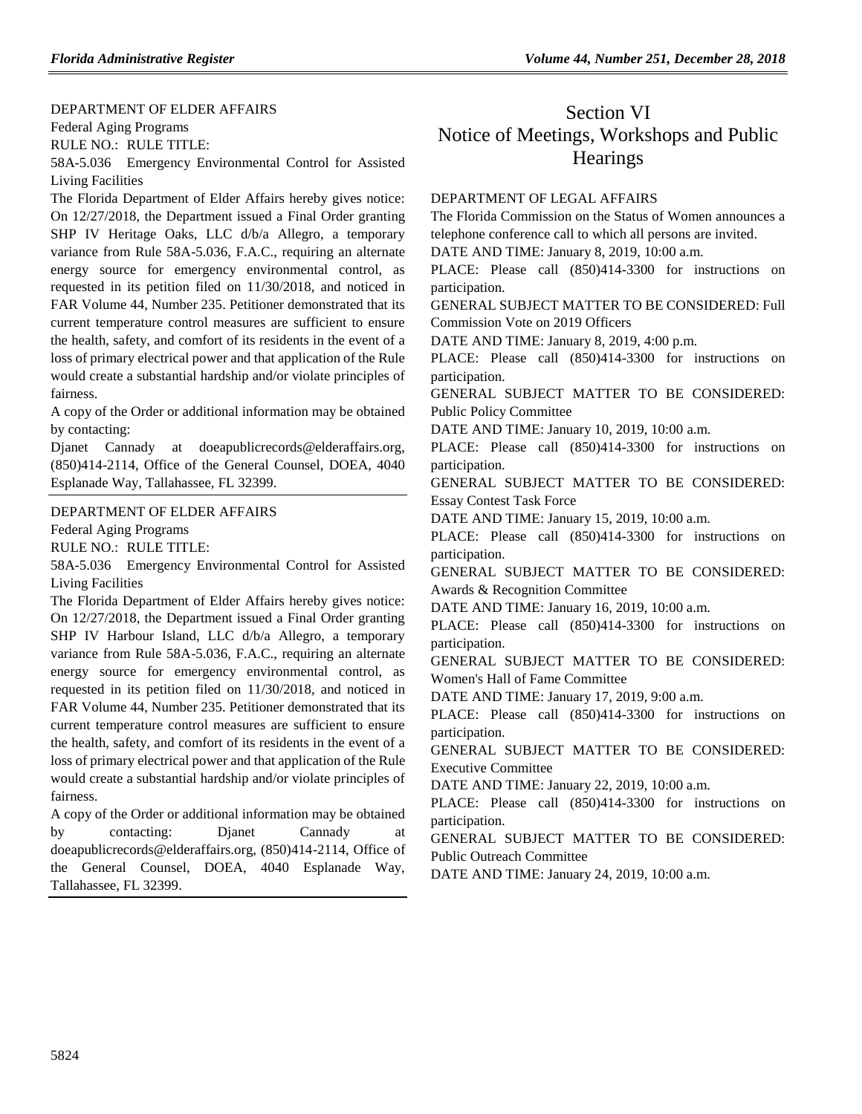#### [DEPARTMENT OF ELDER AFFAIRS](https://www.flrules.org/gateway/department.asp?id=58)

[Federal Aging Programs](https://www.flrules.org/gateway/organization.asp?id=179)

RULE NO.: RULE TITLE:

[58A-5.036](https://www.flrules.org/gateway/ruleNo.asp?id=58A-5.036) Emergency Environmental Control for Assisted Living Facilities

The Florida Department of Elder Affairs hereby gives notice: On 12/27/2018, the Department issued a Final Order granting SHP IV Heritage Oaks, LLC d/b/a Allegro, a temporary variance from Rule 58A-5.036, F.A.C., requiring an alternate energy source for emergency environmental control, as requested in its petition filed on 11/30/2018, and noticed in FAR Volume 44, Number 235. Petitioner demonstrated that its current temperature control measures are sufficient to ensure the health, safety, and comfort of its residents in the event of a loss of primary electrical power and that application of the Rule would create a substantial hardship and/or violate principles of fairness.

A copy of the Order or additional information may be obtained by contacting:

Djanet Cannady at doeapublicrecords@elderaffairs.org, (850)414-2114, Office of the General Counsel, DOEA, 4040 Esplanade Way, Tallahassee, FL 32399.

#### [DEPARTMENT OF ELDER AFFAIRS](https://www.flrules.org/gateway/department.asp?id=58)

[Federal Aging Programs](https://www.flrules.org/gateway/organization.asp?id=179)

RULE NO.: RULE TITLE:

[58A-5.036](https://www.flrules.org/gateway/ruleNo.asp?id=58A-5.036) Emergency Environmental Control for Assisted Living Facilities

The Florida Department of Elder Affairs hereby gives notice: On 12/27/2018, the Department issued a Final Order granting SHP IV Harbour Island, LLC d/b/a Allegro, a temporary variance from Rule 58A-5.036, F.A.C., requiring an alternate energy source for emergency environmental control, as requested in its petition filed on 11/30/2018, and noticed in FAR Volume 44, Number 235. Petitioner demonstrated that its current temperature control measures are sufficient to ensure the health, safety, and comfort of its residents in the event of a loss of primary electrical power and that application of the Rule would create a substantial hardship and/or violate principles of fairness.

A copy of the Order or additional information may be obtained by contacting: Djanet Cannady at doeapublicrecords@elderaffairs.org, (850)414-2114, Office of the General Counsel, DOEA, 4040 Esplanade Way, Tallahassee, FL 32399.

## Section VI Notice of Meetings, Workshops and Public **Hearings**

#### [DEPARTMENT OF LEGAL AFFAIRS](https://www.flrules.org/gateway/department.asp?id=2)

The Florida Commission on the Status of Women announces a telephone conference call to which all persons are invited.

DATE AND TIME: January 8, 2019, 10:00 a.m.

PLACE: Please call (850)414-3300 for instructions on participation.

GENERAL SUBJECT MATTER TO BE CONSIDERED: Full Commission Vote on 2019 Officers

DATE AND TIME: January 8, 2019, 4:00 p.m.

PLACE: Please call (850)414-3300 for instructions on participation.

GENERAL SUBJECT MATTER TO BE CONSIDERED: Public Policy Committee

DATE AND TIME: January 10, 2019, 10:00 a.m.

PLACE: Please call (850)414-3300 for instructions on participation.

GENERAL SUBJECT MATTER TO BE CONSIDERED: Essay Contest Task Force

DATE AND TIME: January 15, 2019, 10:00 a.m.

PLACE: Please call (850)414-3300 for instructions on participation.

GENERAL SUBJECT MATTER TO BE CONSIDERED: Awards & Recognition Committee

DATE AND TIME: January 16, 2019, 10:00 a.m.

PLACE: Please call (850)414-3300 for instructions on participation.

GENERAL SUBJECT MATTER TO BE CONSIDERED: Women's Hall of Fame Committee

DATE AND TIME: January 17, 2019, 9:00 a.m.

PLACE: Please call (850)414-3300 for instructions on participation.

GENERAL SUBJECT MATTER TO BE CONSIDERED: Executive Committee

DATE AND TIME: January 22, 2019, 10:00 a.m.

PLACE: Please call (850)414-3300 for instructions on participation.

GENERAL SUBJECT MATTER TO BE CONSIDERED: Public Outreach Committee

DATE AND TIME: January 24, 2019, 10:00 a.m.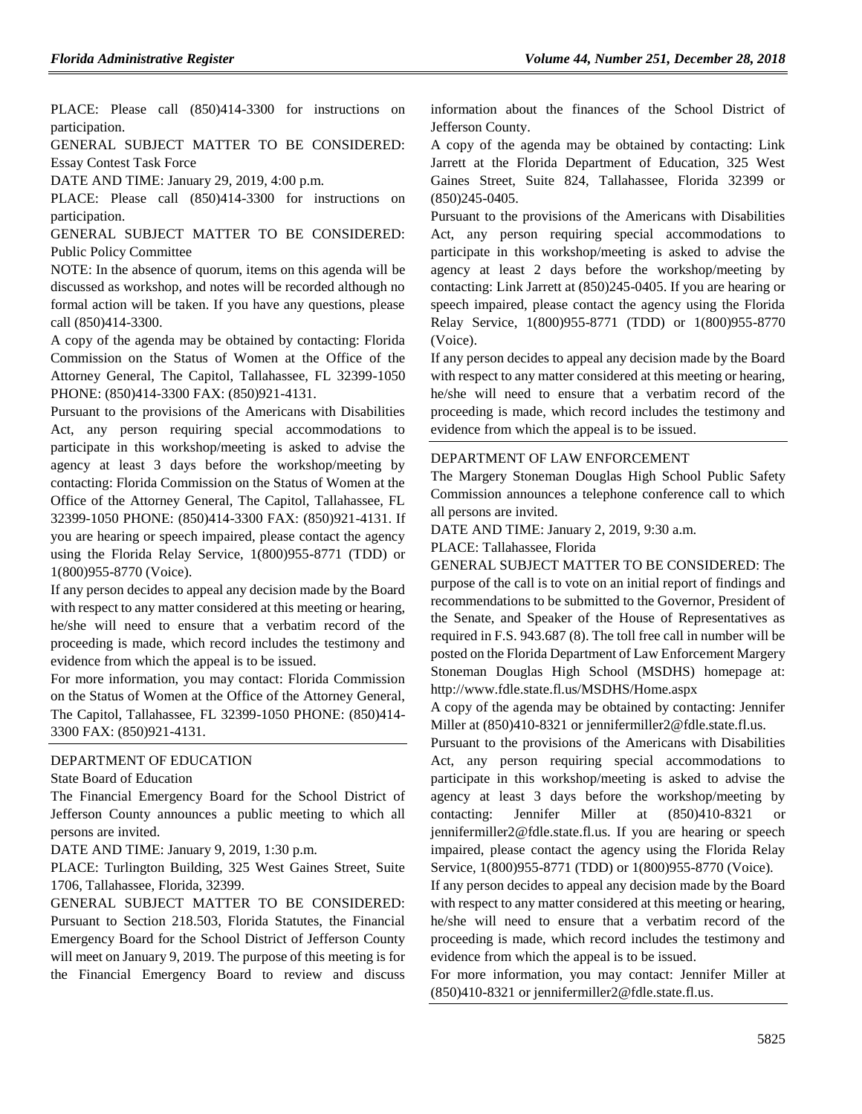PLACE: Please call (850)414-3300 for instructions on participation.

GENERAL SUBJECT MATTER TO BE CONSIDERED: Essay Contest Task Force

DATE AND TIME: January 29, 2019, 4:00 p.m.

PLACE: Please call (850)414-3300 for instructions on participation.

GENERAL SUBJECT MATTER TO BE CONSIDERED: Public Policy Committee

NOTE: In the absence of quorum, items on this agenda will be discussed as workshop, and notes will be recorded although no formal action will be taken. If you have any questions, please call (850)414-3300.

A copy of the agenda may be obtained by contacting: Florida Commission on the Status of Women at the Office of the Attorney General, The Capitol, Tallahassee, FL 32399-1050 PHONE: (850)414-3300 FAX: (850)921-4131.

Pursuant to the provisions of the Americans with Disabilities Act, any person requiring special accommodations to participate in this workshop/meeting is asked to advise the agency at least 3 days before the workshop/meeting by contacting: Florida Commission on the Status of Women at the Office of the Attorney General, The Capitol, Tallahassee, FL 32399-1050 PHONE: (850)414-3300 FAX: (850)921-4131. If you are hearing or speech impaired, please contact the agency using the Florida Relay Service, 1(800)955-8771 (TDD) or 1(800)955-8770 (Voice).

If any person decides to appeal any decision made by the Board with respect to any matter considered at this meeting or hearing, he/she will need to ensure that a verbatim record of the proceeding is made, which record includes the testimony and evidence from which the appeal is to be issued.

For more information, you may contact: Florida Commission on the Status of Women at the Office of the Attorney General, The Capitol, Tallahassee, FL 32399-1050 PHONE: (850)414- 3300 FAX: (850)921-4131.

#### [DEPARTMENT OF EDUCATION](https://www.flrules.org/gateway/department.asp?id=6)

[State Board of Education](https://www.flrules.org/gateway/organization.asp?id=195)

The Financial Emergency Board for the School District of Jefferson County announces a public meeting to which all persons are invited.

DATE AND TIME: January 9, 2019, 1:30 p.m.

PLACE: Turlington Building, 325 West Gaines Street, Suite 1706, Tallahassee, Florida, 32399.

GENERAL SUBJECT MATTER TO BE CONSIDERED: Pursuant to Section 218.503, Florida Statutes, the Financial Emergency Board for the School District of Jefferson County will meet on January 9, 2019. The purpose of this meeting is for the Financial Emergency Board to review and discuss information about the finances of the School District of Jefferson County.

A copy of the agenda may be obtained by contacting: Link Jarrett at the Florida Department of Education, 325 West Gaines Street, Suite 824, Tallahassee, Florida 32399 or (850)245-0405.

Pursuant to the provisions of the Americans with Disabilities Act, any person requiring special accommodations to participate in this workshop/meeting is asked to advise the agency at least 2 days before the workshop/meeting by contacting: Link Jarrett at (850)245-0405. If you are hearing or speech impaired, please contact the agency using the Florida Relay Service, 1(800)955-8771 (TDD) or 1(800)955-8770 (Voice).

If any person decides to appeal any decision made by the Board with respect to any matter considered at this meeting or hearing, he/she will need to ensure that a verbatim record of the proceeding is made, which record includes the testimony and evidence from which the appeal is to be issued.

#### [DEPARTMENT OF LAW ENFORCEMENT](https://www.flrules.org/gateway/department.asp?id=11)

The Margery Stoneman Douglas High School Public Safety Commission announces a telephone conference call to which all persons are invited.

DATE AND TIME: January 2, 2019, 9:30 a.m.

PLACE: Tallahassee, Florida

GENERAL SUBJECT MATTER TO BE CONSIDERED: The purpose of the call is to vote on an initial report of findings and recommendations to be submitted to the Governor, President of the Senate, and Speaker of the House of Representatives as required in F.S. 943.687 (8). The toll free call in number will be posted on the Florida Department of Law Enforcement Margery Stoneman Douglas High School (MSDHS) homepage at: http://www.fdle.state.fl.us/MSDHS/Home.aspx

A copy of the agenda may be obtained by contacting: Jennifer Miller at  $(850)410-8321$  or jennifermiller2@fdle.state.fl.us.

Pursuant to the provisions of the Americans with Disabilities Act, any person requiring special accommodations to participate in this workshop/meeting is asked to advise the agency at least 3 days before the workshop/meeting by contacting: Jennifer Miller at (850)410-8321 or jennifermiller2@fdle.state.fl.us. If you are hearing or speech impaired, please contact the agency using the Florida Relay Service, 1(800)955-8771 (TDD) or 1(800)955-8770 (Voice).

If any person decides to appeal any decision made by the Board with respect to any matter considered at this meeting or hearing, he/she will need to ensure that a verbatim record of the proceeding is made, which record includes the testimony and evidence from which the appeal is to be issued.

For more information, you may contact: Jennifer Miller at (850)410-8321 or jennifermiller2@fdle.state.fl.us.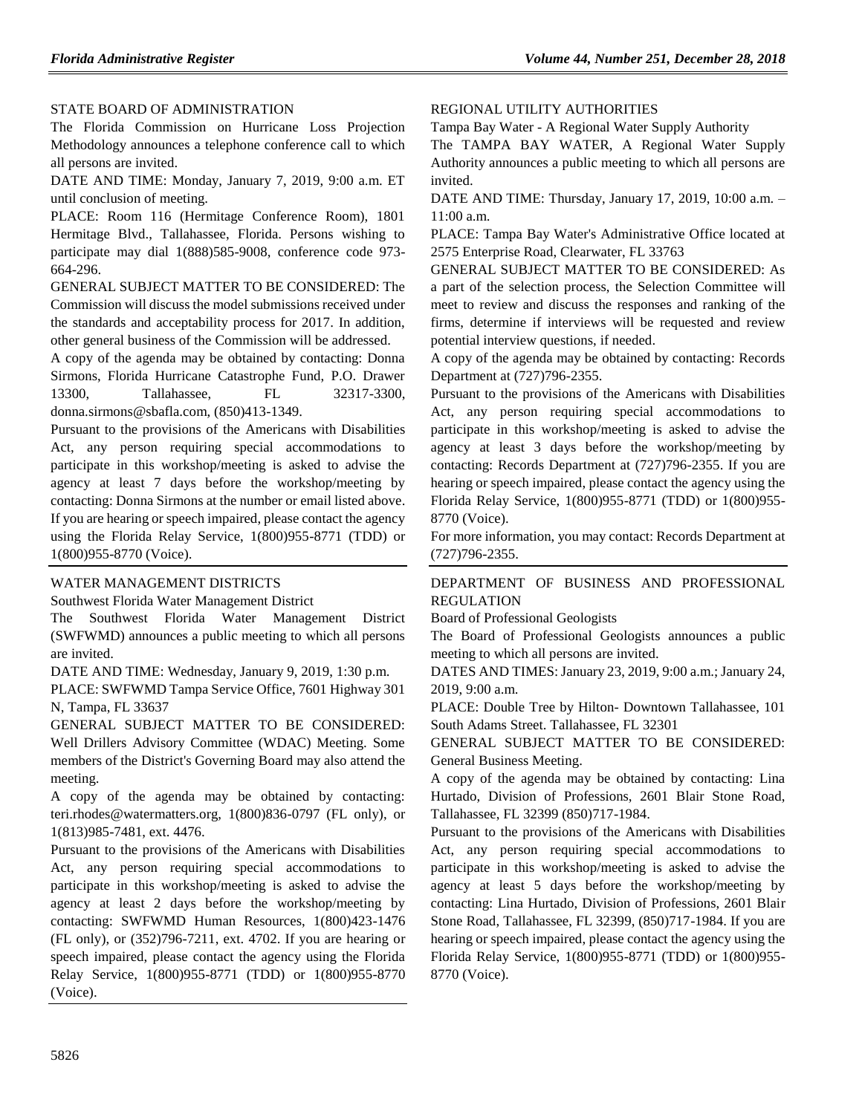#### [STATE BOARD OF ADMINISTRATION](https://www.flrules.org/gateway/department.asp?id=19)

The Florida Commission on Hurricane Loss Projection Methodology announces a telephone conference call to which all persons are invited.

DATE AND TIME: Monday, January 7, 2019, 9:00 a.m. ET until conclusion of meeting.

PLACE: Room 116 (Hermitage Conference Room), 1801 Hermitage Blvd., Tallahassee, Florida. Persons wishing to participate may dial 1(888)585-9008, conference code 973- 664-296.

GENERAL SUBJECT MATTER TO BE CONSIDERED: The Commission will discuss the model submissions received under the standards and acceptability process for 2017. In addition, other general business of the Commission will be addressed.

A copy of the agenda may be obtained by contacting: Donna Sirmons, Florida Hurricane Catastrophe Fund, P.O. Drawer 13300, Tallahassee, FL 32317-3300, donna.sirmons@sbafla.com, (850)413-1349.

Pursuant to the provisions of the Americans with Disabilities Act, any person requiring special accommodations to participate in this workshop/meeting is asked to advise the agency at least 7 days before the workshop/meeting by contacting: Donna Sirmons at the number or email listed above. If you are hearing or speech impaired, please contact the agency using the Florida Relay Service, 1(800)955-8771 (TDD) or 1(800)955-8770 (Voice).

#### [WATER MANAGEMENT DISTRICTS](https://www.flrules.org/gateway/department.asp?id=40)

[Southwest Florida Water Management District](https://www.flrules.org/gateway/organization.asp?id=123)

The Southwest Florida Water Management District (SWFWMD) announces a public meeting to which all persons are invited.

DATE AND TIME: Wednesday, January 9, 2019, 1:30 p.m.

PLACE: SWFWMD Tampa Service Office, 7601 Highway 301 N, Tampa, FL 33637

GENERAL SUBJECT MATTER TO BE CONSIDERED: Well Drillers Advisory Committee (WDAC) Meeting. Some members of the District's Governing Board may also attend the meeting.

A copy of the agenda may be obtained by contacting: teri.rhodes@watermatters.org, 1(800)836-0797 (FL only), or 1(813)985-7481, ext. 4476.

Pursuant to the provisions of the Americans with Disabilities Act, any person requiring special accommodations to participate in this workshop/meeting is asked to advise the agency at least 2 days before the workshop/meeting by contacting: SWFWMD Human Resources, 1(800)423-1476 (FL only), or (352)796-7211, ext. 4702. If you are hearing or speech impaired, please contact the agency using the Florida Relay Service, 1(800)955-8771 (TDD) or 1(800)955-8770 (Voice).

#### [REGIONAL UTILITY AUTHORITIES](https://www.flrules.org/gateway/department.asp?id=49)

Tampa Bay Water - [A Regional Water Supply Authority](https://www.flrules.org/gateway/organization.asp?id=158)

The TAMPA BAY WATER, A Regional Water Supply Authority announces a public meeting to which all persons are invited.

DATE AND TIME: Thursday, January 17, 2019, 10:00 a.m. – 11:00 a.m.

PLACE: Tampa Bay Water's Administrative Office located at 2575 Enterprise Road, Clearwater, FL 33763

GENERAL SUBJECT MATTER TO BE CONSIDERED: As a part of the selection process, the Selection Committee will meet to review and discuss the responses and ranking of the firms, determine if interviews will be requested and review potential interview questions, if needed.

A copy of the agenda may be obtained by contacting: Records Department at (727)796-2355.

Pursuant to the provisions of the Americans with Disabilities Act, any person requiring special accommodations to participate in this workshop/meeting is asked to advise the agency at least 3 days before the workshop/meeting by contacting: Records Department at (727)796-2355. If you are hearing or speech impaired, please contact the agency using the Florida Relay Service, 1(800)955-8771 (TDD) or 1(800)955- 8770 (Voice).

For more information, you may contact: Records Department at (727)796-2355.

[DEPARTMENT OF BUSINESS AND PROFESSIONAL](https://www.flrules.org/gateway/department.asp?id=61)  [REGULATION](https://www.flrules.org/gateway/department.asp?id=61)

[Board of Professional Geologists](https://www.flrules.org/gateway/organization.asp?id=268)

The Board of Professional Geologists announces a public meeting to which all persons are invited.

DATES AND TIMES: January 23, 2019, 9:00 a.m.; January 24, 2019, 9:00 a.m.

PLACE: Double Tree by Hilton- Downtown Tallahassee, 101 South Adams Street. Tallahassee, FL 32301

GENERAL SUBJECT MATTER TO BE CONSIDERED: General Business Meeting.

A copy of the agenda may be obtained by contacting: Lina Hurtado, Division of Professions, 2601 Blair Stone Road, Tallahassee, FL 32399 (850)717-1984.

Pursuant to the provisions of the Americans with Disabilities Act, any person requiring special accommodations to participate in this workshop/meeting is asked to advise the agency at least 5 days before the workshop/meeting by contacting: Lina Hurtado, Division of Professions, 2601 Blair Stone Road, Tallahassee, FL 32399, (850)717-1984. If you are hearing or speech impaired, please contact the agency using the Florida Relay Service, 1(800)955-8771 (TDD) or 1(800)955- 8770 (Voice).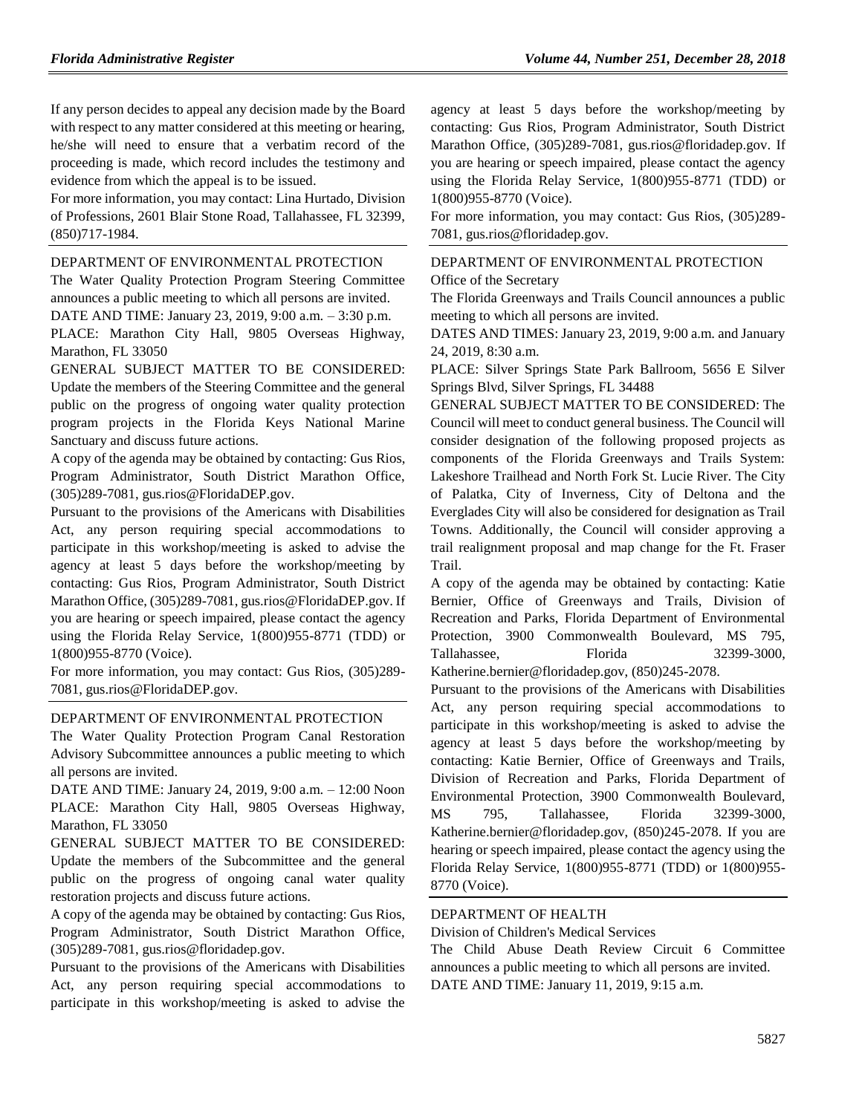If any person decides to appeal any decision made by the Board with respect to any matter considered at this meeting or hearing, he/she will need to ensure that a verbatim record of the proceeding is made, which record includes the testimony and evidence from which the appeal is to be issued.

For more information, you may contact: Lina Hurtado, Division of Professions, 2601 Blair Stone Road, Tallahassee, FL 32399, (850)717-1984.

#### [DEPARTMENT OF ENVIRONMENTAL PROTECTION](https://www.flrules.org/gateway/department.asp?id=62)

The Water Quality Protection Program Steering Committee announces a public meeting to which all persons are invited. DATE AND TIME: January 23, 2019, 9:00 a.m. – 3:30 p.m. PLACE: Marathon City Hall, 9805 Overseas Highway, Marathon, FL 33050

GENERAL SUBJECT MATTER TO BE CONSIDERED: Update the members of the Steering Committee and the general public on the progress of ongoing water quality protection program projects in the Florida Keys National Marine Sanctuary and discuss future actions.

A copy of the agenda may be obtained by contacting: Gus Rios, Program Administrator, South District Marathon Office, (305)289-7081, gus.rios@FloridaDEP.gov.

Pursuant to the provisions of the Americans with Disabilities Act, any person requiring special accommodations to participate in this workshop/meeting is asked to advise the agency at least 5 days before the workshop/meeting by contacting: Gus Rios, Program Administrator, South District Marathon Office, (305)289-7081, gus.rios@FloridaDEP.gov. If you are hearing or speech impaired, please contact the agency using the Florida Relay Service, 1(800)955-8771 (TDD) or 1(800)955-8770 (Voice).

For more information, you may contact: Gus Rios, (305)289- 7081, gus.rios@FloridaDEP.gov.

#### [DEPARTMENT OF ENVIRONMENTAL PROTECTION](https://www.flrules.org/gateway/department.asp?id=62)

The Water Quality Protection Program Canal Restoration Advisory Subcommittee announces a public meeting to which all persons are invited.

DATE AND TIME: January 24, 2019, 9:00 a.m. – 12:00 Noon PLACE: Marathon City Hall, 9805 Overseas Highway, Marathon, FL 33050

GENERAL SUBJECT MATTER TO BE CONSIDERED: Update the members of the Subcommittee and the general public on the progress of ongoing canal water quality restoration projects and discuss future actions.

A copy of the agenda may be obtained by contacting: Gus Rios, Program Administrator, South District Marathon Office, (305)289-7081, gus.rios@floridadep.gov.

Pursuant to the provisions of the Americans with Disabilities Act, any person requiring special accommodations to participate in this workshop/meeting is asked to advise the

agency at least 5 days before the workshop/meeting by contacting: Gus Rios, Program Administrator, South District Marathon Office, (305)289-7081, gus.rios@floridadep.gov. If you are hearing or speech impaired, please contact the agency using the Florida Relay Service, 1(800)955-8771 (TDD) or 1(800)955-8770 (Voice).

For more information, you may contact: Gus Rios, (305)289- 7081, gus.rios@floridadep.gov.

#### [DEPARTMENT OF ENVIRONMENTAL PROTECTION](https://www.flrules.org/gateway/department.asp?id=62)

[Office of the Secretary](https://www.flrules.org/gateway/organization.asp?id=294)

The Florida Greenways and Trails Council announces a public meeting to which all persons are invited.

DATES AND TIMES: January 23, 2019, 9:00 a.m. and January 24, 2019, 8:30 a.m.

PLACE: Silver Springs State Park Ballroom, 5656 E Silver Springs Blvd, Silver Springs, FL 34488

GENERAL SUBJECT MATTER TO BE CONSIDERED: The Council will meet to conduct general business. The Council will consider designation of the following proposed projects as components of the Florida Greenways and Trails System: Lakeshore Trailhead and North Fork St. Lucie River. The City of Palatka, City of Inverness, City of Deltona and the Everglades City will also be considered for designation as Trail Towns. Additionally, the Council will consider approving a trail realignment proposal and map change for the Ft. Fraser Trail.

A copy of the agenda may be obtained by contacting: Katie Bernier, Office of Greenways and Trails, Division of Recreation and Parks, Florida Department of Environmental Protection, 3900 Commonwealth Boulevard, MS 795, Tallahassee, Florida 32399-3000, Katherine.bernier@floridadep.gov, (850)245-2078.

Pursuant to the provisions of the Americans with Disabilities Act, any person requiring special accommodations to participate in this workshop/meeting is asked to advise the agency at least 5 days before the workshop/meeting by contacting: Katie Bernier, Office of Greenways and Trails, Division of Recreation and Parks, Florida Department of Environmental Protection, 3900 Commonwealth Boulevard, MS 795, Tallahassee, Florida 32399-3000, Katherine.bernier@floridadep.gov, (850)245-2078. If you are hearing or speech impaired, please contact the agency using the Florida Relay Service, 1(800)955-8771 (TDD) or 1(800)955- 8770 (Voice).

#### [DEPARTMENT OF HEALTH](https://www.flrules.org/gateway/department.asp?id=64)

[Division of Children's Medical Services](https://www.flrules.org/gateway/organization.asp?id=333)

The Child Abuse Death Review Circuit 6 Committee announces a public meeting to which all persons are invited. DATE AND TIME: January 11, 2019, 9:15 a.m.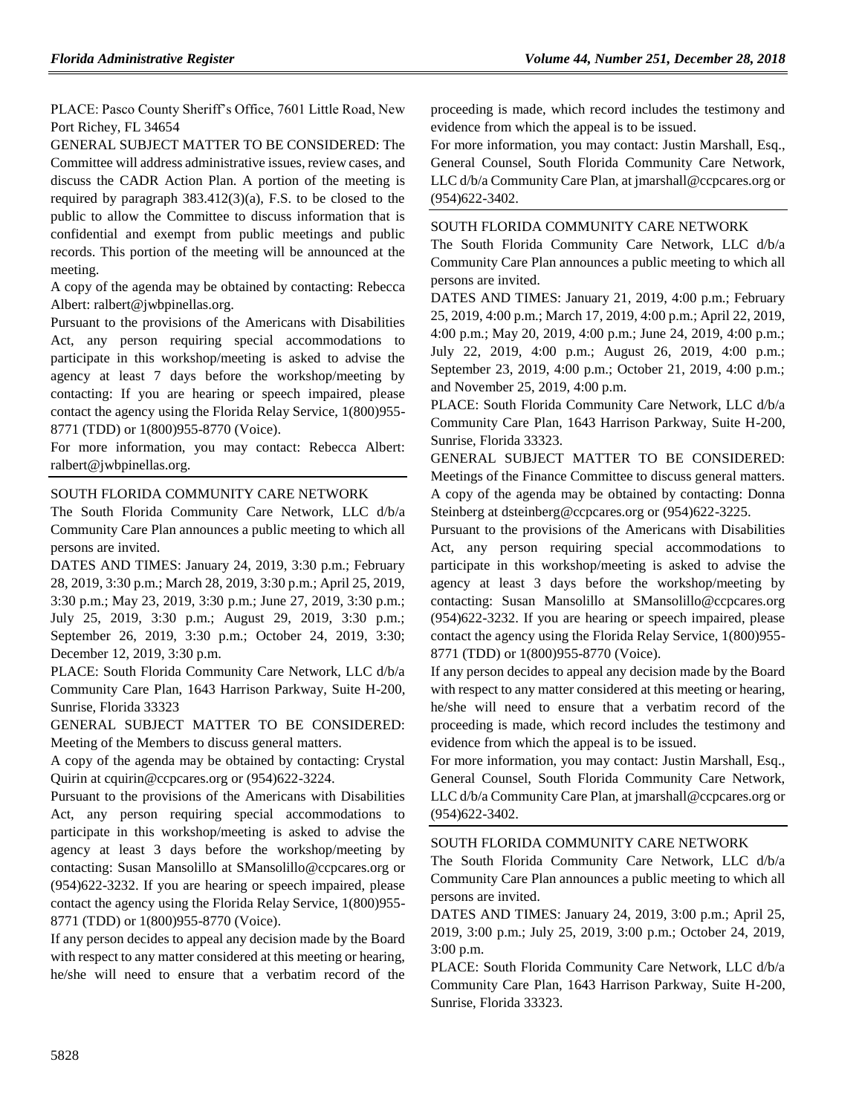PLACE: Pasco County Sheriff's Office, 7601 Little Road, New Port Richey, FL 34654

GENERAL SUBJECT MATTER TO BE CONSIDERED: The Committee will address administrative issues, review cases, and discuss the CADR Action Plan. A portion of the meeting is required by paragraph 383.412(3)(a), F.S. to be closed to the public to allow the Committee to discuss information that is confidential and exempt from public meetings and public records. This portion of the meeting will be announced at the meeting.

A copy of the agenda may be obtained by contacting: Rebecca Albert: ralbert@jwbpinellas.org.

Pursuant to the provisions of the Americans with Disabilities Act, any person requiring special accommodations to participate in this workshop/meeting is asked to advise the agency at least 7 days before the workshop/meeting by contacting: If you are hearing or speech impaired, please contact the agency using the Florida Relay Service, 1(800)955- 8771 (TDD) or 1(800)955-8770 (Voice).

For more information, you may contact: Rebecca Albert: ralbert@jwbpinellas.org.

#### [SOUTH FLORIDA COMMUNITY CARE NETWORK](https://www.flrules.org/gateway/organization.asp?id=1130)

The South Florida Community Care Network, LLC d/b/a Community Care Plan announces a public meeting to which all persons are invited.

DATES AND TIMES: January 24, 2019, 3:30 p.m.; February 28, 2019, 3:30 p.m.; March 28, 2019, 3:30 p.m.; April 25, 2019, 3:30 p.m.; May 23, 2019, 3:30 p.m.; June 27, 2019, 3:30 p.m.; July 25, 2019, 3:30 p.m.; August 29, 2019, 3:30 p.m.; September 26, 2019, 3:30 p.m.; October 24, 2019, 3:30; December 12, 2019, 3:30 p.m.

PLACE: South Florida Community Care Network, LLC d/b/a Community Care Plan, 1643 Harrison Parkway, Suite H-200, Sunrise, Florida 33323

GENERAL SUBJECT MATTER TO BE CONSIDERED: Meeting of the Members to discuss general matters.

A copy of the agenda may be obtained by contacting: Crystal Quirin at cquirin@ccpcares.org or (954)622-3224.

Pursuant to the provisions of the Americans with Disabilities Act, any person requiring special accommodations to participate in this workshop/meeting is asked to advise the agency at least 3 days before the workshop/meeting by contacting: Susan Mansolillo at SMansolillo@ccpcares.org or (954)622-3232. If you are hearing or speech impaired, please contact the agency using the Florida Relay Service, 1(800)955- 8771 (TDD) or 1(800)955-8770 (Voice).

If any person decides to appeal any decision made by the Board with respect to any matter considered at this meeting or hearing, he/she will need to ensure that a verbatim record of the proceeding is made, which record includes the testimony and evidence from which the appeal is to be issued.

For more information, you may contact: Justin Marshall, Esq., General Counsel, South Florida Community Care Network, LLC d/b/a Community Care Plan, at jmarshall@ccpcares.org or (954)622-3402.

#### [SOUTH FLORIDA COMMUNITY CARE NETWORK](https://www.flrules.org/gateway/organization.asp?id=1130)

The South Florida Community Care Network, LLC d/b/a Community Care Plan announces a public meeting to which all persons are invited.

DATES AND TIMES: January 21, 2019, 4:00 p.m.; February 25, 2019, 4:00 p.m.; March 17, 2019, 4:00 p.m.; April 22, 2019, 4:00 p.m.; May 20, 2019, 4:00 p.m.; June 24, 2019, 4:00 p.m.; July 22, 2019, 4:00 p.m.; August 26, 2019, 4:00 p.m.; September 23, 2019, 4:00 p.m.; October 21, 2019, 4:00 p.m.; and November 25, 2019, 4:00 p.m.

PLACE: South Florida Community Care Network, LLC d/b/a Community Care Plan, 1643 Harrison Parkway, Suite H-200, Sunrise, Florida 33323.

GENERAL SUBJECT MATTER TO BE CONSIDERED: Meetings of the Finance Committee to discuss general matters. A copy of the agenda may be obtained by contacting: Donna Steinberg at dsteinberg@ccpcares.org or (954)622-3225.

Pursuant to the provisions of the Americans with Disabilities Act, any person requiring special accommodations to participate in this workshop/meeting is asked to advise the agency at least 3 days before the workshop/meeting by contacting: Susan Mansolillo at SMansolillo@ccpcares.org (954)622-3232. If you are hearing or speech impaired, please contact the agency using the Florida Relay Service, 1(800)955- 8771 (TDD) or 1(800)955-8770 (Voice).

If any person decides to appeal any decision made by the Board with respect to any matter considered at this meeting or hearing, he/she will need to ensure that a verbatim record of the proceeding is made, which record includes the testimony and evidence from which the appeal is to be issued.

For more information, you may contact: Justin Marshall, Esq., General Counsel, South Florida Community Care Network, LLC d/b/a Community Care Plan, at jmarshall@ccpcares.org or (954)622-3402.

#### [SOUTH FLORIDA COMMUNITY CARE NETWORK](https://www.flrules.org/gateway/organization.asp?id=1130)

The South Florida Community Care Network, LLC d/b/a Community Care Plan announces a public meeting to which all persons are invited.

DATES AND TIMES: January 24, 2019, 3:00 p.m.; April 25, 2019, 3:00 p.m.; July 25, 2019, 3:00 p.m.; October 24, 2019, 3:00 p.m.

PLACE: South Florida Community Care Network, LLC d/b/a Community Care Plan, 1643 Harrison Parkway, Suite H-200, Sunrise, Florida 33323.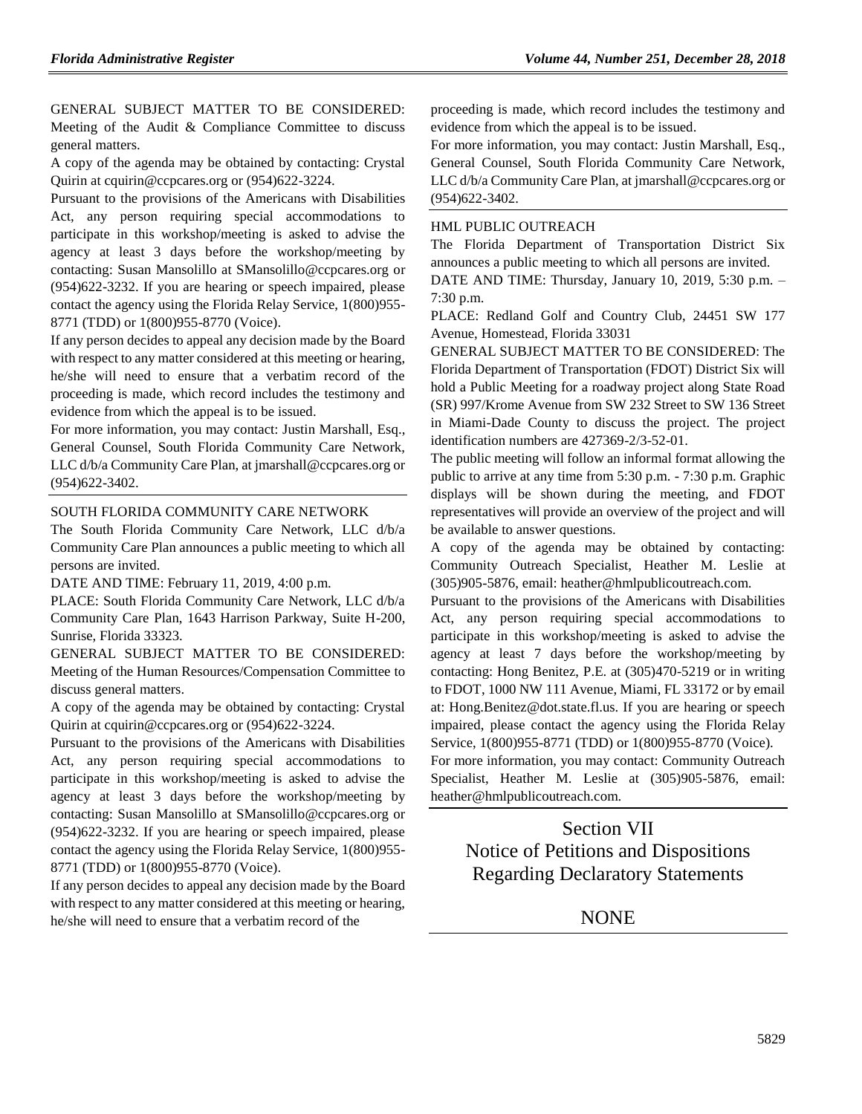GENERAL SUBJECT MATTER TO BE CONSIDERED: Meeting of the Audit & Compliance Committee to discuss general matters.

A copy of the agenda may be obtained by contacting: Crystal Quirin at cquirin@ccpcares.org or (954)622-3224.

Pursuant to the provisions of the Americans with Disabilities Act, any person requiring special accommodations to participate in this workshop/meeting is asked to advise the agency at least 3 days before the workshop/meeting by contacting: Susan Mansolillo at SMansolillo@ccpcares.org or (954)622-3232. If you are hearing or speech impaired, please contact the agency using the Florida Relay Service, 1(800)955- 8771 (TDD) or 1(800)955-8770 (Voice).

If any person decides to appeal any decision made by the Board with respect to any matter considered at this meeting or hearing, he/she will need to ensure that a verbatim record of the proceeding is made, which record includes the testimony and evidence from which the appeal is to be issued.

For more information, you may contact: Justin Marshall, Esq., General Counsel, South Florida Community Care Network, LLC d/b/a Community Care Plan, at jmarshall@ccpcares.org or (954)622-3402.

#### [SOUTH FLORIDA COMMUNITY CARE](https://www.flrules.org/gateway/organization.asp?id=1130) NETWORK

The South Florida Community Care Network, LLC d/b/a Community Care Plan announces a public meeting to which all persons are invited.

DATE AND TIME: February 11, 2019, 4:00 p.m.

PLACE: South Florida Community Care Network, LLC d/b/a Community Care Plan, 1643 Harrison Parkway, Suite H-200, Sunrise, Florida 33323.

GENERAL SUBJECT MATTER TO BE CONSIDERED: Meeting of the Human Resources/Compensation Committee to discuss general matters.

A copy of the agenda may be obtained by contacting: Crystal Quirin at cquirin@ccpcares.org or (954)622-3224.

Pursuant to the provisions of the Americans with Disabilities Act, any person requiring special accommodations to participate in this workshop/meeting is asked to advise the agency at least 3 days before the workshop/meeting by contacting: Susan Mansolillo at SMansolillo@ccpcares.org or (954)622-3232. If you are hearing or speech impaired, please contact the agency using the Florida Relay Service, 1(800)955- 8771 (TDD) or 1(800)955-8770 (Voice).

If any person decides to appeal any decision made by the Board with respect to any matter considered at this meeting or hearing, he/she will need to ensure that a verbatim record of the

proceeding is made, which record includes the testimony and evidence from which the appeal is to be issued.

For more information, you may contact: Justin Marshall, Esq., General Counsel, South Florida Community Care Network, LLC d/b/a Community Care Plan, at jmarshall@ccpcares.org or (954)622-3402.

#### [HML PUBLIC OUTREACH](https://www.flrules.org/gateway/organization.asp?id=1210)

The Florida Department of Transportation District Six announces a public meeting to which all persons are invited.

DATE AND TIME: Thursday, January 10, 2019, 5:30 p.m. – 7:30 p.m.

PLACE: Redland Golf and Country Club, 24451 SW 177 Avenue, Homestead, Florida 33031

GENERAL SUBJECT MATTER TO BE CONSIDERED: The Florida Department of Transportation (FDOT) District Six will hold a Public Meeting for a roadway project along State Road (SR) 997/Krome Avenue from SW 232 Street to SW 136 Street in Miami-Dade County to discuss the project. The project identification numbers are 427369-2/3-52-01.

The public meeting will follow an informal format allowing the public to arrive at any time from 5:30 p.m. - 7:30 p.m. Graphic displays will be shown during the meeting, and FDOT representatives will provide an overview of the project and will be available to answer questions.

A copy of the agenda may be obtained by contacting: Community Outreach Specialist, Heather M. Leslie at (305)905-5876, email: heather@hmlpublicoutreach.com.

Pursuant to the provisions of the Americans with Disabilities Act, any person requiring special accommodations to participate in this workshop/meeting is asked to advise the agency at least 7 days before the workshop/meeting by contacting: Hong Benitez, P.E. at (305)470-5219 or in writing to FDOT, 1000 NW 111 Avenue, Miami, FL 33172 or by email at: Hong.Benitez@dot.state.fl.us. If you are hearing or speech impaired, please contact the agency using the Florida Relay Service, 1(800)955-8771 (TDD) or 1(800)955-8770 (Voice).

For more information, you may contact: Community Outreach Specialist, Heather M. Leslie at (305)905-5876, email: heather@hmlpublicoutreach.com.

Section VII Notice of Petitions and Dispositions Regarding Declaratory Statements

**NONE**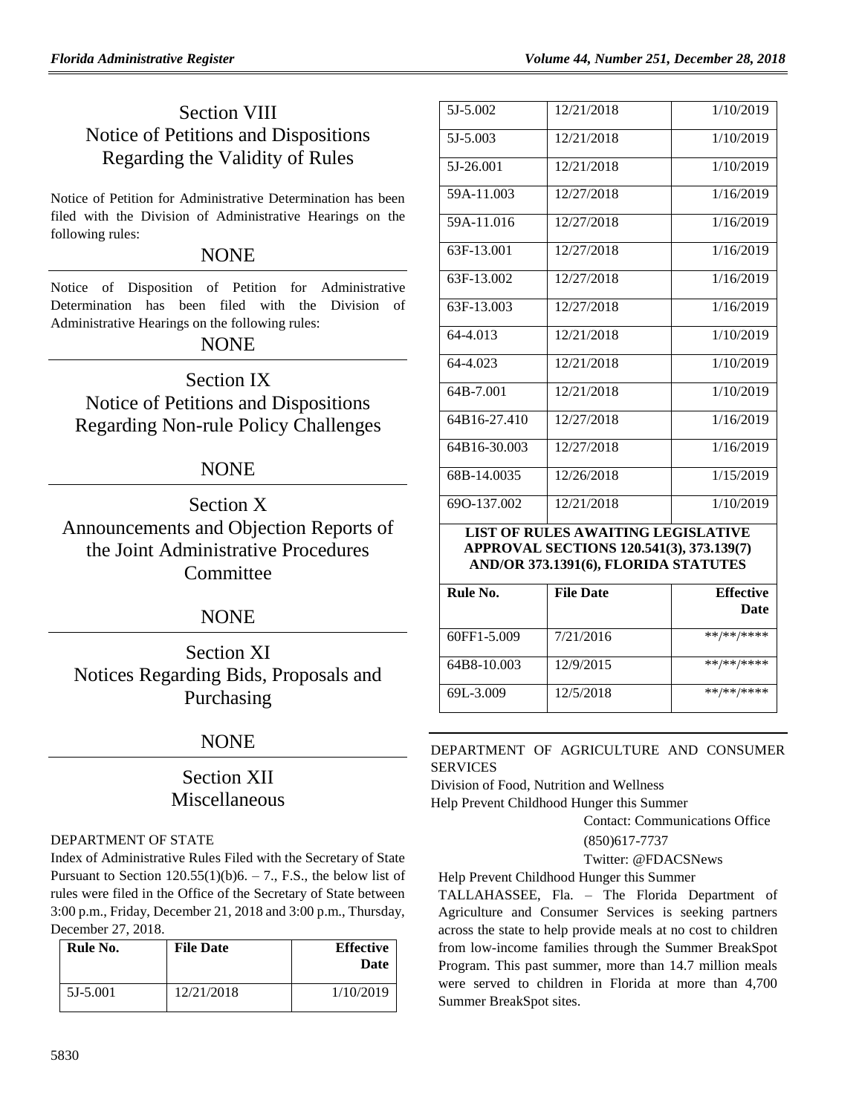# Section VIII Notice of Petitions and Dispositions Regarding the Validity of Rules

Notice of Petition for Administrative Determination has been filed with the Division of Administrative Hearings on the following rules:

## **NONE**

Notice of Disposition of Petition for Administrative Determination has been filed with the Division of Administrative Hearings on the following rules:

## NONE

Section IX Notice of Petitions and Dispositions Regarding Non-rule Policy Challenges

## NONE

Section X Announcements and Objection Reports of the Joint Administrative Procedures **Committee** 

## NONE

Section XI Notices Regarding Bids, Proposals and Purchasing

## NONE

## Section XII Miscellaneous

#### [DEPARTMENT OF STATE](https://www.flrules.org/gateway/department.asp?id=1)

Index of Administrative Rules Filed with the Secretary of State Pursuant to Section  $120.55(1)(b)6. - 7.$ , F.S., the below list of rules were filed in the Office of the Secretary of State between 3:00 p.m., Friday, December 21, 2018 and 3:00 p.m., Thursday, December 27, 2018.

| Rule No. | <b>File Date</b> | <b>Effective</b><br>Date |
|----------|------------------|--------------------------|
| 5J-5.001 | 12/21/2018       | 1/10/2019                |

| 5J-5.002     | 12/21/2018 | 1/10/2019 |
|--------------|------------|-----------|
| 5J-5.003     | 12/21/2018 | 1/10/2019 |
| 5J-26.001    | 12/21/2018 | 1/10/2019 |
| 59A-11.003   | 12/27/2018 | 1/16/2019 |
| 59A-11.016   | 12/27/2018 | 1/16/2019 |
| 63F-13.001   | 12/27/2018 | 1/16/2019 |
| 63F-13.002   | 12/27/2018 | 1/16/2019 |
| 63F-13.003   | 12/27/2018 | 1/16/2019 |
| 64-4.013     | 12/21/2018 | 1/10/2019 |
| 64-4.023     | 12/21/2018 | 1/10/2019 |
| 64B-7.001    | 12/21/2018 | 1/10/2019 |
| 64B16-27.410 | 12/27/2018 | 1/16/2019 |
| 64B16-30.003 | 12/27/2018 | 1/16/2019 |
| 68B-14.0035  | 12/26/2018 | 1/15/2019 |
| 690-137.002  | 12/21/2018 | 1/10/2019 |

#### **LIST OF RULES AWAITING LEGISLATIVE APPROVAL SECTIONS 120.541(3), 373.139(7) AND/OR 373.1391(6), FLORIDA STATUTES**

| Rule No.    | <b>File Date</b> | <b>Effective</b><br><b>Date</b> |
|-------------|------------------|---------------------------------|
| 60FF1-5.009 | 7/21/2016        | **/**/****                      |
| 64B8-10.003 | 12/9/2015        | **/**/****                      |
| 69L-3.009   | 12/5/2018        | **/**/****                      |

[DEPARTMENT OF AGRICULTURE AND CONSUMER](https://www.flrules.org/gateway/department.asp?id=5)  [SERVICES](https://www.flrules.org/gateway/department.asp?id=5)

[Division of Food, Nutrition and Wellness](https://www.flrules.org/gateway/organization.asp?id=1068)

Help Prevent Childhood Hunger this Summer

Contact: Communications Office

(850)617-7737

Twitter: [@FDACSNews](http://www.twitter.com/fdacsnews)

Help Prevent Childhood Hunger this Summer

TALLAHASSEE, Fla. – The Florida Department of Agriculture and Consumer Services is seeking partners across the state to help provide meals at no cost to children from low-income families through the Summer BreakSpot Program. This past summer, more than 14.7 million meals were served to children in Florida at more than 4,700 Summer BreakSpot sites.